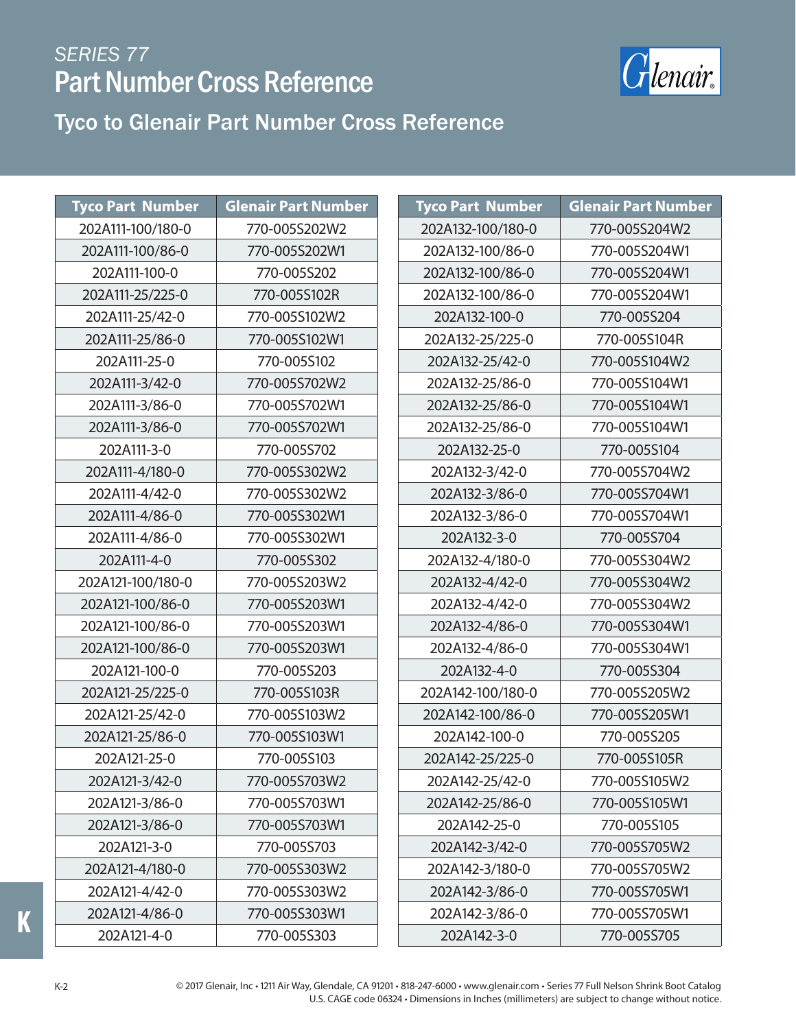

#### Tyco to Glenair Part Number Cross Reference

| <b>Tyco Part Number</b><br><b>Glenair Part Number</b><br><b>Tyco Part Number</b><br>202A111-100/180-0<br>770-005S202W2<br>202A132-100/180-0<br>202A111-100/86-0<br>770-005S202W1<br>202A132-100/86-0<br>202A111-100-0<br>770-005S202<br>202A132-100/86-0<br>202A111-25/225-0<br>770-005S102R<br>202A132-100/86-0<br>202A111-25/42-0<br>770-005S102W2<br>202A132-100-0<br>202A111-25/86-0<br>770-005S102W1<br>202A132-25/225-0<br>202A111-25-0<br>770-005S102<br>202A132-25/42-0<br>770-005S702W2<br>202A111-3/42-0<br>202A132-25/86-0<br>770-005S702W1<br>202A111-3/86-0<br>202A132-25/86-0<br>770-005S702W1<br>202A132-25/86-0<br>202A111-3/86-0<br>202A111-3-0<br>770-005S702<br>202A132-25-0<br>770-005S302W2<br>202A111-4/180-0<br>202A132-3/42-0<br>202A111-4/42-0<br>770-005S302W2<br>202A132-3/86-0<br>770-005S302W1<br>202A111-4/86-0<br>202A132-3/86-0<br>770-005S302W1<br>202A111-4/86-0<br>202A132-3-0<br>202A111-4-0<br>770-005S302<br>202A132-4/180-0<br>770-005S203W2<br>202A132-4/42-0<br>202A121-100/180-0<br>202A121-100/86-0<br>770-005S203W1<br>202A132-4/42-0<br>770-005S203W1<br>202A121-100/86-0<br>202A132-4/86-0<br>770-005S203W1<br>202A121-100/86-0<br>202A132-4/86-0<br>202A121-100-0<br>770-005S203<br>202A132-4-0<br>202A121-25/225-0<br>770-005S103R<br>202A142-100/180-0<br>202A121-25/42-0<br>770-005S103W2<br>202A142-100/86-0<br>202A121-25/86-0<br>770-005S103W1<br>202A142-100-0<br>202A121-25-0<br>770-005S103<br>202A142-25/225-0<br>202A121-3/42-0<br>770-005S703W2<br>202A142-25/42-0<br>770-005S703W1<br>202A121-3/86-0<br>202A142-25/86-0<br>770-005S703W1<br>202A121-3/86-0<br>202A142-25-0<br>202A121-3-0<br>770-005S703<br>202A142-3/42-0<br>202A121-4/180-0<br>770-005S303W2<br>202A142-3/180-0<br>202A121-4/42-0<br>770-005S303W2<br>202A142-3/86-0<br>202A121-4/86-0<br>770-005S303W1<br>202A142-3/86-0<br>770-005S303<br>202A121-4-0<br>202A142-3-0 |  |                            |
|------------------------------------------------------------------------------------------------------------------------------------------------------------------------------------------------------------------------------------------------------------------------------------------------------------------------------------------------------------------------------------------------------------------------------------------------------------------------------------------------------------------------------------------------------------------------------------------------------------------------------------------------------------------------------------------------------------------------------------------------------------------------------------------------------------------------------------------------------------------------------------------------------------------------------------------------------------------------------------------------------------------------------------------------------------------------------------------------------------------------------------------------------------------------------------------------------------------------------------------------------------------------------------------------------------------------------------------------------------------------------------------------------------------------------------------------------------------------------------------------------------------------------------------------------------------------------------------------------------------------------------------------------------------------------------------------------------------------------------------------------------------------------------------------------------------------------------------------------------------------------------------------------|--|----------------------------|
|                                                                                                                                                                                                                                                                                                                                                                                                                                                                                                                                                                                                                                                                                                                                                                                                                                                                                                                                                                                                                                                                                                                                                                                                                                                                                                                                                                                                                                                                                                                                                                                                                                                                                                                                                                                                                                                                                                      |  | <b>Glenair Part Number</b> |
|                                                                                                                                                                                                                                                                                                                                                                                                                                                                                                                                                                                                                                                                                                                                                                                                                                                                                                                                                                                                                                                                                                                                                                                                                                                                                                                                                                                                                                                                                                                                                                                                                                                                                                                                                                                                                                                                                                      |  | 770-005S204W2              |
|                                                                                                                                                                                                                                                                                                                                                                                                                                                                                                                                                                                                                                                                                                                                                                                                                                                                                                                                                                                                                                                                                                                                                                                                                                                                                                                                                                                                                                                                                                                                                                                                                                                                                                                                                                                                                                                                                                      |  | 770-005S204W1              |
|                                                                                                                                                                                                                                                                                                                                                                                                                                                                                                                                                                                                                                                                                                                                                                                                                                                                                                                                                                                                                                                                                                                                                                                                                                                                                                                                                                                                                                                                                                                                                                                                                                                                                                                                                                                                                                                                                                      |  | 770-005S204W1              |
|                                                                                                                                                                                                                                                                                                                                                                                                                                                                                                                                                                                                                                                                                                                                                                                                                                                                                                                                                                                                                                                                                                                                                                                                                                                                                                                                                                                                                                                                                                                                                                                                                                                                                                                                                                                                                                                                                                      |  | 770-005S204W1              |
|                                                                                                                                                                                                                                                                                                                                                                                                                                                                                                                                                                                                                                                                                                                                                                                                                                                                                                                                                                                                                                                                                                                                                                                                                                                                                                                                                                                                                                                                                                                                                                                                                                                                                                                                                                                                                                                                                                      |  | 770-005S204                |
|                                                                                                                                                                                                                                                                                                                                                                                                                                                                                                                                                                                                                                                                                                                                                                                                                                                                                                                                                                                                                                                                                                                                                                                                                                                                                                                                                                                                                                                                                                                                                                                                                                                                                                                                                                                                                                                                                                      |  | 770-005S104R               |
|                                                                                                                                                                                                                                                                                                                                                                                                                                                                                                                                                                                                                                                                                                                                                                                                                                                                                                                                                                                                                                                                                                                                                                                                                                                                                                                                                                                                                                                                                                                                                                                                                                                                                                                                                                                                                                                                                                      |  | 770-005S104W2              |
|                                                                                                                                                                                                                                                                                                                                                                                                                                                                                                                                                                                                                                                                                                                                                                                                                                                                                                                                                                                                                                                                                                                                                                                                                                                                                                                                                                                                                                                                                                                                                                                                                                                                                                                                                                                                                                                                                                      |  | 770-005S104W1              |
|                                                                                                                                                                                                                                                                                                                                                                                                                                                                                                                                                                                                                                                                                                                                                                                                                                                                                                                                                                                                                                                                                                                                                                                                                                                                                                                                                                                                                                                                                                                                                                                                                                                                                                                                                                                                                                                                                                      |  | 770-005S104W1              |
|                                                                                                                                                                                                                                                                                                                                                                                                                                                                                                                                                                                                                                                                                                                                                                                                                                                                                                                                                                                                                                                                                                                                                                                                                                                                                                                                                                                                                                                                                                                                                                                                                                                                                                                                                                                                                                                                                                      |  | 770-005S104W1              |
|                                                                                                                                                                                                                                                                                                                                                                                                                                                                                                                                                                                                                                                                                                                                                                                                                                                                                                                                                                                                                                                                                                                                                                                                                                                                                                                                                                                                                                                                                                                                                                                                                                                                                                                                                                                                                                                                                                      |  | 770-005S104                |
|                                                                                                                                                                                                                                                                                                                                                                                                                                                                                                                                                                                                                                                                                                                                                                                                                                                                                                                                                                                                                                                                                                                                                                                                                                                                                                                                                                                                                                                                                                                                                                                                                                                                                                                                                                                                                                                                                                      |  | 770-005S704W2              |
|                                                                                                                                                                                                                                                                                                                                                                                                                                                                                                                                                                                                                                                                                                                                                                                                                                                                                                                                                                                                                                                                                                                                                                                                                                                                                                                                                                                                                                                                                                                                                                                                                                                                                                                                                                                                                                                                                                      |  | 770-005S704W1              |
|                                                                                                                                                                                                                                                                                                                                                                                                                                                                                                                                                                                                                                                                                                                                                                                                                                                                                                                                                                                                                                                                                                                                                                                                                                                                                                                                                                                                                                                                                                                                                                                                                                                                                                                                                                                                                                                                                                      |  | 770-005S704W1              |
|                                                                                                                                                                                                                                                                                                                                                                                                                                                                                                                                                                                                                                                                                                                                                                                                                                                                                                                                                                                                                                                                                                                                                                                                                                                                                                                                                                                                                                                                                                                                                                                                                                                                                                                                                                                                                                                                                                      |  | 770-005S704                |
|                                                                                                                                                                                                                                                                                                                                                                                                                                                                                                                                                                                                                                                                                                                                                                                                                                                                                                                                                                                                                                                                                                                                                                                                                                                                                                                                                                                                                                                                                                                                                                                                                                                                                                                                                                                                                                                                                                      |  | 770-005S304W2              |
|                                                                                                                                                                                                                                                                                                                                                                                                                                                                                                                                                                                                                                                                                                                                                                                                                                                                                                                                                                                                                                                                                                                                                                                                                                                                                                                                                                                                                                                                                                                                                                                                                                                                                                                                                                                                                                                                                                      |  | 770-005S304W2              |
|                                                                                                                                                                                                                                                                                                                                                                                                                                                                                                                                                                                                                                                                                                                                                                                                                                                                                                                                                                                                                                                                                                                                                                                                                                                                                                                                                                                                                                                                                                                                                                                                                                                                                                                                                                                                                                                                                                      |  | 770-005S304W2              |
|                                                                                                                                                                                                                                                                                                                                                                                                                                                                                                                                                                                                                                                                                                                                                                                                                                                                                                                                                                                                                                                                                                                                                                                                                                                                                                                                                                                                                                                                                                                                                                                                                                                                                                                                                                                                                                                                                                      |  | 770-005S304W1              |
|                                                                                                                                                                                                                                                                                                                                                                                                                                                                                                                                                                                                                                                                                                                                                                                                                                                                                                                                                                                                                                                                                                                                                                                                                                                                                                                                                                                                                                                                                                                                                                                                                                                                                                                                                                                                                                                                                                      |  | 770-005S304W1              |
|                                                                                                                                                                                                                                                                                                                                                                                                                                                                                                                                                                                                                                                                                                                                                                                                                                                                                                                                                                                                                                                                                                                                                                                                                                                                                                                                                                                                                                                                                                                                                                                                                                                                                                                                                                                                                                                                                                      |  | 770-005S304                |
|                                                                                                                                                                                                                                                                                                                                                                                                                                                                                                                                                                                                                                                                                                                                                                                                                                                                                                                                                                                                                                                                                                                                                                                                                                                                                                                                                                                                                                                                                                                                                                                                                                                                                                                                                                                                                                                                                                      |  | 770-005S205W2              |
|                                                                                                                                                                                                                                                                                                                                                                                                                                                                                                                                                                                                                                                                                                                                                                                                                                                                                                                                                                                                                                                                                                                                                                                                                                                                                                                                                                                                                                                                                                                                                                                                                                                                                                                                                                                                                                                                                                      |  | 770-005S205W1              |
|                                                                                                                                                                                                                                                                                                                                                                                                                                                                                                                                                                                                                                                                                                                                                                                                                                                                                                                                                                                                                                                                                                                                                                                                                                                                                                                                                                                                                                                                                                                                                                                                                                                                                                                                                                                                                                                                                                      |  | 770-005S205                |
|                                                                                                                                                                                                                                                                                                                                                                                                                                                                                                                                                                                                                                                                                                                                                                                                                                                                                                                                                                                                                                                                                                                                                                                                                                                                                                                                                                                                                                                                                                                                                                                                                                                                                                                                                                                                                                                                                                      |  | 770-005S105R               |
|                                                                                                                                                                                                                                                                                                                                                                                                                                                                                                                                                                                                                                                                                                                                                                                                                                                                                                                                                                                                                                                                                                                                                                                                                                                                                                                                                                                                                                                                                                                                                                                                                                                                                                                                                                                                                                                                                                      |  | 770-005S105W2              |
|                                                                                                                                                                                                                                                                                                                                                                                                                                                                                                                                                                                                                                                                                                                                                                                                                                                                                                                                                                                                                                                                                                                                                                                                                                                                                                                                                                                                                                                                                                                                                                                                                                                                                                                                                                                                                                                                                                      |  | 770-005S105W1              |
|                                                                                                                                                                                                                                                                                                                                                                                                                                                                                                                                                                                                                                                                                                                                                                                                                                                                                                                                                                                                                                                                                                                                                                                                                                                                                                                                                                                                                                                                                                                                                                                                                                                                                                                                                                                                                                                                                                      |  | 770-005S105                |
|                                                                                                                                                                                                                                                                                                                                                                                                                                                                                                                                                                                                                                                                                                                                                                                                                                                                                                                                                                                                                                                                                                                                                                                                                                                                                                                                                                                                                                                                                                                                                                                                                                                                                                                                                                                                                                                                                                      |  | 770-005S705W2              |
|                                                                                                                                                                                                                                                                                                                                                                                                                                                                                                                                                                                                                                                                                                                                                                                                                                                                                                                                                                                                                                                                                                                                                                                                                                                                                                                                                                                                                                                                                                                                                                                                                                                                                                                                                                                                                                                                                                      |  | 770-005S705W2              |
|                                                                                                                                                                                                                                                                                                                                                                                                                                                                                                                                                                                                                                                                                                                                                                                                                                                                                                                                                                                                                                                                                                                                                                                                                                                                                                                                                                                                                                                                                                                                                                                                                                                                                                                                                                                                                                                                                                      |  | 770-005S705W1              |
|                                                                                                                                                                                                                                                                                                                                                                                                                                                                                                                                                                                                                                                                                                                                                                                                                                                                                                                                                                                                                                                                                                                                                                                                                                                                                                                                                                                                                                                                                                                                                                                                                                                                                                                                                                                                                                                                                                      |  | 770-005S705W1              |
|                                                                                                                                                                                                                                                                                                                                                                                                                                                                                                                                                                                                                                                                                                                                                                                                                                                                                                                                                                                                                                                                                                                                                                                                                                                                                                                                                                                                                                                                                                                                                                                                                                                                                                                                                                                                                                                                                                      |  | 770-005S705                |

**K**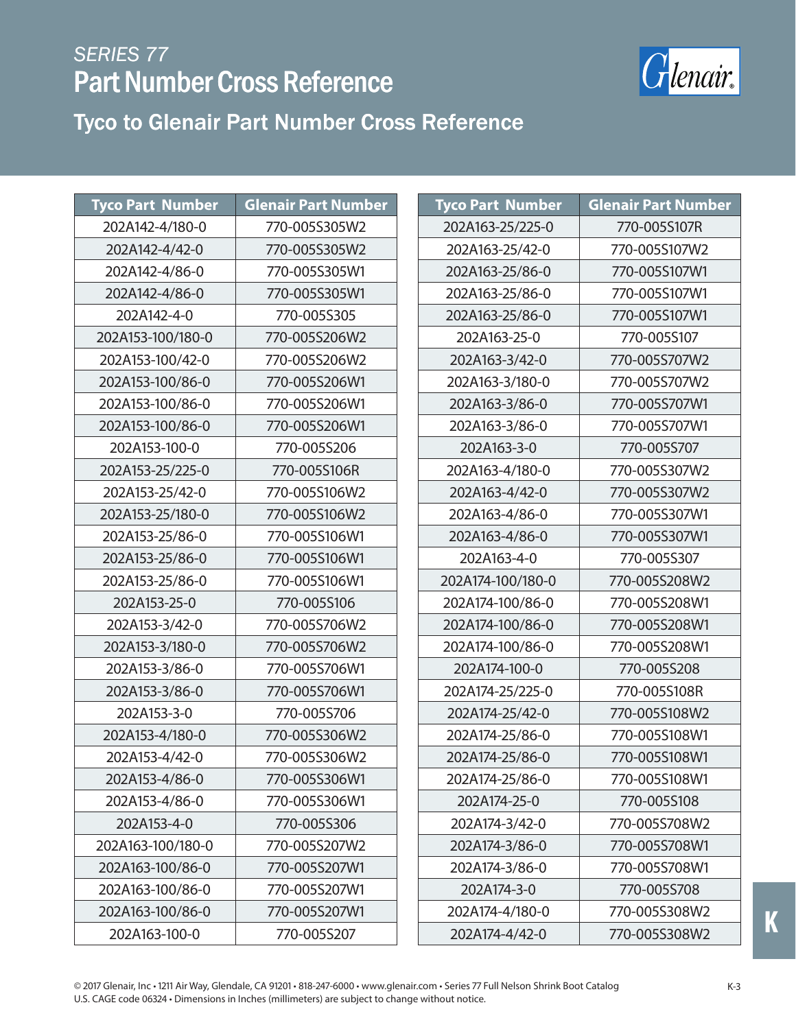

Tyco to Glenair Part Number Cross Reference Tyco to Glenair Part Number Cross Reference

| <b>Tyco Part Number</b> | <b>Glenair Part Number</b> | <b>Tyco Part Number</b> | <b>Glenair Part Number</b> |
|-------------------------|----------------------------|-------------------------|----------------------------|
| 202A142-4/180-0         | 770-005S305W2              | 202A163-25/225-0        | 770-005S107R               |
| 202A142-4/42-0          | 770-005S305W2              | 202A163-25/42-0         | 770-005S107W2              |
| 202A142-4/86-0          | 770-005S305W1              | 202A163-25/86-0         | 770-005S107W1              |
| 202A142-4/86-0          | 770-005S305W1              | 202A163-25/86-0         | 770-005S107W1              |
| 202A142-4-0             | 770-005S305                | 202A163-25/86-0         | 770-005S107W1              |
| 202A153-100/180-0       | 770-005S206W2              | 202A163-25-0            | 770-005S107                |
| 202A153-100/42-0        | 770-005S206W2              | 202A163-3/42-0          | 770-005S707W2              |
| 202A153-100/86-0        | 770-005S206W1              | 202A163-3/180-0         | 770-005S707W2              |
| 202A153-100/86-0        | 770-005S206W1              | 202A163-3/86-0          | 770-005S707W1              |
| 202A153-100/86-0        | 770-005S206W1              | 202A163-3/86-0          | 770-005S707W1              |
| 202A153-100-0           | 770-005S206                | 202A163-3-0             | 770-005S707                |
| 202A153-25/225-0        | 770-005S106R               | 202A163-4/180-0         | 770-005S307W2              |
| 202A153-25/42-0         | 770-005S106W2              | 202A163-4/42-0          | 770-005S307W2              |
| 202A153-25/180-0        | 770-005S106W2              | 202A163-4/86-0          | 770-005S307W1              |
| 202A153-25/86-0         | 770-005S106W1              | 202A163-4/86-0          | 770-005S307W1              |
| 202A153-25/86-0         | 770-005S106W1              | 202A163-4-0             | 770-005S307                |
| 202A153-25/86-0         | 770-005S106W1              | 202A174-100/180-0       | 770-005S208W2              |
| 202A153-25-0            | 770-005S106                | 202A174-100/86-0        | 770-005S208W1              |
| 202A153-3/42-0          | 770-005S706W2              | 202A174-100/86-0        | 770-005S208W1              |
| 202A153-3/180-0         | 770-005S706W2              | 202A174-100/86-0        | 770-005S208W1              |
| 202A153-3/86-0          | 770-005S706W1              | 202A174-100-0           | 770-005S208                |
| 202A153-3/86-0          | 770-005S706W1              | 202A174-25/225-0        | 770-005S108R               |
| 202A153-3-0             | 770-005S706                | 202A174-25/42-0         | 770-005S108W2              |
| 202A153-4/180-0         | 770-005S306W2              | 202A174-25/86-0         | 770-005S108W1              |
| 202A153-4/42-0          | 770-005S306W2              | 202A174-25/86-0         | 770-005S108W1              |
| 202A153-4/86-0          | 770-005S306W1              | 202A174-25/86-0         | 770-005S108W1              |
| 202A153-4/86-0          | 770-005S306W1              | 202A174-25-0            | 770-005S108                |
| 202A153-4-0             | 770-005S306                | 202A174-3/42-0          | 770-005S708W2              |
| 202A163-100/180-0       | 770-005S207W2              | 202A174-3/86-0          | 770-005S708W1              |
| 202A163-100/86-0        | 770-005S207W1              | 202A174-3/86-0          | 770-005S708W1              |
| 202A163-100/86-0        | 770-005S207W1              | 202A174-3-0             | 770-005S708                |
| 202A163-100/86-0        | 770-005S207W1              | 202A174-4/180-0         | 770-005S308W2              |
| 202A163-100-0           | 770-005S207                | 202A174-4/42-0          | 770-005S308W2              |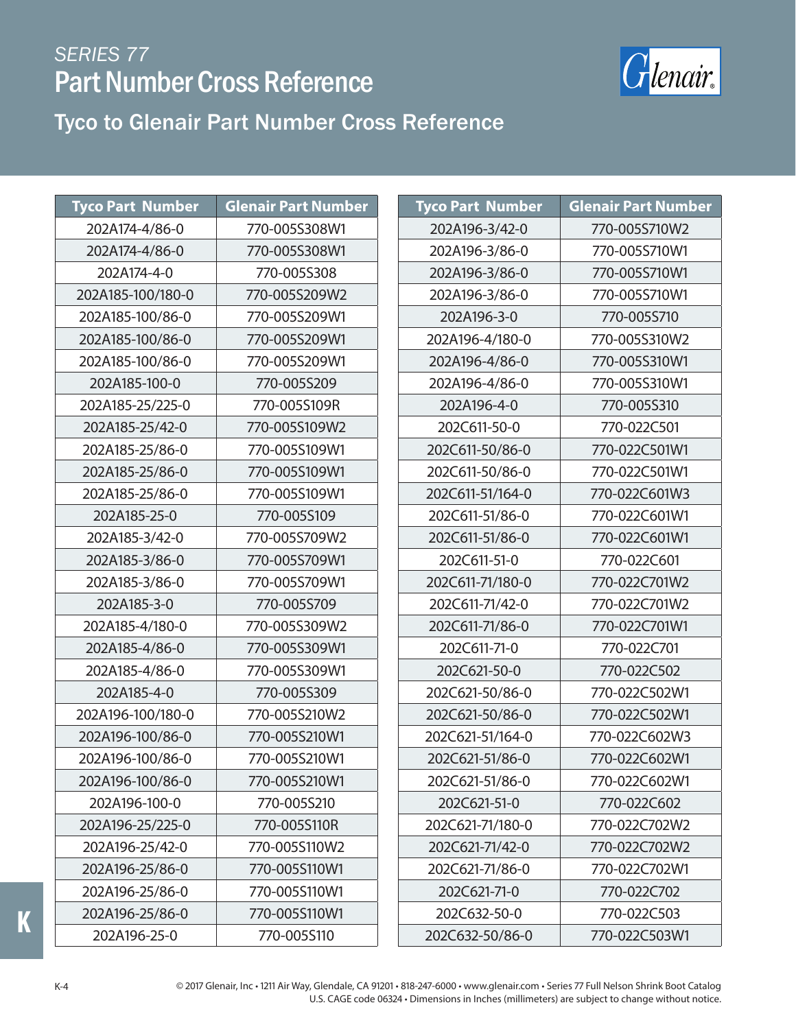

#### Tyco to Glenair Part Number Cross Reference

| <b>Tyco Part Number</b> | <b>Glenair Part Number</b> | <b>Tyco Part Number</b> | <b>Glenair Part Number</b> |
|-------------------------|----------------------------|-------------------------|----------------------------|
| 202A174-4/86-0          | 770-005S308W1              | 202A196-3/42-0          | 770-005S710W2              |
| 202A174-4/86-0          | 770-005S308W1              | 202A196-3/86-0          | 770-005S710W1              |
| 202A174-4-0             | 770-005S308                | 202A196-3/86-0          | 770-005S710W1              |
| 202A185-100/180-0       | 770-005S209W2              | 202A196-3/86-0          | 770-005S710W1              |
| 202A185-100/86-0        | 770-005S209W1              | 202A196-3-0             | 770-005S710                |
| 202A185-100/86-0        | 770-005S209W1              | 202A196-4/180-0         | 770-005S310W2              |
| 202A185-100/86-0        | 770-005S209W1              | 202A196-4/86-0          | 770-005S310W1              |
| 202A185-100-0           | 770-005S209                | 202A196-4/86-0          | 770-005S310W1              |
| 202A185-25/225-0        | 770-005S109R               | 202A196-4-0             | 770-005S310                |
| 202A185-25/42-0         | 770-005S109W2              | 202C611-50-0            | 770-022C501                |
| 202A185-25/86-0         | 770-005S109W1              | 202C611-50/86-0         | 770-022C501W1              |
| 202A185-25/86-0         | 770-005S109W1              | 202C611-50/86-0         | 770-022C501W1              |
| 202A185-25/86-0         | 770-005S109W1              | 202C611-51/164-0        | 770-022C601W3              |
| 202A185-25-0            | 770-005S109                | 202C611-51/86-0         | 770-022C601W1              |
| 202A185-3/42-0          | 770-005S709W2              | 202C611-51/86-0         | 770-022C601W1              |
| 202A185-3/86-0          | 770-005S709W1              | 202C611-51-0            | 770-022C601                |
| 202A185-3/86-0          | 770-005S709W1              | 202C611-71/180-0        | 770-022C701W2              |
| 202A185-3-0             | 770-005S709                | 202C611-71/42-0         | 770-022C701W2              |
| 202A185-4/180-0         | 770-005S309W2              | 202C611-71/86-0         | 770-022C701W1              |
| 202A185-4/86-0          | 770-005S309W1              | 202C611-71-0            | 770-022C701                |
| 202A185-4/86-0          | 770-005S309W1              | 202C621-50-0            | 770-022C502                |
| 202A185-4-0             | 770-005S309                | 202C621-50/86-0         | 770-022C502W1              |
| 202A196-100/180-0       | 770-005S210W2              | 202C621-50/86-0         | 770-022C502W1              |
| 202A196-100/86-0        | 770-005S210W1              | 202C621-51/164-0        | 770-022C602W3              |
| 202A196-100/86-0        | 770-005S210W1              | 202C621-51/86-0         | 770-022C602W1              |
| 202A196-100/86-0        | 770-005S210W1              | 202C621-51/86-0         | 770-022C602W1              |
| 202A196-100-0           | 770-005S210                | 202C621-51-0            | 770-022C602                |
| 202A196-25/225-0        | 770-005S110R               | 202C621-71/180-0        | 770-022C702W2              |
| 202A196-25/42-0         | 770-005S110W2              | 202C621-71/42-0         | 770-022C702W2              |
| 202A196-25/86-0         | 770-005S110W1              | 202C621-71/86-0         | 770-022C702W1              |
| 202A196-25/86-0         | 770-005S110W1              | 202C621-71-0            | 770-022C702                |
| 202A196-25/86-0         | 770-005S110W1              | 202C632-50-0            | 770-022C503                |
| 202A196-25-0            | 770-005S110                | 202C632-50/86-0         | 770-022C503W1              |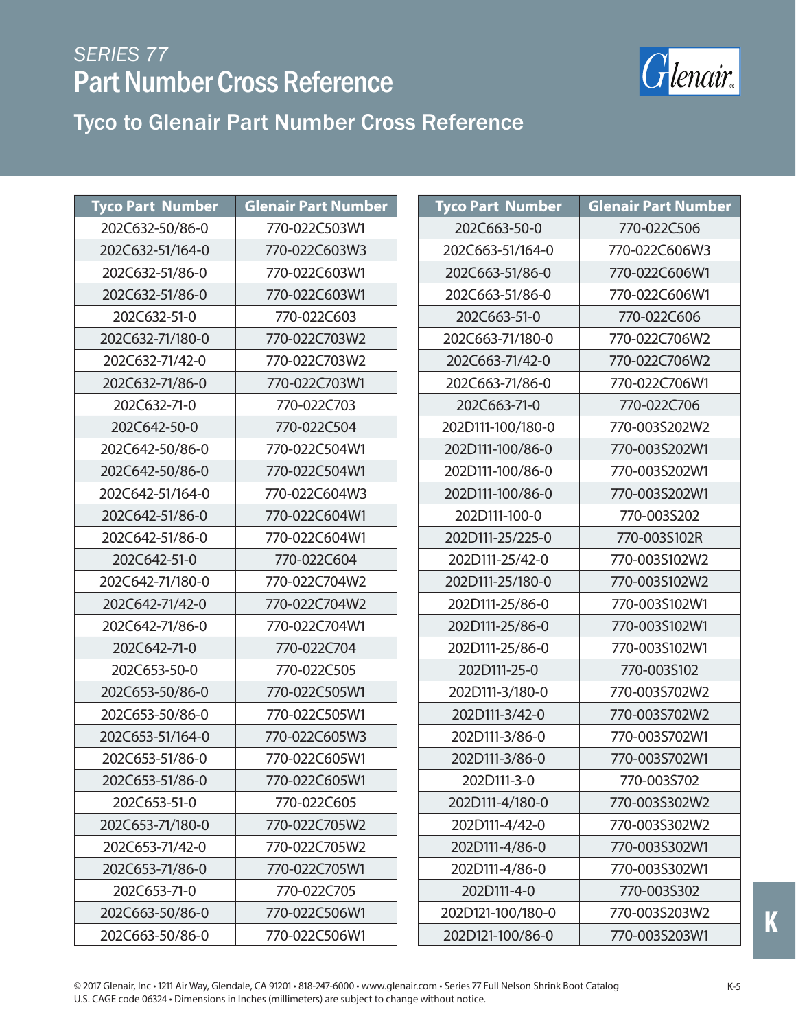

| <b>Tyco Part Number</b> | <b>Glenair Part Number</b> | <b>Tyco Part Number</b> | <b>Glenair Part Number</b> |
|-------------------------|----------------------------|-------------------------|----------------------------|
| 202C632-50/86-0         | 770-022C503W1              | 202C663-50-0            | 770-022C506                |
| 202C632-51/164-0        | 770-022C603W3              | 202C663-51/164-0        | 770-022C606W3              |
| 202C632-51/86-0         | 770-022C603W1              | 202C663-51/86-0         | 770-022C606W1              |
| 202C632-51/86-0         | 770-022C603W1              | 202C663-51/86-0         | 770-022C606W1              |
| 202C632-51-0            | 770-022C603                | 202C663-51-0            | 770-022C606                |
| 202C632-71/180-0        | 770-022C703W2              | 202C663-71/180-0        | 770-022C706W2              |
| 202C632-71/42-0         | 770-022C703W2              | 202C663-71/42-0         | 770-022C706W2              |
| 202C632-71/86-0         | 770-022C703W1              | 202C663-71/86-0         | 770-022C706W1              |
| 202C632-71-0            | 770-022C703                | 202C663-71-0            | 770-022C706                |
| 202C642-50-0            | 770-022C504                | 202D111-100/180-0       | 770-003S202W2              |
| 202C642-50/86-0         | 770-022C504W1              | 202D111-100/86-0        | 770-003S202W1              |
| 202C642-50/86-0         | 770-022C504W1              | 202D111-100/86-0        | 770-003S202W1              |
| 202C642-51/164-0        | 770-022C604W3              | 202D111-100/86-0        | 770-003S202W1              |
| 202C642-51/86-0         | 770-022C604W1              | 202D111-100-0           | 770-003S202                |
| 202C642-51/86-0         | 770-022C604W1              | 202D111-25/225-0        | 770-003S102R               |
| 202C642-51-0            | 770-022C604                | 202D111-25/42-0         | 770-003S102W2              |
| 202C642-71/180-0        | 770-022C704W2              | 202D111-25/180-0        | 770-003S102W2              |
| 202C642-71/42-0         | 770-022C704W2              | 202D111-25/86-0         | 770-003S102W1              |
| 202C642-71/86-0         | 770-022C704W1              | 202D111-25/86-0         | 770-003S102W1              |
| 202C642-71-0            | 770-022C704                | 202D111-25/86-0         | 770-003S102W1              |
| 202C653-50-0            | 770-022C505                | 202D111-25-0            | 770-003S102                |
| 202C653-50/86-0         | 770-022C505W1              | 202D111-3/180-0         | 770-003S702W2              |
| 202C653-50/86-0         | 770-022C505W1              | 202D111-3/42-0          | 770-003S702W2              |
| 202C653-51/164-0        | 770-022C605W3              | 202D111-3/86-0          | 770-003S702W1              |
| 202C653-51/86-0         | 770-022C605W1              | 202D111-3/86-0          | 770-003S702W1              |
| 202C653-51/86-0         | 770-022C605W1              | 202D111-3-0             | 770-003S702                |
| 202C653-51-0            | 770-022C605                | 202D111-4/180-0         | 770-003S302W2              |
| 202C653-71/180-0        | 770-022C705W2              | 202D111-4/42-0          | 770-003S302W2              |
| 202C653-71/42-0         | 770-022C705W2              | 202D111-4/86-0          | 770-003S302W1              |
| 202C653-71/86-0         | 770-022C705W1              | 202D111-4/86-0          | 770-003S302W1              |
| 202C653-71-0            | 770-022C705                | 202D111-4-0             | 770-003S302                |
| 202C663-50/86-0         | 770-022C506W1              | 202D121-100/180-0       | 770-003S203W2              |
| 202C663-50/86-0         | 770-022C506W1              | 202D121-100/86-0        | 770-003S203W1              |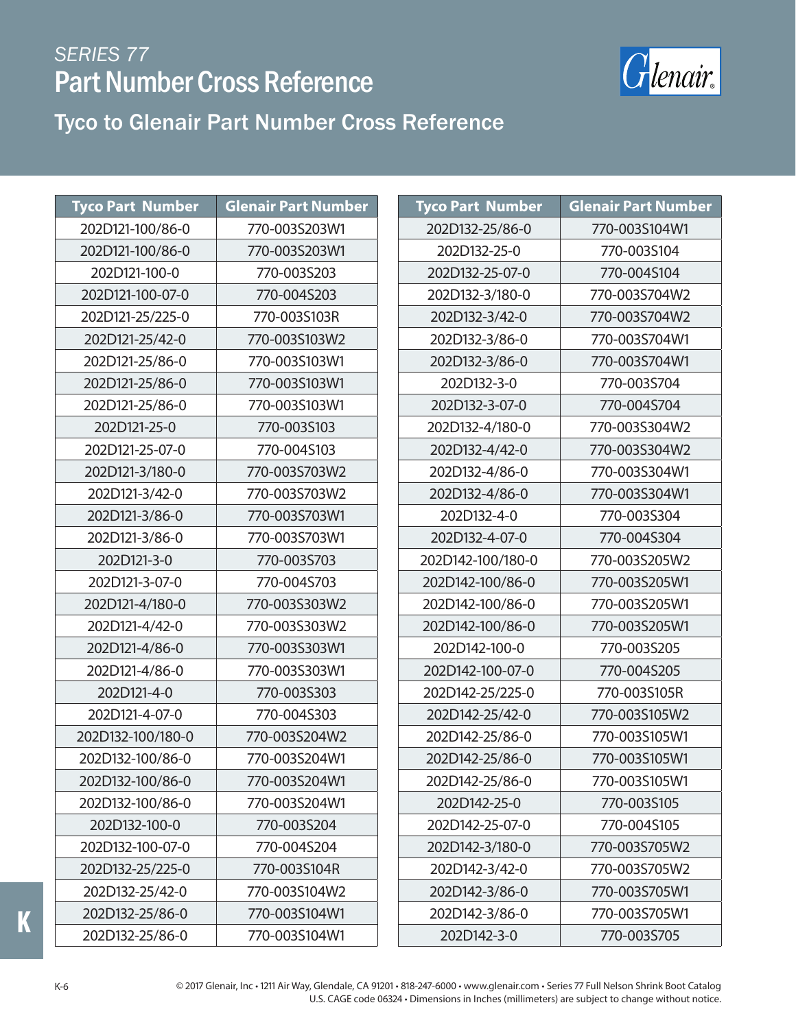

**Tyco Part Number Glenair Part Number**

#### Tyco to Glenair Part Number Cross Reference

| <b>Tyco Part Number</b> | <b>Glenair Part Number</b> | <b>Tyco Part Number</b> | <b>Glenair Part Numl</b> |
|-------------------------|----------------------------|-------------------------|--------------------------|
| 202D121-100/86-0        | 770-003S203W1              | 202D132-25/86-0         | 770-003S104W1            |
| 202D121-100/86-0        | 770-003S203W1              | 202D132-25-0            | 770-003S104              |
| 202D121-100-0           | 770-003S203                | 202D132-25-07-0         | 770-004S104              |
| 202D121-100-07-0        | 770-004S203                | 202D132-3/180-0         | 770-003S704W2            |
| 202D121-25/225-0        | 770-003S103R               | 202D132-3/42-0          | 770-003S704W2            |
| 202D121-25/42-0         | 770-003S103W2              | 202D132-3/86-0          | 770-003S704W1            |
| 202D121-25/86-0         | 770-003S103W1              | 202D132-3/86-0          | 770-003S704W1            |
| 202D121-25/86-0         | 770-003S103W1              | 202D132-3-0             | 770-003S704              |
| 202D121-25/86-0         | 770-003S103W1              | 202D132-3-07-0          | 770-004S704              |
| 202D121-25-0            | 770-003S103                | 202D132-4/180-0         | 770-003S304W2            |
| 202D121-25-07-0         | 770-004S103                | 202D132-4/42-0          | 770-003S304W2            |
| 202D121-3/180-0         | 770-003S703W2              | 202D132-4/86-0          | 770-003S304W1            |
| 202D121-3/42-0          | 770-003S703W2              | 202D132-4/86-0          | 770-003S304W1            |
| 202D121-3/86-0          | 770-003S703W1              | 202D132-4-0             | 770-003S304              |
| 202D121-3/86-0          | 770-003S703W1              | 202D132-4-07-0          | 770-004S304              |
| 202D121-3-0             | 770-003S703                | 202D142-100/180-0       | 770-003S205W2            |
| 202D121-3-07-0          | 770-004S703                | 202D142-100/86-0        | 770-003S205W1            |
| 202D121-4/180-0         | 770-003S303W2              | 202D142-100/86-0        | 770-003S205W1            |
| 202D121-4/42-0          | 770-003S303W2              | 202D142-100/86-0        | 770-003S205W1            |
| 202D121-4/86-0          | 770-003S303W1              | 202D142-100-0           | 770-003S205              |
| 202D121-4/86-0          | 770-003S303W1              | 202D142-100-07-0        | 770-004S205              |
| 202D121-4-0             | 770-003S303                | 202D142-25/225-0        | 770-003S105R             |
| 202D121-4-07-0          | 770-004S303                | 202D142-25/42-0         | 770-003S105W2            |
| 202D132-100/180-0       | 770-003S204W2              | 202D142-25/86-0         | 770-003S105W1            |
| 202D132-100/86-0        | 770-003S204W1              | 202D142-25/86-0         | 770-003S105W1            |
| 202D132-100/86-0        | 770-003S204W1              | 202D142-25/86-0         | 770-003S105W1            |
| 202D132-100/86-0        | 770-003S204W1              | 202D142-25-0            | 770-003S105              |
| 202D132-100-0           | 770-003S204                | 202D142-25-07-0         | 770-004S105              |
| 202D132-100-07-0        | 770-004S204                | 202D142-3/180-0         | 770-003S705W2            |
| 202D132-25/225-0        | 770-003S104R               | 202D142-3/42-0          | 770-003S705W2            |
| 202D132-25/42-0         | 770-003S104W2              | 202D142-3/86-0          | 770-003S705W1            |
| 202D132-25/86-0         | 770-003S104W1              | 202D142-3/86-0          | 770-003S705W1            |
| 202D132-25/86-0         | 770-003S104W1              | 202D142-3-0             | 770-003S705              |

**K**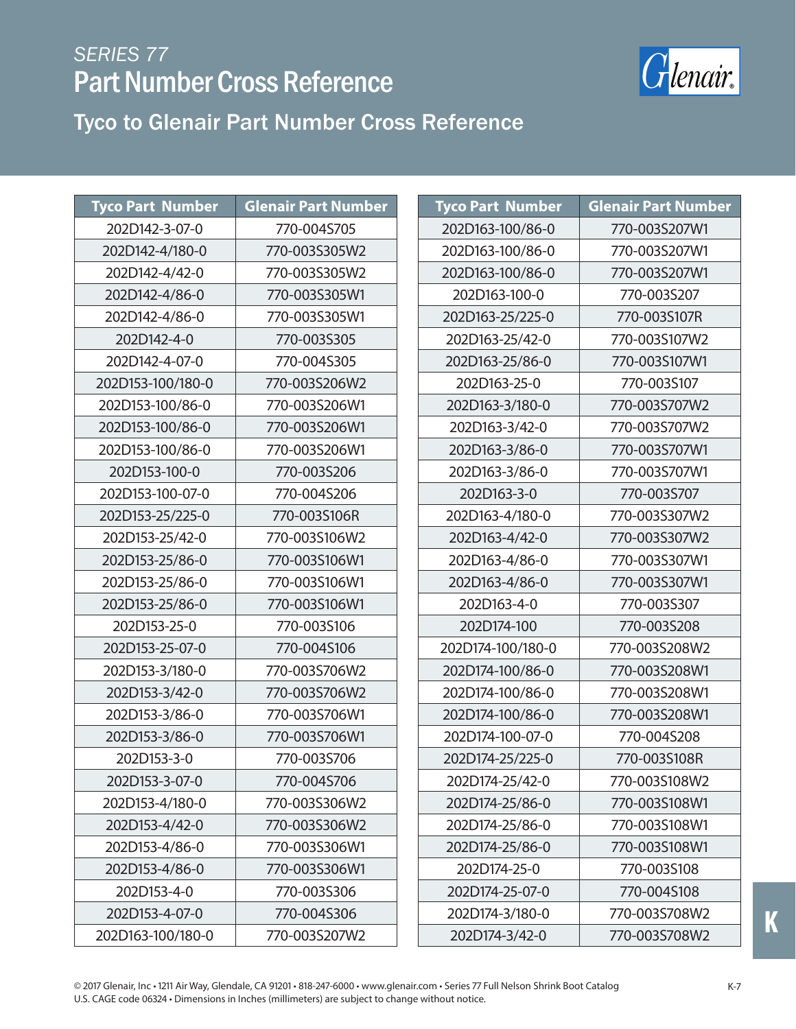

Tyco to Glenair Part Number Cross Reference

| <b>Tyco Part Number</b> | <b>Glenair Part Number</b> | <b>Tyco Part Number</b> | <b>Glenair Part Number</b> |
|-------------------------|----------------------------|-------------------------|----------------------------|
| 202D142-3-07-0          | 770-004S705                | 202D163-100/86-0        | 770-003S207W1              |
| 202D142-4/180-0         | 770-003S305W2              | 202D163-100/86-0        | 770-003S207W1              |
| 202D142-4/42-0          | 770-003S305W2              | 202D163-100/86-0        | 770-003S207W1              |
| 202D142-4/86-0          | 770-003S305W1              | 202D163-100-0           | 770-003S207                |
| 202D142-4/86-0          | 770-003S305W1              | 202D163-25/225-0        | 770-003S107R               |
| 202D142-4-0             | 770-003S305                | 202D163-25/42-0         | 770-003S107W2              |
| 202D142-4-07-0          | 770-004S305                | 202D163-25/86-0         | 770-003S107W1              |
| 202D153-100/180-0       | 770-003S206W2              | 202D163-25-0            | 770-003S107                |
| 202D153-100/86-0        | 770-003S206W1              | 202D163-3/180-0         | 770-003S707W2              |
| 202D153-100/86-0        | 770-003S206W1              | 202D163-3/42-0          | 770-003S707W2              |
| 202D153-100/86-0        | 770-003S206W1              | 202D163-3/86-0          | 770-003S707W1              |
| 202D153-100-0           | 770-003S206                | 202D163-3/86-0          | 770-003S707W1              |
| 202D153-100-07-0        | 770-004S206                | 202D163-3-0             | 770-003S707                |
| 202D153-25/225-0        | 770-003S106R               | 202D163-4/180-0         | 770-003S307W2              |
| 202D153-25/42-0         | 770-003S106W2              | 202D163-4/42-0          | 770-003S307W2              |
| 202D153-25/86-0         | 770-003S106W1              | 202D163-4/86-0          | 770-003S307W1              |
| 202D153-25/86-0         | 770-003S106W1              | 202D163-4/86-0          | 770-003S307W1              |
| 202D153-25/86-0         | 770-003S106W1              | 202D163-4-0             | 770-003S307                |
| 202D153-25-0            | 770-003S106                | 202D174-100             | 770-003S208                |
| 202D153-25-07-0         | 770-004S106                | 202D174-100/180-0       | 770-003S208W2              |
| 202D153-3/180-0         | 770-003S706W2              | 202D174-100/86-0        | 770-003S208W1              |
| 202D153-3/42-0          | 770-003S706W2              | 202D174-100/86-0        | 770-003S208W1              |
| 202D153-3/86-0          | 770-003S706W1              | 202D174-100/86-0        | 770-003S208W1              |
| 202D153-3/86-0          | 770-003S706W1              | 202D174-100-07-0        | 770-004S208                |
| 202D153-3-0             | 770-003S706                | 202D174-25/225-0        | 770-003S108R               |
| 202D153-3-07-0          | 770-004S706                | 202D174-25/42-0         | 770-003S108W2              |
| 202D153-4/180-0         | 770-003S306W2              | 202D174-25/86-0         | 770-003S108W1              |
| 202D153-4/42-0          | 770-003S306W2              | 202D174-25/86-0         | 770-003S108W1              |
| 202D153-4/86-0          | 770-003S306W1              | 202D174-25/86-0         | 770-003S108W1              |
| 202D153-4/86-0          | 770-003S306W1              | 202D174-25-0            | 770-003S108                |
| 202D153-4-0             | 770-003S306                | 202D174-25-07-0         | 770-004S108                |
| 202D153-4-07-0          | 770-004S306                | 202D174-3/180-0         | 770-003S708W2              |
| 202D163-100/180-0       | 770-003S207W2              | 202D174-3/42-0          | 770-003S708W2              |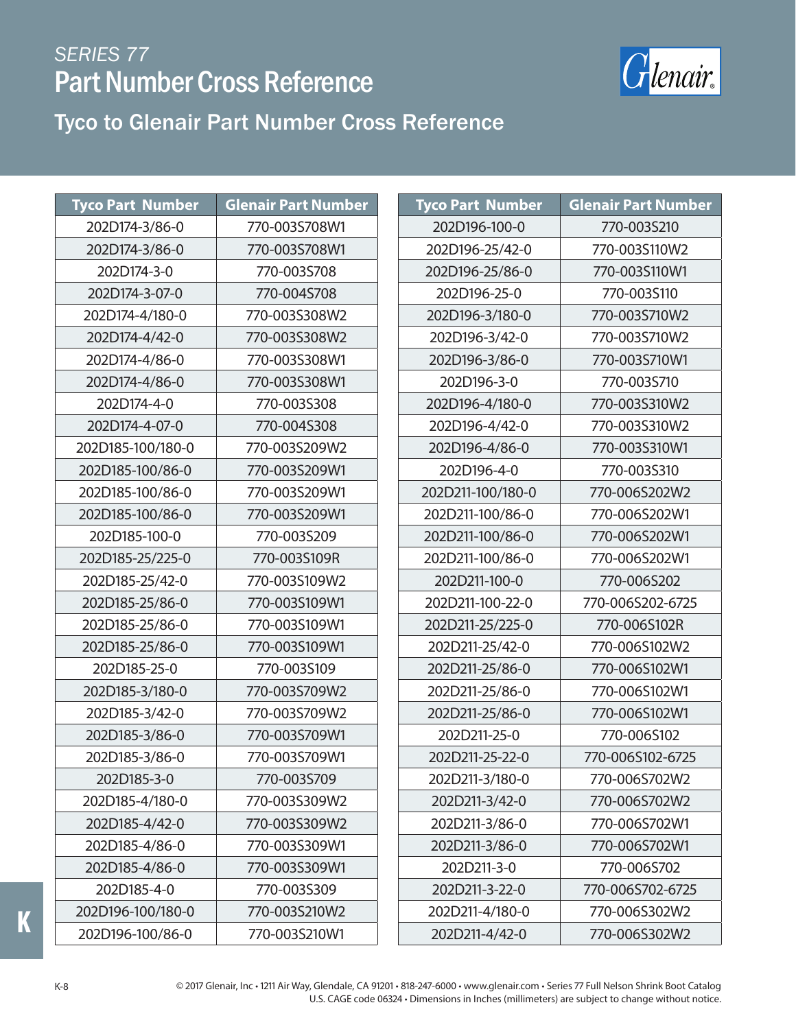

#### Tyco to Glenair Part Number Cross Reference

| <b>Tyco Part Number</b> | <b>Glenair Part Number</b> | <b>Tyco Part Number</b> | <b>Glenair Part Number</b> |
|-------------------------|----------------------------|-------------------------|----------------------------|
| 202D174-3/86-0          | 770-003S708W1              | 202D196-100-0           | 770-003S210                |
| 202D174-3/86-0          | 770-003S708W1              | 202D196-25/42-0         | 770-003S110W2              |
| 202D174-3-0             | 770-003S708                | 202D196-25/86-0         | 770-003S110W1              |
| 202D174-3-07-0          | 770-004S708                | 202D196-25-0            | 770-003S110                |
| 202D174-4/180-0         | 770-003S308W2              | 202D196-3/180-0         | 770-003S710W2              |
| 202D174-4/42-0          | 770-003S308W2              | 202D196-3/42-0          | 770-003S710W2              |
| 202D174-4/86-0          | 770-003S308W1              | 202D196-3/86-0          | 770-003S710W1              |
| 202D174-4/86-0          | 770-003S308W1              | 202D196-3-0             | 770-003S710                |
| 202D174-4-0             | 770-003S308                | 202D196-4/180-0         | 770-003S310W2              |
| 202D174-4-07-0          | 770-004S308                | 202D196-4/42-0          | 770-003S310W2              |
| 202D185-100/180-0       | 770-003S209W2              | 202D196-4/86-0          | 770-003S310W1              |
| 202D185-100/86-0        | 770-003S209W1              | 202D196-4-0             | 770-003S310                |
| 202D185-100/86-0        | 770-003S209W1              | 202D211-100/180-0       | 770-006S202W2              |
| 202D185-100/86-0        | 770-003S209W1              | 202D211-100/86-0        | 770-006S202W1              |
| 202D185-100-0           | 770-003S209                | 202D211-100/86-0        | 770-006S202W1              |
| 202D185-25/225-0        | 770-003S109R               | 202D211-100/86-0        | 770-006S202W1              |
| 202D185-25/42-0         | 770-003S109W2              | 202D211-100-0           | 770-006S202                |
| 202D185-25/86-0         | 770-003S109W1              | 202D211-100-22-0        | 770-006S202-6725           |
| 202D185-25/86-0         | 770-003S109W1              | 202D211-25/225-0        | 770-006S102R               |
| 202D185-25/86-0         | 770-003S109W1              | 202D211-25/42-0         | 770-006S102W2              |
| 202D185-25-0            | 770-003S109                | 202D211-25/86-0         | 770-006S102W1              |
| 202D185-3/180-0         | 770-003S709W2              | 202D211-25/86-0         | 770-006S102W1              |
| 202D185-3/42-0          | 770-003S709W2              | 202D211-25/86-0         | 770-006S102W1              |
| 202D185-3/86-0          | 770-003S709W1              | 202D211-25-0            | 770-006S102                |
| 202D185-3/86-0          | 770-003S709W1              | 202D211-25-22-0         | 770-006S102-6725           |
| 202D185-3-0             | 770-003S709                | 202D211-3/180-0         | 770-006S702W2              |
| 202D185-4/180-0         | 770-003S309W2              | 202D211-3/42-0          | 770-006S702W2              |
| 202D185-4/42-0          | 770-003S309W2              | 202D211-3/86-0          | 770-006S702W1              |
| 202D185-4/86-0          | 770-003S309W1              | 202D211-3/86-0          | 770-006S702W1              |
| 202D185-4/86-0          | 770-003S309W1              | 202D211-3-0             | 770-006S702                |
| 202D185-4-0             | 770-003S309                | 202D211-3-22-0          | 770-006S702-6725           |
| 202D196-100/180-0       | 770-003S210W2              | 202D211-4/180-0         | 770-006S302W2              |
| 202D196-100/86-0        | 770-003S210W1              | 202D211-4/42-0          | 770-006S302W2              |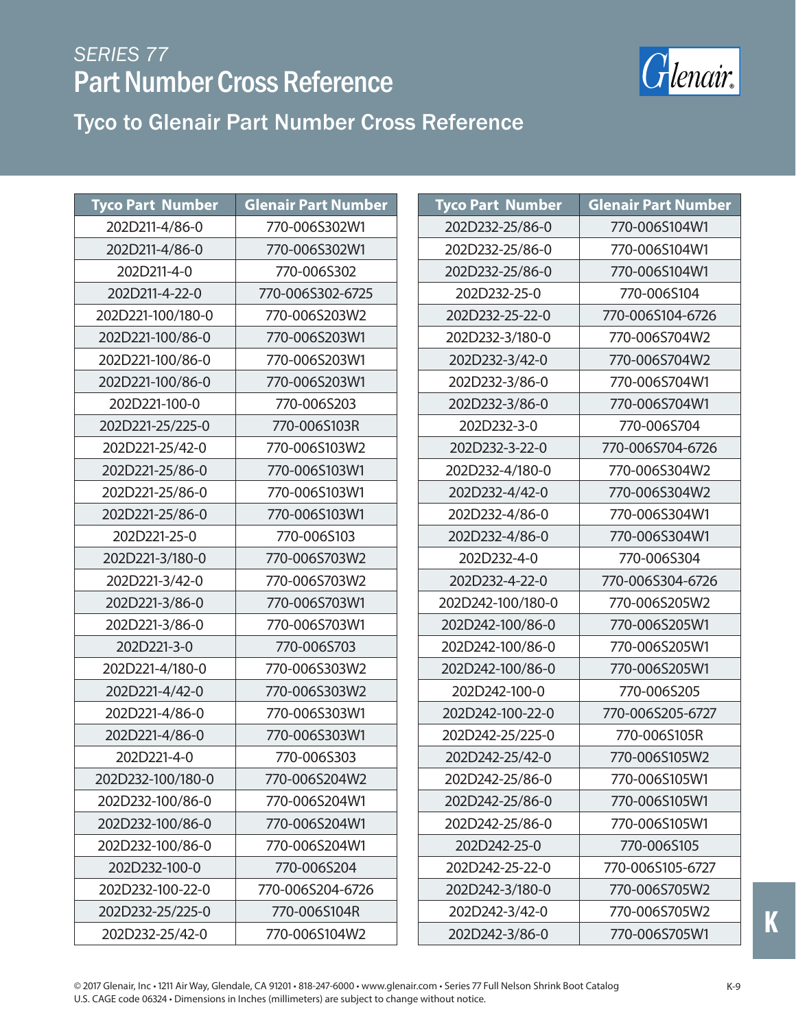

| <b>Tyco Part Number</b> | <b>Glenair Part Number</b> | <b>Tyco Part Number</b> | <b>Glenair Part Number</b> |
|-------------------------|----------------------------|-------------------------|----------------------------|
| 202D211-4/86-0          | 770-006S302W1              | 202D232-25/86-0         | 770-006S104W1              |
| 202D211-4/86-0          | 770-006S302W1              | 202D232-25/86-0         | 770-006S104W1              |
| 202D211-4-0             | 770-006S302                | 202D232-25/86-0         | 770-006S104W1              |
| 202D211-4-22-0          | 770-006S302-6725           | 202D232-25-0            | 770-006S104                |
| 202D221-100/180-0       | 770-006S203W2              | 202D232-25-22-0         | 770-006S104-6726           |
| 202D221-100/86-0        | 770-006S203W1              | 202D232-3/180-0         | 770-006S704W2              |
| 202D221-100/86-0        | 770-006S203W1              | 202D232-3/42-0          | 770-006S704W2              |
| 202D221-100/86-0        | 770-006S203W1              | 202D232-3/86-0          | 770-006S704W1              |
| 202D221-100-0           | 770-006S203                | 202D232-3/86-0          | 770-006S704W1              |
| 202D221-25/225-0        | 770-006S103R               | 202D232-3-0             | 770-006S704                |
| 202D221-25/42-0         | 770-006S103W2              | 202D232-3-22-0          | 770-006S704-6726           |
| 202D221-25/86-0         | 770-006S103W1              | 202D232-4/180-0         | 770-006S304W2              |
| 202D221-25/86-0         | 770-006S103W1              | 202D232-4/42-0          | 770-006S304W2              |
| 202D221-25/86-0         | 770-006S103W1              | 202D232-4/86-0          | 770-006S304W1              |
| 202D221-25-0            | 770-006S103                | 202D232-4/86-0          | 770-006S304W1              |
| 202D221-3/180-0         | 770-006S703W2              | 202D232-4-0             | 770-006S304                |
| 202D221-3/42-0          | 770-006S703W2              | 202D232-4-22-0          | 770-006S304-6726           |
| 202D221-3/86-0          | 770-006S703W1              | 202D242-100/180-0       | 770-006S205W2              |
| 202D221-3/86-0          | 770-006S703W1              | 202D242-100/86-0        | 770-006S205W1              |
| 202D221-3-0             | 770-006S703                | 202D242-100/86-0        | 770-006S205W1              |
| 202D221-4/180-0         | 770-006S303W2              | 202D242-100/86-0        | 770-006S205W1              |
| 202D221-4/42-0          | 770-006S303W2              | 202D242-100-0           | 770-006S205                |
| 202D221-4/86-0          | 770-006S303W1              | 202D242-100-22-0        | 770-006S205-6727           |
| 202D221-4/86-0          | 770-006S303W1              | 202D242-25/225-0        | 770-006S105R               |
| 202D221-4-0             | 770-006S303                | 202D242-25/42-0         | 770-006S105W2              |
| 202D232-100/180-0       | 770-006S204W2              | 202D242-25/86-0         | 770-006S105W1              |
| 202D232-100/86-0        | 770-006S204W1              | 202D242-25/86-0         | 770-006S105W1              |
| 202D232-100/86-0        | 770-006S204W1              | 202D242-25/86-0         | 770-006S105W1              |
| 202D232-100/86-0        | 770-006S204W1              | 202D242-25-0            | 770-006S105                |
| 202D232-100-0           | 770-006S204                | 202D242-25-22-0         | 770-006S105-6727           |
| 202D232-100-22-0        | 770-006S204-6726           | 202D242-3/180-0         | 770-006S705W2              |
| 202D232-25/225-0        | 770-006S104R               | 202D242-3/42-0          | 770-006S705W2              |
| 202D232-25/42-0         | 770-006S104W2              | 202D242-3/86-0          | 770-006S705W1              |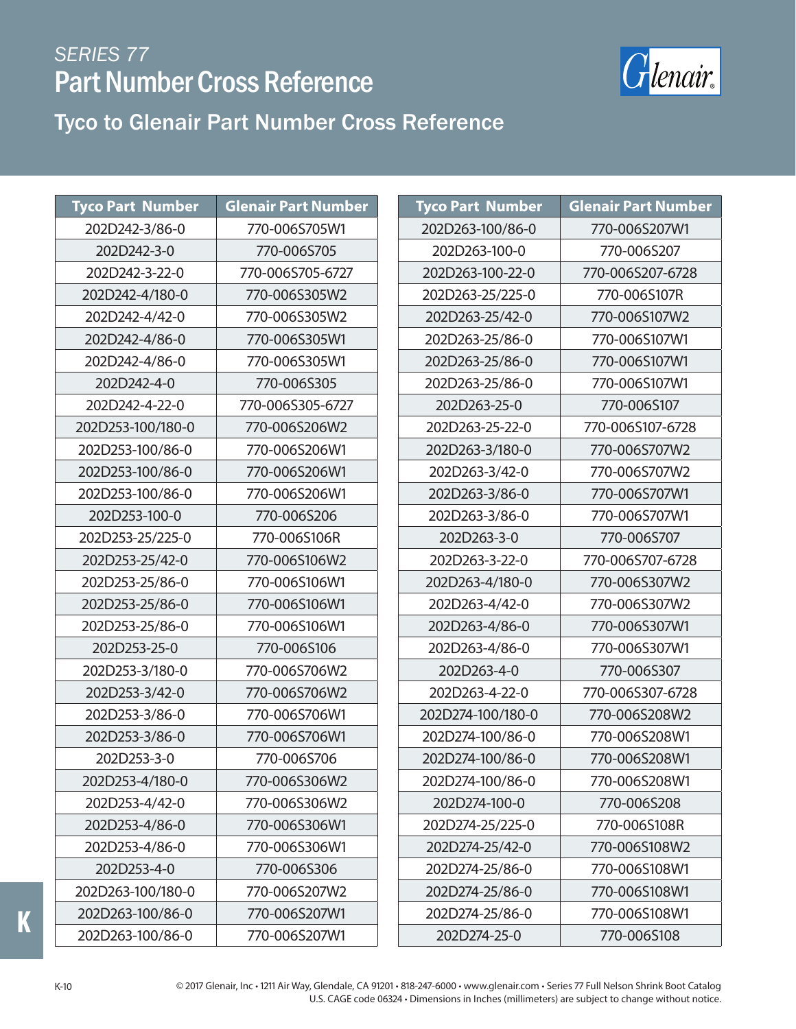

# Tyco to Glenair Part Number Cross Reference

| <b>Tyco Part Number</b> | <b>Glenair Part Number</b> | <b>Tyco Part Number</b> | <b>Glenair Part Number</b> |
|-------------------------|----------------------------|-------------------------|----------------------------|
| 202D242-3/86-0          | 770-006S705W1              | 202D263-100/86-0        | 770-006S207W1              |
| 202D242-3-0             | 770-006S705                | 202D263-100-0           | 770-006S207                |
| 202D242-3-22-0          | 770-006S705-6727           | 202D263-100-22-0        | 770-006S207-6728           |
| 202D242-4/180-0         | 770-006S305W2              | 202D263-25/225-0        | 770-006S107R               |
| 202D242-4/42-0          | 770-006S305W2              | 202D263-25/42-0         | 770-006S107W2              |
| 202D242-4/86-0          | 770-006S305W1              | 202D263-25/86-0         | 770-006S107W1              |
| 202D242-4/86-0          | 770-006S305W1              | 202D263-25/86-0         | 770-006S107W1              |
| 202D242-4-0             | 770-006S305                | 202D263-25/86-0         | 770-006S107W1              |
| 202D242-4-22-0          | 770-006S305-6727           | 202D263-25-0            | 770-006S107                |
| 202D253-100/180-0       | 770-006S206W2              | 202D263-25-22-0         | 770-006S107-6728           |
| 202D253-100/86-0        | 770-006S206W1              | 202D263-3/180-0         | 770-006S707W2              |
| 202D253-100/86-0        | 770-006S206W1              | 202D263-3/42-0          | 770-006S707W2              |
| 202D253-100/86-0        | 770-006S206W1              | 202D263-3/86-0          | 770-006S707W1              |
| 202D253-100-0           | 770-006S206                | 202D263-3/86-0          | 770-006S707W1              |
| 202D253-25/225-0        | 770-006S106R               | 202D263-3-0             | 770-006S707                |
| 202D253-25/42-0         | 770-006S106W2              | 202D263-3-22-0          | 770-006S707-6728           |
| 202D253-25/86-0         | 770-006S106W1              | 202D263-4/180-0         | 770-006S307W2              |
| 202D253-25/86-0         | 770-006S106W1              | 202D263-4/42-0          | 770-006S307W2              |
| 202D253-25/86-0         | 770-006S106W1              | 202D263-4/86-0          | 770-006S307W1              |
| 202D253-25-0            | 770-006S106                | 202D263-4/86-0          | 770-006S307W1              |
| 202D253-3/180-0         | 770-006S706W2              | 202D263-4-0             | 770-006S307                |
| 202D253-3/42-0          | 770-006S706W2              | 202D263-4-22-0          | 770-006S307-6728           |
| 202D253-3/86-0          | 770-006S706W1              | 202D274-100/180-0       | 770-006S208W2              |
| 202D253-3/86-0          | 770-006S706W1              | 202D274-100/86-0        | 770-006S208W1              |
| 202D253-3-0             | 770-006S706                | 202D274-100/86-0        | 770-006S208W1              |
| 202D253-4/180-0         | 770-006S306W2              | 202D274-100/86-0        | 770-006S208W1              |
| 202D253-4/42-0          | 770-006S306W2              | 202D274-100-0           | 770-006S208                |
| 202D253-4/86-0          | 770-006S306W1              | 202D274-25/225-0        | 770-006S108R               |
| 202D253-4/86-0          | 770-006S306W1              | 202D274-25/42-0         | 770-006S108W2              |
| 202D253-4-0             | 770-006S306                | 202D274-25/86-0         | 770-006S108W1              |
| 202D263-100/180-0       | 770-006S207W2              | 202D274-25/86-0         | 770-006S108W1              |
| 202D263-100/86-0        | 770-006S207W1              | 202D274-25/86-0         | 770-006S108W1              |
| 202D263-100/86-0        | 770-006S207W1              | 202D274-25-0            | 770-006S108                |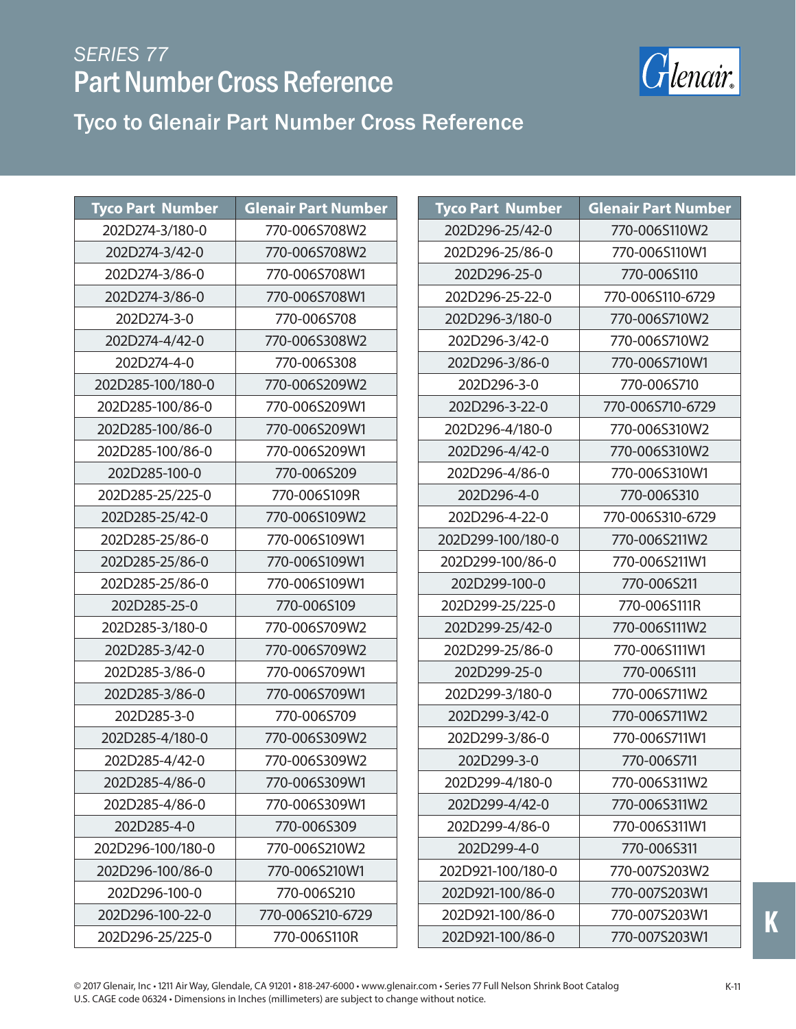

Tyco to Glenair Part Number Cross Reference

| <b>Tyco Part Number</b> | <b>Glenair Part Number</b> | <b>Tyco Part Number</b> | <b>Glenair Part Number</b> |
|-------------------------|----------------------------|-------------------------|----------------------------|
| 202D274-3/180-0         | 770-006S708W2              | 202D296-25/42-0         | 770-006S110W2              |
| 202D274-3/42-0          | 770-006S708W2              | 202D296-25/86-0         | 770-006S110W1              |
| 202D274-3/86-0          | 770-006S708W1              | 202D296-25-0            | 770-006S110                |
| 202D274-3/86-0          | 770-006S708W1              | 202D296-25-22-0         | 770-006S110-6729           |
| 202D274-3-0             | 770-006S708                | 202D296-3/180-0         | 770-006S710W2              |
| 202D274-4/42-0          | 770-006S308W2              | 202D296-3/42-0          | 770-006S710W2              |
| 202D274-4-0             | 770-006S308                | 202D296-3/86-0          | 770-006S710W1              |
| 202D285-100/180-0       | 770-006S209W2              | 202D296-3-0             | 770-006S710                |
| 202D285-100/86-0        | 770-006S209W1              | 202D296-3-22-0          | 770-006S710-6729           |
| 202D285-100/86-0        | 770-006S209W1              | 202D296-4/180-0         | 770-006S310W2              |
| 202D285-100/86-0        | 770-006S209W1              | 202D296-4/42-0          | 770-006S310W2              |
| 202D285-100-0           | 770-006S209                | 202D296-4/86-0          | 770-006S310W1              |
| 202D285-25/225-0        | 770-006S109R               | 202D296-4-0             | 770-006S310                |
| 202D285-25/42-0         | 770-006S109W2              | 202D296-4-22-0          | 770-006S310-6729           |
| 202D285-25/86-0         | 770-006S109W1              | 202D299-100/180-0       | 770-006S211W2              |
| 202D285-25/86-0         | 770-006S109W1              | 202D299-100/86-0        | 770-006S211W1              |
| 202D285-25/86-0         | 770-006S109W1              | 202D299-100-0           | 770-006S211                |
| 202D285-25-0            | 770-006S109                | 202D299-25/225-0        | 770-006S111R               |
| 202D285-3/180-0         | 770-006S709W2              | 202D299-25/42-0         | 770-006S111W2              |
| 202D285-3/42-0          | 770-006S709W2              | 202D299-25/86-0         | 770-006S111W1              |
| 202D285-3/86-0          | 770-006S709W1              | 202D299-25-0            | 770-006S111                |
| 202D285-3/86-0          | 770-006S709W1              | 202D299-3/180-0         | 770-006S711W2              |
| 202D285-3-0             | 770-006S709                | 202D299-3/42-0          | 770-006S711W2              |
| 202D285-4/180-0         | 770-006S309W2              | 202D299-3/86-0          | 770-006S711W1              |
| 202D285-4/42-0          | 770-006S309W2              | 202D299-3-0             | 770-006S711                |
| 202D285-4/86-0          | 770-006S309W1              | 202D299-4/180-0         | 770-006S311W2              |
| 202D285-4/86-0          | 770-006S309W1              | 202D299-4/42-0          | 770-006S311W2              |
| 202D285-4-0             | 770-006S309                | 202D299-4/86-0          | 770-006S311W1              |
| 202D296-100/180-0       | 770-006S210W2              | 202D299-4-0             | 770-006S311                |
| 202D296-100/86-0        | 770-006S210W1              | 202D921-100/180-0       | 770-007S203W2              |
| 202D296-100-0           | 770-006S210                | 202D921-100/86-0        | 770-007S203W1              |
| 202D296-100-22-0        | 770-006S210-6729           | 202D921-100/86-0        | 770-007S203W1              |
| 202D296-25/225-0        | 770-006S110R               | 202D921-100/86-0        | 770-007S203W1              |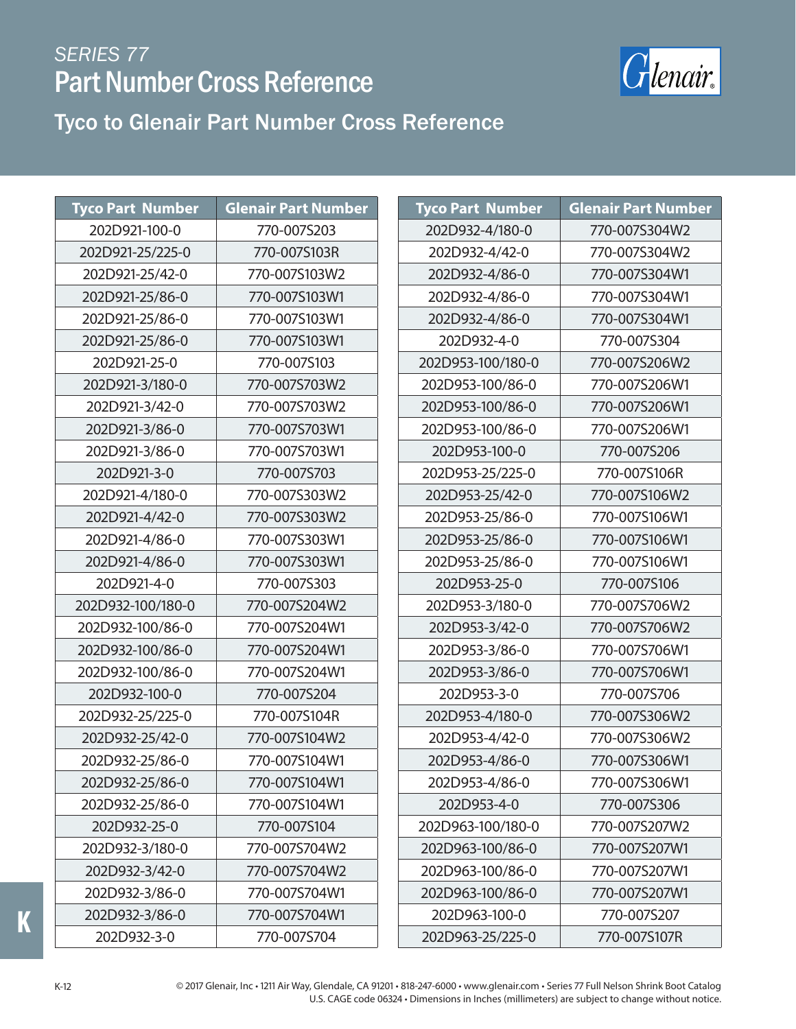

#### Tyco to Glenair Part Number Cross Reference

| <b>Tyco Part Number</b> | <b>Glenair Part Number</b> |
|-------------------------|----------------------------|
| 202D921-100-0           | 770-007S203                |
| 202D921-25/225-0        | 770-007S103R               |
| 202D921-25/42-0         | 770-007S103W2              |
| 202D921-25/86-0         | 770-007S103W1              |
| 202D921-25/86-0         | 770-007S103W1              |
| 202D921-25/86-0         | 770-007S103W1              |
| 202D921-25-0            | 770-007S103                |
| 202D921-3/180-0         | 770-007S703W2              |
| 202D921-3/42-0          | 770-007S703W2              |
| 202D921-3/86-0          | 770-007S703W1              |
| 202D921-3/86-0          | 770-007S703W1              |
| 202D921-3-0             | 770-007S703                |
| 202D921-4/180-0         | 770-007S303W2              |
| 202D921-4/42-0          | 770-007S303W2              |
| 202D921-4/86-0          | 770-007S303W1              |
| 202D921-4/86-0          | 770-007S303W1              |
| 202D921-4-0             | 770-007S303                |
| 202D932-100/180-0       | 770-007S204W2              |
| 202D932-100/86-0        | 770-007S204W1              |
| 202D932-100/86-0        | 770-007S204W1              |
| 202D932-100/86-0        | 770-007S204W1              |
| 202D932-100-0           | 770-007S204                |
| 202D932-25/225-0        | 770-007S104R               |
| 202D932-25/42-0         | 770-007S104W2              |
| 202D932-25/86-0         | 770-007S104W1              |
| 202D932-25/86-0         | 770-007S104W1              |
| 202D932-25/86-0         | 770-007S104W1              |
| 202D932-25-0            | 770-007S104                |
| 202D932-3/180-0         | 770-007S704W2              |
| 202D932-3/42-0          | 770-007S704W2              |
| 202D932-3/86-0          | 770-007S704W1              |
| 202D932-3/86-0          | 770-007S704W1              |
| 202D932-3-0             | 770-007S704                |

| Tyco Part Number  | <b>Glenair Part Number</b> |
|-------------------|----------------------------|
| 202D932-4/180-0   | 770-007S304W2              |
| 202D932-4/42-0    | 770-007S304W2              |
| 202D932-4/86-0    | 770-007S304W1              |
| 202D932-4/86-0    | 770-007S304W1              |
| 202D932-4/86-0    | 770-007S304W1              |
| 202D932-4-0       | 770-007S304                |
| 202D953-100/180-0 | 770-007S206W2              |
| 202D953-100/86-0  | 770-007S206W1              |
| 202D953-100/86-0  | 770-007S206W1              |
| 202D953-100/86-0  | 770-007S206W1              |
| 202D953-100-0     | 770-007S206                |
| 202D953-25/225-0  | 770-007S106R               |
| 202D953-25/42-0   | 770-007S106W2              |
| 202D953-25/86-0   | 770-007S106W1              |
| 202D953-25/86-0   | 770-007S106W1              |
| 202D953-25/86-0   | 770-007S106W1              |
| 202D953-25-0      | 770-007S106                |
| 202D953-3/180-0   | 770-007S706W2              |
| 202D953-3/42-0    | 770-007S706W2              |
| 202D953-3/86-0    | 770-007S706W1              |
| 202D953-3/86-0    | 770-007S706W1              |
| 202D953-3-0       | 770-007S706                |
| 202D953-4/180-0   | 770-007S306W2              |
| 202D953-4/42-0    | 770-007S306W2              |
| 202D953-4/86-0    | 770-007S306W1              |
| 202D953-4/86-0    | 770-007S306W1              |
| 202D953-4-0       | 770-007S306                |
| 202D963-100/180-0 | 770-007S207W2              |
| 202D963-100/86-0  | 770-007S207W1              |
| 202D963-100/86-0  | 770-007S207W1              |
| 202D963-100/86-0  | 770-007S207W1              |
| 202D963-100-0     | 770-007S207                |
| 202D963-25/225-0  | 770-007S107R               |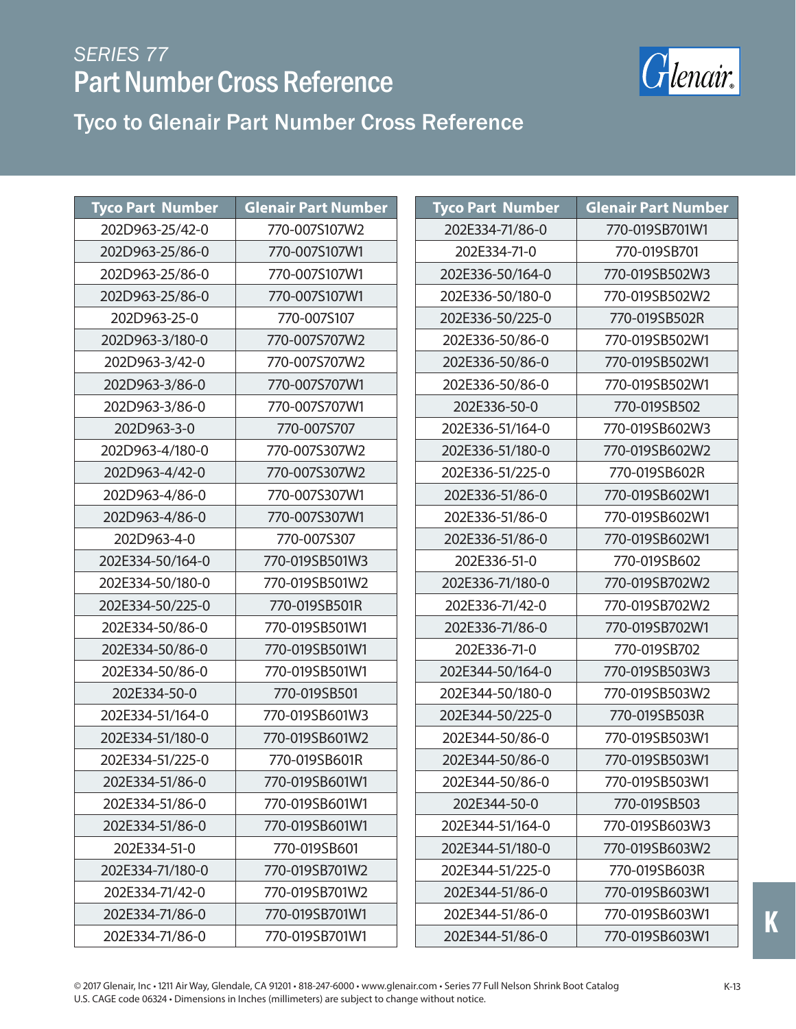

Tyco to Glenair Part Number Cross Reference

| <b>Tyco Part Number</b> | <b>Glenair Part Number</b> |  | <b>Tyco Part Number</b> | <b>Glenair Part Number</b> |
|-------------------------|----------------------------|--|-------------------------|----------------------------|
| 202D963-25/42-0         | 770-007S107W2              |  | 202E334-71/86-0         | 770-019SB701W1             |
| 202D963-25/86-0         | 770-007S107W1              |  | 202E334-71-0            | 770-019SB701               |
| 202D963-25/86-0         | 770-007S107W1              |  | 202E336-50/164-0        | 770-019SB502W3             |
| 202D963-25/86-0         | 770-007S107W1              |  | 202E336-50/180-0        | 770-019SB502W2             |
| 202D963-25-0            | 770-007S107                |  | 202E336-50/225-0        | 770-019SB502R              |
| 202D963-3/180-0         | 770-007S707W2              |  | 202E336-50/86-0         | 770-019SB502W1             |
| 202D963-3/42-0          | 770-007S707W2              |  | 202E336-50/86-0         | 770-019SB502W1             |
| 202D963-3/86-0          | 770-007S707W1              |  | 202E336-50/86-0         | 770-019SB502W1             |
| 202D963-3/86-0          | 770-007S707W1              |  | 202E336-50-0            | 770-019SB502               |
| 202D963-3-0             | 770-007S707                |  | 202E336-51/164-0        | 770-019SB602W3             |
| 202D963-4/180-0         | 770-007S307W2              |  | 202E336-51/180-0        | 770-019SB602W2             |
| 202D963-4/42-0          | 770-007S307W2              |  | 202E336-51/225-0        | 770-019SB602R              |
| 202D963-4/86-0          | 770-007S307W1              |  | 202E336-51/86-0         | 770-019SB602W1             |
| 202D963-4/86-0          | 770-007S307W1              |  | 202E336-51/86-0         | 770-019SB602W1             |
| 202D963-4-0             | 770-007S307                |  | 202E336-51/86-0         | 770-019SB602W1             |
| 202E334-50/164-0        | 770-019SB501W3             |  | 202E336-51-0            | 770-019SB602               |
| 202E334-50/180-0        | 770-019SB501W2             |  | 202E336-71/180-0        | 770-019SB702W2             |
| 202E334-50/225-0        | 770-019SB501R              |  | 202E336-71/42-0         | 770-019SB702W2             |
| 202E334-50/86-0         | 770-019SB501W1             |  | 202E336-71/86-0         | 770-019SB702W1             |
| 202E334-50/86-0         | 770-019SB501W1             |  | 202E336-71-0            | 770-019SB702               |
| 202E334-50/86-0         | 770-019SB501W1             |  | 202E344-50/164-0        | 770-019SB503W3             |
| 202E334-50-0            | 770-019SB501               |  | 202E344-50/180-0        | 770-019SB503W2             |
| 202E334-51/164-0        | 770-019SB601W3             |  | 202E344-50/225-0        | 770-019SB503R              |
| 202E334-51/180-0        | 770-019SB601W2             |  | 202E344-50/86-0         | 770-019SB503W1             |
| 202E334-51/225-0        | 770-019SB601R              |  | 202E344-50/86-0         | 770-019SB503W1             |
| 202E334-51/86-0         | 770-019SB601W1             |  | 202E344-50/86-0         | 770-019SB503W1             |
| 202E334-51/86-0         | 770-019SB601W1             |  | 202E344-50-0            | 770-019SB503               |
| 202E334-51/86-0         | 770-019SB601W1             |  | 202E344-51/164-0        | 770-019SB603W3             |
| 202E334-51-0            | 770-019SB601               |  | 202E344-51/180-0        | 770-019SB603W2             |
| 202E334-71/180-0        | 770-019SB701W2             |  | 202E344-51/225-0        | 770-019SB603R              |
| 202E334-71/42-0         | 770-019SB701W2             |  | 202E344-51/86-0         | 770-019SB603W1             |
| 202E334-71/86-0         | 770-019SB701W1             |  | 202E344-51/86-0         | 770-019SB603W1             |
| 202E334-71/86-0         | 770-019SB701W1             |  | 202E344-51/86-0         | 770-019SB603W1             |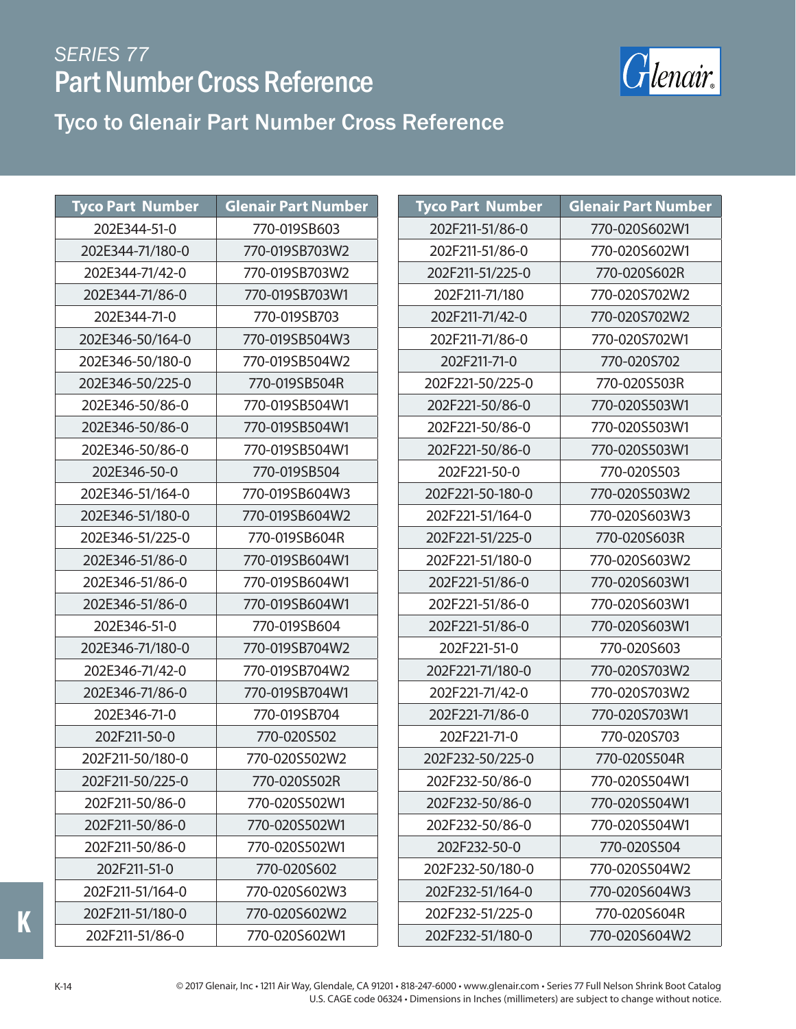

#### Tyco to Glenair Part Number Cross Reference

| <b>Tyco Part Number</b> | <b>Glenair Part Number</b> | <b>Tyco Part Number</b> | <b>Glenair Part Number</b> |
|-------------------------|----------------------------|-------------------------|----------------------------|
| 202E344-51-0            | 770-019SB603               | 202F211-51/86-0         | 770-020S602W1              |
| 202E344-71/180-0        | 770-019SB703W2             | 202F211-51/86-0         | 770-020S602W1              |
| 202E344-71/42-0         | 770-019SB703W2             | 202F211-51/225-0        | 770-020S602R               |
| 202E344-71/86-0         | 770-019SB703W1             | 202F211-71/180          | 770-020S702W2              |
| 202E344-71-0            | 770-019SB703               | 202F211-71/42-0         | 770-020S702W2              |
| 202E346-50/164-0        | 770-019SB504W3             | 202F211-71/86-0         | 770-020S702W1              |
| 202E346-50/180-0        | 770-019SB504W2             | 202F211-71-0            | 770-020S702                |
| 202E346-50/225-0        | 770-019SB504R              | 202F221-50/225-0        | 770-020S503R               |
| 202E346-50/86-0         | 770-019SB504W1             | 202F221-50/86-0         | 770-020S503W1              |
| 202E346-50/86-0         | 770-019SB504W1             | 202F221-50/86-0         | 770-020S503W1              |
| 202E346-50/86-0         | 770-019SB504W1             | 202F221-50/86-0         | 770-020S503W1              |
| 202E346-50-0            | 770-019SB504               | 202F221-50-0            | 770-020S503                |
| 202E346-51/164-0        | 770-019SB604W3             | 202F221-50-180-0        | 770-020S503W2              |
| 202E346-51/180-0        | 770-019SB604W2             | 202F221-51/164-0        | 770-020S603W3              |
| 202E346-51/225-0        | 770-019SB604R              | 202F221-51/225-0        | 770-020S603R               |
| 202E346-51/86-0         | 770-019SB604W1             | 202F221-51/180-0        | 770-020S603W2              |
| 202E346-51/86-0         | 770-019SB604W1             | 202F221-51/86-0         | 770-020S603W1              |
| 202E346-51/86-0         | 770-019SB604W1             | 202F221-51/86-0         | 770-020S603W1              |
| 202E346-51-0            | 770-019SB604               | 202F221-51/86-0         | 770-020S603W1              |
| 202E346-71/180-0        | 770-019SB704W2             | 202F221-51-0            | 770-020S603                |
| 202E346-71/42-0         | 770-019SB704W2             | 202F221-71/180-0        | 770-020S703W2              |
| 202E346-71/86-0         | 770-019SB704W1             | 202F221-71/42-0         | 770-020S703W2              |
| 202E346-71-0            | 770-019SB704               | 202F221-71/86-0         | 770-020S703W1              |
| 202F211-50-0            | 770-020S502                | 202F221-71-0            | 770-020S703                |
| 202F211-50/180-0        | 770-020S502W2              | 202F232-50/225-0        | 770-020S504R               |
| 202F211-50/225-0        | 770-020S502R               | 202F232-50/86-0         | 770-020S504W1              |
| 202F211-50/86-0         | 770-020S502W1              | 202F232-50/86-0         | 770-020S504W1              |
| 202F211-50/86-0         | 770-020S502W1              | 202F232-50/86-0         | 770-020S504W1              |
| 202F211-50/86-0         | 770-020S502W1              | 202F232-50-0            | 770-020S504                |
| 202F211-51-0            | 770-020S602                | 202F232-50/180-0        | 770-020S504W2              |
| 202F211-51/164-0        | 770-020S602W3              | 202F232-51/164-0        | 770-020S604W3              |
| 202F211-51/180-0        | 770-020S602W2              | 202F232-51/225-0        | 770-020S604R               |
| 202F211-51/86-0         | 770-020S602W1              | 202F232-51/180-0        | 770-020S604W2              |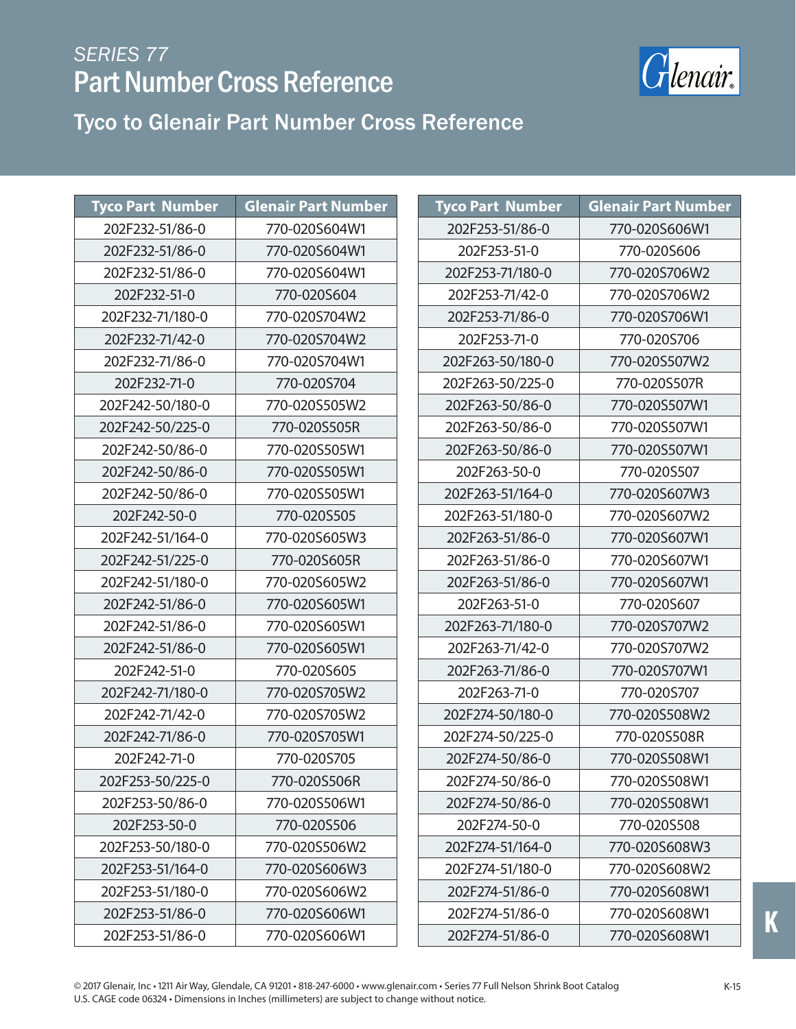

| <b>Tyco Part Number</b> | <b>Glenair Part Number</b> | <b>Tyco Part Number</b> | <b>Glenair Part Number</b> |
|-------------------------|----------------------------|-------------------------|----------------------------|
| 202F232-51/86-0         | 770-020S604W1              | 202F253-51/86-0         | 770-020S606W1              |
| 202F232-51/86-0         | 770-020S604W1              | 202F253-51-0            | 770-020S606                |
| 202F232-51/86-0         | 770-020S604W1              | 202F253-71/180-0        | 770-020S706W2              |
| 202F232-51-0            | 770-020S604                | 202F253-71/42-0         | 770-020S706W2              |
| 202F232-71/180-0        | 770-020S704W2              | 202F253-71/86-0         | 770-020S706W1              |
| 202F232-71/42-0         | 770-020S704W2              | 202F253-71-0            | 770-020S706                |
| 202F232-71/86-0         | 770-020S704W1              | 202F263-50/180-0        | 770-020S507W2              |
| 202F232-71-0            | 770-020S704                | 202F263-50/225-0        | 770-020S507R               |
| 202F242-50/180-0        | 770-020S505W2              | 202F263-50/86-0         | 770-020S507W1              |
| 202F242-50/225-0        | 770-020S505R               | 202F263-50/86-0         | 770-020S507W1              |
| 202F242-50/86-0         | 770-020S505W1              | 202F263-50/86-0         | 770-020S507W1              |
| 202F242-50/86-0         | 770-020S505W1              | 202F263-50-0            | 770-020S507                |
| 202F242-50/86-0         | 770-020S505W1              | 202F263-51/164-0        | 770-020S607W3              |
| 202F242-50-0            | 770-020S505                | 202F263-51/180-0        | 770-020S607W2              |
| 202F242-51/164-0        | 770-020S605W3              | 202F263-51/86-0         | 770-020S607W1              |
| 202F242-51/225-0        | 770-020S605R               | 202F263-51/86-0         | 770-020S607W1              |
| 202F242-51/180-0        | 770-020S605W2              | 202F263-51/86-0         | 770-020S607W1              |
| 202F242-51/86-0         | 770-020S605W1              | 202F263-51-0            | 770-020S607                |
| 202F242-51/86-0         | 770-020S605W1              | 202F263-71/180-0        | 770-020S707W2              |
| 202F242-51/86-0         | 770-020S605W1              | 202F263-71/42-0         | 770-020S707W2              |
| 202F242-51-0            | 770-020S605                | 202F263-71/86-0         | 770-020S707W1              |
| 202F242-71/180-0        | 770-020S705W2              | 202F263-71-0            | 770-020S707                |
| 202F242-71/42-0         | 770-020S705W2              | 202F274-50/180-0        | 770-020S508W2              |
| 202F242-71/86-0         | 770-020S705W1              | 202F274-50/225-0        | 770-020S508R               |
| 202F242-71-0            | 770-020S705                | 202F274-50/86-0         | 770-020S508W1              |
| 202F253-50/225-0        | 770-020S506R               | 202F274-50/86-0         | 770-020S508W1              |
| 202F253-50/86-0         | 770-020S506W1              | 202F274-50/86-0         | 770-020S508W1              |
| 202F253-50-0            | 770-020S506                | 202F274-50-0            | 770-020S508                |
| 202F253-50/180-0        | 770-020S506W2              | 202F274-51/164-0        | 770-020S608W3              |
| 202F253-51/164-0        | 770-020S606W3              | 202F274-51/180-0        | 770-020S608W2              |
| 202F253-51/180-0        | 770-020S606W2              | 202F274-51/86-0         | 770-020S608W1              |
| 202F253-51/86-0         | 770-020S606W1              | 202F274-51/86-0         | 770-020S608W1              |
| 202F253-51/86-0         | 770-020S606W1              | 202F274-51/86-0         | 770-020S608W1              |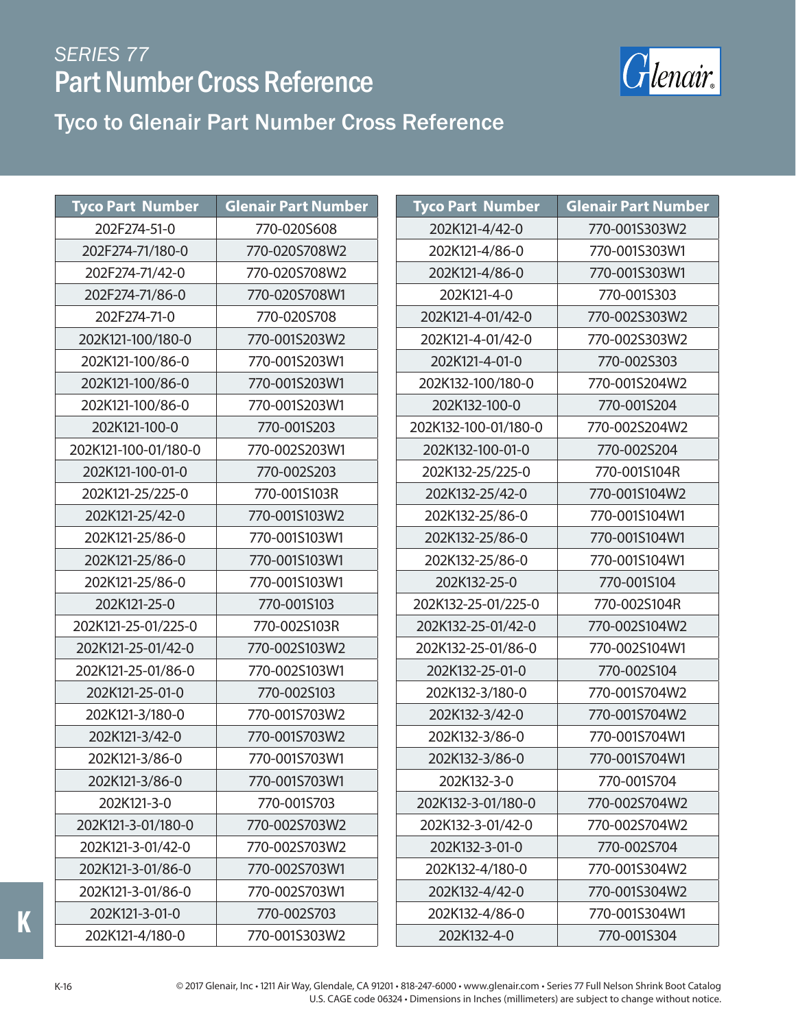

#### Tyco to Glenair Part Number Cross Reference

| <b>Tyco Part Number</b> | <b>Glenair Part Number</b> |  | <b>Tyco Part Number</b> | <b>Glenair Part Number</b> |
|-------------------------|----------------------------|--|-------------------------|----------------------------|
| 202F274-51-0            | 770-020S608                |  | 202K121-4/42-0          | 770-001S303W2              |
| 202F274-71/180-0        | 770-020S708W2              |  | 202K121-4/86-0          | 770-001S303W1              |
| 202F274-71/42-0         | 770-020S708W2              |  | 202K121-4/86-0          | 770-001S303W1              |
| 202F274-71/86-0         | 770-020S708W1              |  | 202K121-4-0             | 770-001S303                |
| 202F274-71-0            | 770-020S708                |  | 202K121-4-01/42-0       | 770-002S303W2              |
| 202K121-100/180-0       | 770-001S203W2              |  | 202K121-4-01/42-0       | 770-002S303W2              |
| 202K121-100/86-0        | 770-001S203W1              |  | 202K121-4-01-0          | 770-002S303                |
| 202K121-100/86-0        | 770-001S203W1              |  | 202K132-100/180-0       | 770-001S204W2              |
| 202K121-100/86-0        | 770-001S203W1              |  | 202K132-100-0           | 770-001S204                |
| 202K121-100-0           | 770-001S203                |  | 202K132-100-01/180-0    | 770-002S204W2              |
| 202K121-100-01/180-0    | 770-002S203W1              |  | 202K132-100-01-0        | 770-002S204                |
| 202K121-100-01-0        | 770-002S203                |  | 202K132-25/225-0        | 770-001S104R               |
| 202K121-25/225-0        | 770-001S103R               |  | 202K132-25/42-0         | 770-001S104W2              |
| 202K121-25/42-0         | 770-001S103W2              |  | 202K132-25/86-0         | 770-001S104W1              |
| 202K121-25/86-0         | 770-001S103W1              |  | 202K132-25/86-0         | 770-001S104W1              |
| 202K121-25/86-0         | 770-001S103W1              |  | 202K132-25/86-0         | 770-001S104W1              |
| 202K121-25/86-0         | 770-001S103W1              |  | 202K132-25-0            | 770-001S104                |
| 202K121-25-0            | 770-001S103                |  | 202K132-25-01/225-0     | 770-002S104R               |
| 202K121-25-01/225-0     | 770-002S103R               |  | 202K132-25-01/42-0      | 770-002S104W2              |
| 202K121-25-01/42-0      | 770-002S103W2              |  | 202K132-25-01/86-0      | 770-002S104W1              |
| 202K121-25-01/86-0      | 770-002S103W1              |  | 202K132-25-01-0         | 770-002S104                |
| 202K121-25-01-0         | 770-002S103                |  | 202K132-3/180-0         | 770-001S704W2              |
| 202K121-3/180-0         | 770-001S703W2              |  | 202K132-3/42-0          | 770-001S704W2              |
| 202K121-3/42-0          | 770-001S703W2              |  | 202K132-3/86-0          | 770-001S704W1              |
| 202K121-3/86-0          | 770-001S703W1              |  | 202K132-3/86-0          | 770-001S704W1              |
| 202K121-3/86-0          | 770-001S703W1              |  | 202K132-3-0             | 770-001S704                |
| 202K121-3-0             | 770-001S703                |  | 202K132-3-01/180-0      | 770-002S704W2              |
| 202K121-3-01/180-0      | 770-002S703W2              |  | 202K132-3-01/42-0       | 770-002S704W2              |
| 202K121-3-01/42-0       | 770-002S703W2              |  | 202K132-3-01-0          | 770-002S704                |
| 202K121-3-01/86-0       | 770-002S703W1              |  | 202K132-4/180-0         | 770-001S304W2              |
| 202K121-3-01/86-0       | 770-002S703W1              |  | 202K132-4/42-0          | 770-001S304W2              |
| 202K121-3-01-0          | 770-002S703                |  | 202K132-4/86-0          | 770-001S304W1              |
| 202K121-4/180-0         | 770-001S303W2              |  | 202K132-4-0             | 770-001S304                |

© 2017 Glenair, Inc • 1211 Air Way, Glendale, CA 91201 • 818-247-6000 • www.glenair.com • Series 77 Full Nelson Shrink Boot Catalog U.S. CAGE code 06324 • Dimensions in Inches (millimeters) are subject to change without notice.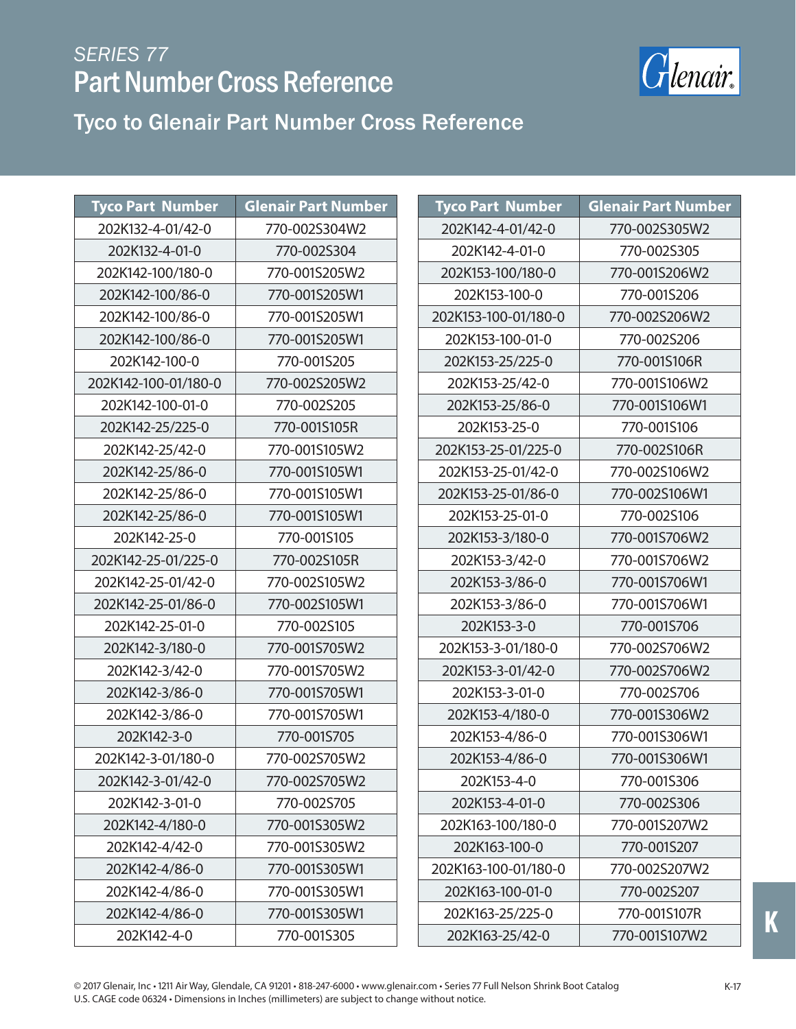

| <b>Tyco Part Number</b> | <b>Glenair Part Number</b> | <b>Tyco Part Number</b> | <b>Glenair Part Number</b> |
|-------------------------|----------------------------|-------------------------|----------------------------|
| 202K132-4-01/42-0       | 770-002S304W2              | 202K142-4-01/42-0       | 770-002S305W2              |
| 202K132-4-01-0          | 770-002S304                | 202K142-4-01-0          | 770-002S305                |
| 202K142-100/180-0       | 770-001S205W2              | 202K153-100/180-0       | 770-001S206W2              |
| 202K142-100/86-0        | 770-001S205W1              | 202K153-100-0           | 770-001S206                |
| 202K142-100/86-0        | 770-001S205W1              | 202K153-100-01/180-0    | 770-002S206W2              |
| 202K142-100/86-0        | 770-001S205W1              | 202K153-100-01-0        | 770-002S206                |
| 202K142-100-0           | 770-001S205                | 202K153-25/225-0        | 770-001S106R               |
| 202K142-100-01/180-0    | 770-002S205W2              | 202K153-25/42-0         | 770-001S106W2              |
| 202K142-100-01-0        | 770-002S205                | 202K153-25/86-0         | 770-001S106W1              |
| 202K142-25/225-0        | 770-001S105R               | 202K153-25-0            | 770-001S106                |
| 202K142-25/42-0         | 770-001S105W2              | 202K153-25-01/225-0     | 770-002S106R               |
| 202K142-25/86-0         | 770-001S105W1              | 202K153-25-01/42-0      | 770-002S106W2              |
| 202K142-25/86-0         | 770-001S105W1              | 202K153-25-01/86-0      | 770-002S106W1              |
| 202K142-25/86-0         | 770-001S105W1              | 202K153-25-01-0         | 770-002S106                |
| 202K142-25-0            | 770-001S105                | 202K153-3/180-0         | 770-001S706W2              |
| 202K142-25-01/225-0     | 770-002S105R               | 202K153-3/42-0          | 770-001S706W2              |
| 202K142-25-01/42-0      | 770-002S105W2              | 202K153-3/86-0          | 770-001S706W1              |
| 202K142-25-01/86-0      | 770-002S105W1              | 202K153-3/86-0          | 770-001S706W1              |
| 202K142-25-01-0         | 770-002S105                | 202K153-3-0             | 770-001S706                |
| 202K142-3/180-0         | 770-001S705W2              | 202K153-3-01/180-0      | 770-002S706W2              |
| 202K142-3/42-0          | 770-001S705W2              | 202K153-3-01/42-0       | 770-002S706W2              |
| 202K142-3/86-0          | 770-001S705W1              | 202K153-3-01-0          | 770-002S706                |
| 202K142-3/86-0          | 770-001S705W1              | 202K153-4/180-0         | 770-001S306W2              |
| 202K142-3-0             | 770-001S705                | 202K153-4/86-0          | 770-001S306W1              |
| 202K142-3-01/180-0      | 770-002S705W2              | 202K153-4/86-0          | 770-001S306W1              |
| 202K142-3-01/42-0       | 770-002S705W2              | 202K153-4-0             | 770-001S306                |
| 202K142-3-01-0          | 770-002S705                | 202K153-4-01-0          | 770-002S306                |
| 202K142-4/180-0         | 770-001S305W2              | 202K163-100/180-0       | 770-001S207W2              |
| 202K142-4/42-0          | 770-001S305W2              | 202K163-100-0           | 770-001S207                |
| 202K142-4/86-0          | 770-001S305W1              | 202K163-100-01/180-0    | 770-002S207W2              |
| 202K142-4/86-0          | 770-001S305W1              | 202K163-100-01-0        | 770-002S207                |
| 202K142-4/86-0          | 770-001S305W1              | 202K163-25/225-0        | 770-001S107R               |
| 202K142-4-0             | 770-001S305                | 202K163-25/42-0         | 770-001S107W2              |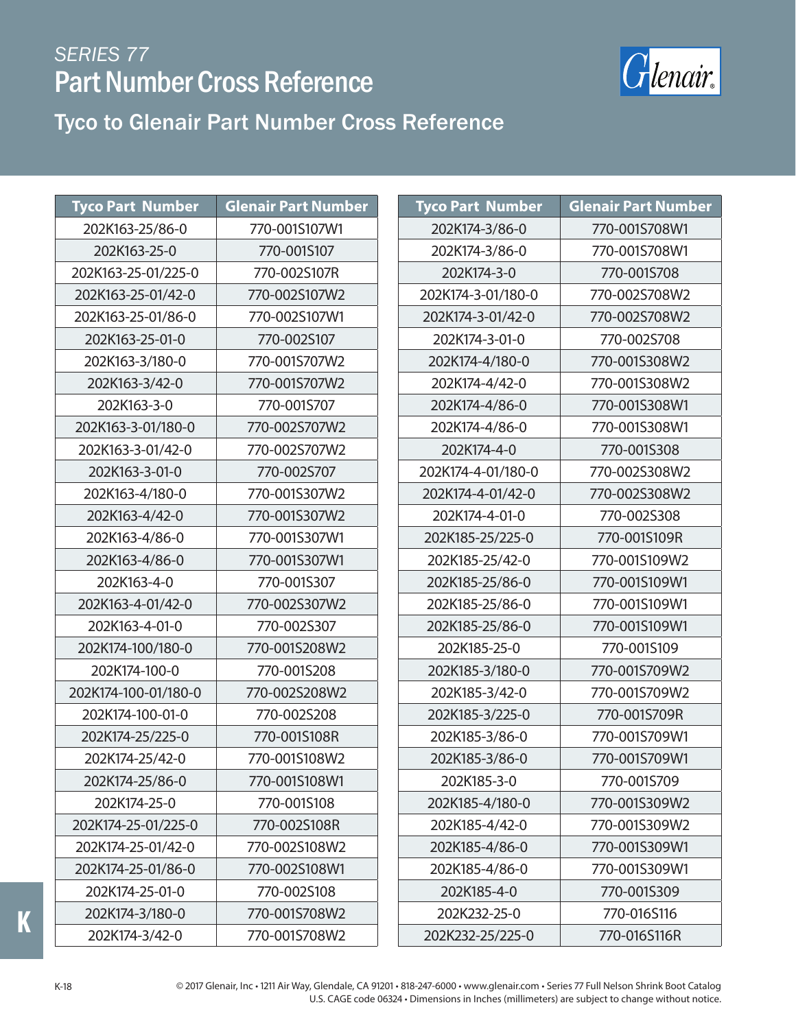

#### Tyco to Glenair Part Number Cross Reference

| <b>Tyco Part Number</b> | <b>Glenair Part Number</b> | <b>Tyco Part Number</b> | <b>Glenair Part Number</b> |
|-------------------------|----------------------------|-------------------------|----------------------------|
| 202K163-25/86-0         | 770-001S107W1              | 202K174-3/86-0          | 770-001S708W1              |
| 202K163-25-0            | 770-001S107                | 202K174-3/86-0          | 770-001S708W1              |
| 202K163-25-01/225-0     | 770-002S107R               | 202K174-3-0             | 770-001S708                |
| 202K163-25-01/42-0      | 770-002S107W2              | 202K174-3-01/180-0      | 770-002S708W2              |
| 202K163-25-01/86-0      | 770-002S107W1              | 202K174-3-01/42-0       | 770-002S708W2              |
| 202K163-25-01-0         | 770-002S107                | 202K174-3-01-0          | 770-002S708                |
| 202K163-3/180-0         | 770-001S707W2              | 202K174-4/180-0         | 770-001S308W2              |
| 202K163-3/42-0          | 770-001S707W2              | 202K174-4/42-0          | 770-001S308W2              |
| 202K163-3-0             | 770-001S707                | 202K174-4/86-0          | 770-001S308W1              |
| 202K163-3-01/180-0      | 770-002S707W2              | 202K174-4/86-0          | 770-001S308W1              |
| 202K163-3-01/42-0       | 770-002S707W2              | 202K174-4-0             | 770-001S308                |
| 202K163-3-01-0          | 770-002S707                | 202K174-4-01/180-0      | 770-002S308W2              |
| 202K163-4/180-0         | 770-001S307W2              | 202K174-4-01/42-0       | 770-002S308W2              |
| 202K163-4/42-0          | 770-001S307W2              | 202K174-4-01-0          | 770-002S308                |
| 202K163-4/86-0          | 770-001S307W1              | 202K185-25/225-0        | 770-001S109R               |
| 202K163-4/86-0          | 770-001S307W1              | 202K185-25/42-0         | 770-001S109W2              |
| 202K163-4-0             | 770-001S307                | 202K185-25/86-0         | 770-001S109W1              |
| 202K163-4-01/42-0       | 770-002S307W2              | 202K185-25/86-0         | 770-001S109W1              |
| 202K163-4-01-0          | 770-002S307                | 202K185-25/86-0         | 770-001S109W1              |
| 202K174-100/180-0       | 770-001S208W2              | 202K185-25-0            | 770-001S109                |
| 202K174-100-0           | 770-001S208                | 202K185-3/180-0         | 770-001S709W2              |
| 202K174-100-01/180-0    | 770-002S208W2              | 202K185-3/42-0          | 770-001S709W2              |
| 202K174-100-01-0        | 770-002S208                | 202K185-3/225-0         | 770-001S709R               |
| 202K174-25/225-0        | 770-001S108R               | 202K185-3/86-0          | 770-001S709W1              |
| 202K174-25/42-0         | 770-001S108W2              | 202K185-3/86-0          | 770-001S709W1              |
| 202K174-25/86-0         | 770-001S108W1              | 202K185-3-0             | 770-001S709                |
| 202K174-25-0            | 770-001S108                | 202K185-4/180-0         | 770-001S309W2              |
| 202K174-25-01/225-0     | 770-002S108R               | 202K185-4/42-0          | 770-001S309W2              |
| 202K174-25-01/42-0      | 770-002S108W2              | 202K185-4/86-0          | 770-001S309W1              |
| 202K174-25-01/86-0      | 770-002S108W1              | 202K185-4/86-0          | 770-001S309W1              |
| 202K174-25-01-0         | 770-002S108                | 202K185-4-0             | 770-001S309                |
| 202K174-3/180-0         | 770-001S708W2              | 202K232-25-0            | 770-016S116                |
| 202K174-3/42-0          | 770-001S708W2              | 202K232-25/225-0        | 770-016S116R               |

**K**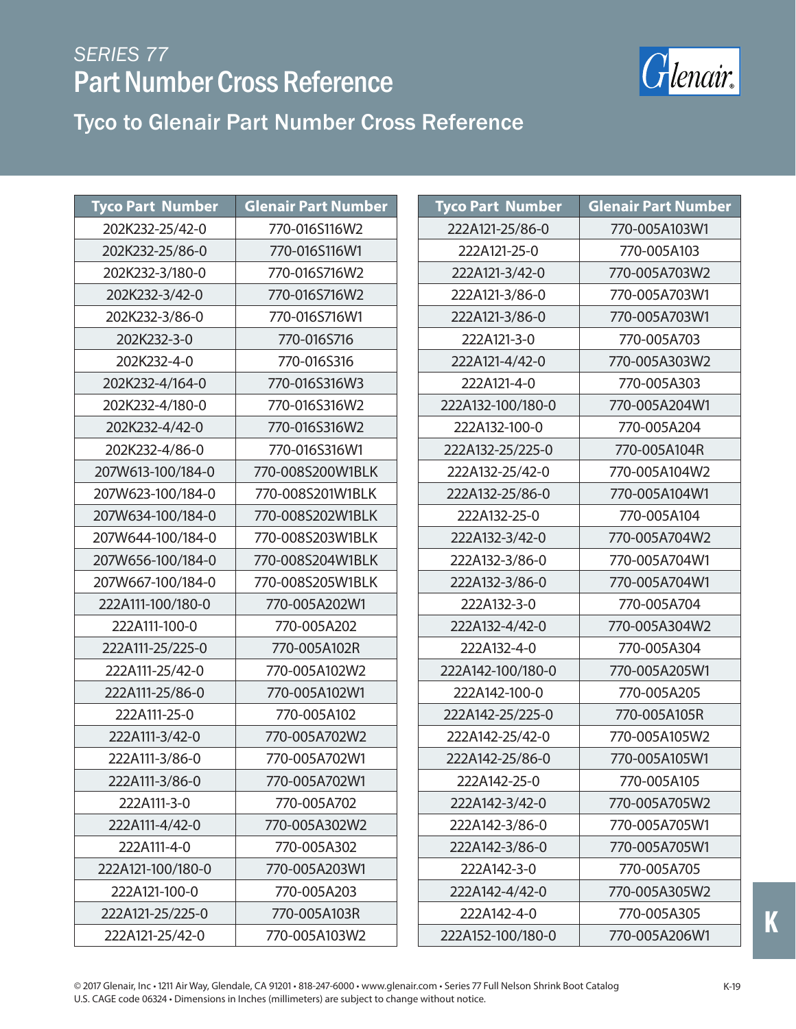

| <b>Tyco Part Number</b> | <b>Glenair Part Number</b> | <b>Tyco Part Number</b> | <b>Glenair Part Number</b> |
|-------------------------|----------------------------|-------------------------|----------------------------|
| 202K232-25/42-0         | 770-016S116W2              | 222A121-25/86-0         | 770-005A103W1              |
| 202K232-25/86-0         | 770-016S116W1              | 222A121-25-0            | 770-005A103                |
| 202K232-3/180-0         | 770-016S716W2              | 222A121-3/42-0          | 770-005A703W2              |
| 202K232-3/42-0          | 770-016S716W2              | 222A121-3/86-0          | 770-005A703W1              |
| 202K232-3/86-0          | 770-016S716W1              | 222A121-3/86-0          | 770-005A703W1              |
| 202K232-3-0             | 770-016S716                | 222A121-3-0             | 770-005A703                |
| 202K232-4-0             | 770-016S316                | 222A121-4/42-0          | 770-005A303W2              |
| 202K232-4/164-0         | 770-016S316W3              | 222A121-4-0             | 770-005A303                |
| 202K232-4/180-0         | 770-016S316W2              | 222A132-100/180-0       | 770-005A204W1              |
| 202K232-4/42-0          | 770-016S316W2              | 222A132-100-0           | 770-005A204                |
| 202K232-4/86-0          | 770-016S316W1              | 222A132-25/225-0        | 770-005A104R               |
| 207W613-100/184-0       | 770-008S200W1BLK           | 222A132-25/42-0         | 770-005A104W2              |
| 207W623-100/184-0       | 770-008S201W1BLK           | 222A132-25/86-0         | 770-005A104W1              |
| 207W634-100/184-0       | 770-008S202W1BLK           | 222A132-25-0            | 770-005A104                |
| 207W644-100/184-0       | 770-008S203W1BLK           | 222A132-3/42-0          | 770-005A704W2              |
| 207W656-100/184-0       | 770-008S204W1BLK           | 222A132-3/86-0          | 770-005A704W1              |
| 207W667-100/184-0       | 770-008S205W1BLK           | 222A132-3/86-0          | 770-005A704W1              |
| 222A111-100/180-0       | 770-005A202W1              | 222A132-3-0             | 770-005A704                |
| 222A111-100-0           | 770-005A202                | 222A132-4/42-0          | 770-005A304W2              |
| 222A111-25/225-0        | 770-005A102R               | 222A132-4-0             | 770-005A304                |
| 222A111-25/42-0         | 770-005A102W2              | 222A142-100/180-0       | 770-005A205W1              |
| 222A111-25/86-0         | 770-005A102W1              | 222A142-100-0           | 770-005A205                |
| 222A111-25-0            | 770-005A102                | 222A142-25/225-0        | 770-005A105R               |
| 222A111-3/42-0          | 770-005A702W2              | 222A142-25/42-0         | 770-005A105W2              |
| 222A111-3/86-0          | 770-005A702W1              | 222A142-25/86-0         | 770-005A105W1              |
| 222A111-3/86-0          | 770-005A702W1              | 222A142-25-0            | 770-005A105                |
| 222A111-3-0             | 770-005A702                | 222A142-3/42-0          | 770-005A705W2              |
| 222A111-4/42-0          | 770-005A302W2              | 222A142-3/86-0          | 770-005A705W1              |
| 222A111-4-0             | 770-005A302                | 222A142-3/86-0          | 770-005A705W1              |
| 222A121-100/180-0       | 770-005A203W1              | 222A142-3-0             | 770-005A705                |
| 222A121-100-0           | 770-005A203                | 222A142-4/42-0          | 770-005A305W2              |
| 222A121-25/225-0        | 770-005A103R               | 222A142-4-0             | 770-005A305                |
| 222A121-25/42-0         | 770-005A103W2              | 222A152-100/180-0       | 770-005A206W1              |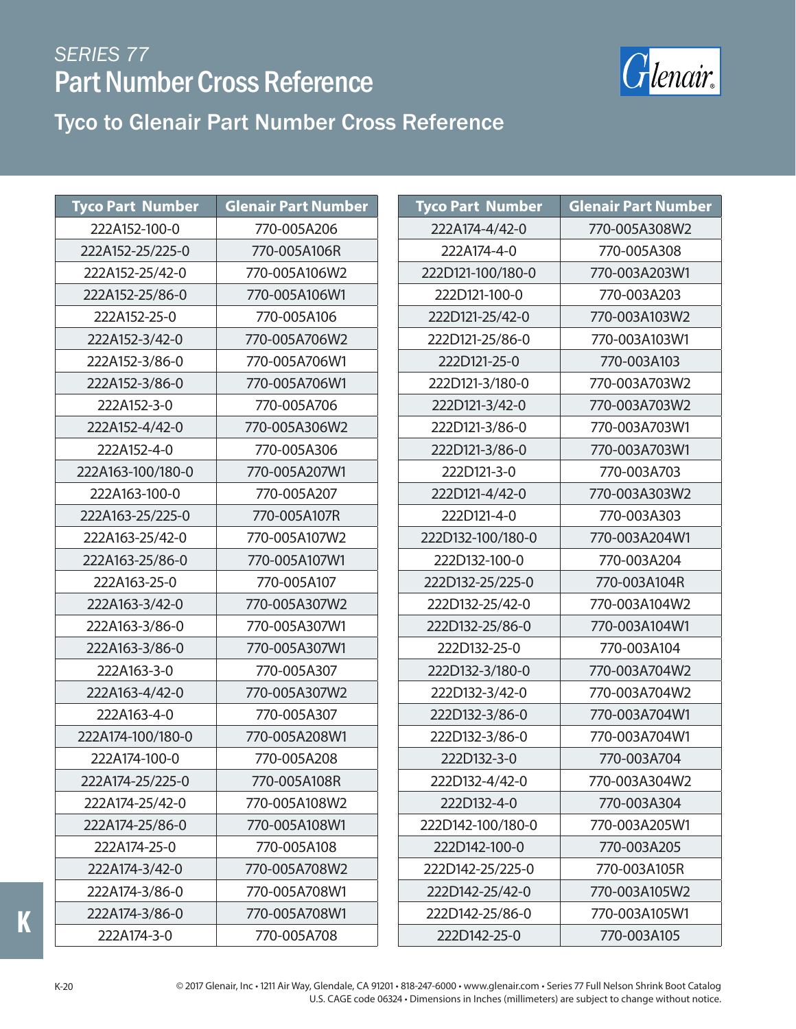

#### Tyco to Glenair Part Number Cross Reference

| <b>Tyco Part Number</b> | <b>Glenair Part Number</b> |
|-------------------------|----------------------------|
| 222A152-100-0           | 770-005A206                |
| 222A152-25/225-0        | 770-005A106R               |
| 222A152-25/42-0         | 770-005A106W2              |
| 222A152-25/86-0         | 770-005A106W1              |
| 222A152-25-0            | 770-005A106                |
| 222A152-3/42-0          | 770-005A706W2              |
| 222A152-3/86-0          | 770-005A706W1              |
| 222A152-3/86-0          | 770-005A706W1              |
| 222A152-3-0             | 770-005A706                |
| 222A152-4/42-0          | 770-005A306W2              |
| 222A152-4-0             | 770-005A306                |
| 222A163-100/180-0       | 770-005A207W1              |
| 222A163-100-0           | 770-005A207                |
| 222A163-25/225-0        | 770-005A107R               |
| 222A163-25/42-0         | 770-005A107W2              |
| 222A163-25/86-0         | 770-005A107W1              |
| 222A163-25-0            | 770-005A107                |
| 222A163-3/42-0          | 770-005A307W2              |
| 222A163-3/86-0          | 770-005A307W1              |
| 222A163-3/86-0          | 770-005A307W1              |
| 222A163-3-0             | 770-005A307                |
| 222A163-4/42-0          | 770-005A307W2              |
| 222A163-4-0             | 770-005A307                |
| 222A174-100/180-0       | 770-005A208W1              |
| 222A174-100-0           | 770-005A208                |
| 222A174-25/225-0        | 770-005A108R               |
| 222A174-25/42-0         | 770-005A108W2              |
| 222A174-25/86-0         | 770-005A108W1              |
| 222A174-25-0            | 770-005A108                |
| 222A174-3/42-0          | 770-005A708W2              |
| 222A174-3/86-0          | 770-005A708W1              |
| 222A174-3/86-0          | 770-005A708W1              |
| 222A174-3-0             | 770-005A708                |

| Tyco Part Number  | <b>Glenair Part Number</b> |
|-------------------|----------------------------|
| 222A174-4/42-0    | 770-005A308W2              |
| 222A174-4-0       | 770-005A308                |
| 222D121-100/180-0 | 770-003A203W1              |
| 222D121-100-0     | 770-003A203                |
| 222D121-25/42-0   | 770-003A103W2              |
| 222D121-25/86-0   | 770-003A103W1              |
| 222D121-25-0      | 770-003A103                |
| 222D121-3/180-0   | 770-003A703W2              |
| 222D121-3/42-0    | 770-003A703W2              |
| 222D121-3/86-0    | 770-003A703W1              |
| 222D121-3/86-0    | 770-003A703W1              |
| 222D121-3-0       | 770-003A703                |
| 222D121-4/42-0    | 770-003A303W2              |
| 222D121-4-0       | 770-003A303                |
| 222D132-100/180-0 | 770-003A204W1              |
| 222D132-100-0     | 770-003A204                |
| 222D132-25/225-0  | 770-003A104R               |
| 222D132-25/42-0   | 770-003A104W2              |
| 222D132-25/86-0   | 770-003A104W1              |
| 222D132-25-0      | 770-003A104                |
| 222D132-3/180-0   | 770-003A704W2              |
| 222D132-3/42-0    | 770-003A704W2              |
| 222D132-3/86-0    | 770-003A704W1              |
| 222D132-3/86-0    | 770-003A704W1              |
| 222D132-3-0       | 770-003A704                |
| 222D132-4/42-0    | 770-003A304W2              |
| 222D132-4-0       | 770-003A304                |
| 222D142-100/180-0 | 770-003A205W1              |
| 222D142-100-0     | 770-003A205                |
| 222D142-25/225-0  | 770-003A105R               |
| 222D142-25/42-0   | 770-003A105W2              |
| 222D142-25/86-0   | 770-003A105W1              |
| 222D142-25-0      | 770-003A105                |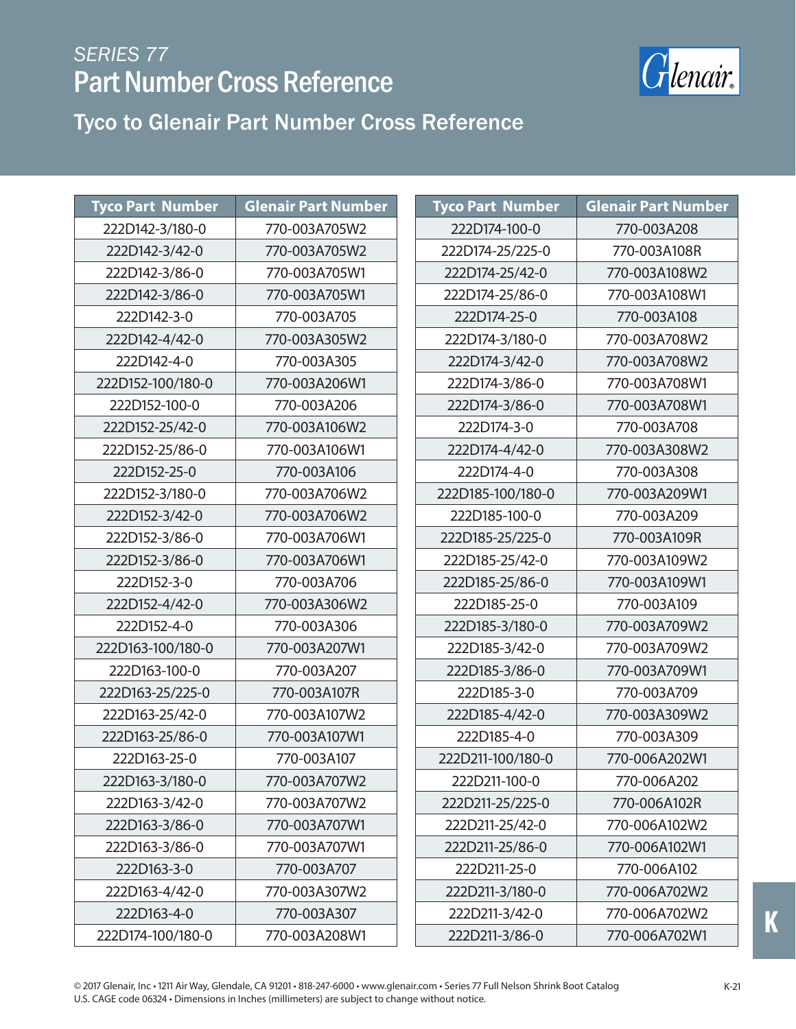

| <b>Tyco Part Number</b> | <b>Glenair Part Number</b> | <b>Tyco Part Number</b> | <b>Glenair Part Number</b> |
|-------------------------|----------------------------|-------------------------|----------------------------|
| 222D142-3/180-0         | 770-003A705W2              | 222D174-100-0           | 770-003A208                |
| 222D142-3/42-0          | 770-003A705W2              | 222D174-25/225-0        | 770-003A108R               |
| 222D142-3/86-0          | 770-003A705W1              | 222D174-25/42-0         | 770-003A108W2              |
| 222D142-3/86-0          | 770-003A705W1              | 222D174-25/86-0         | 770-003A108W1              |
| 222D142-3-0             | 770-003A705                | 222D174-25-0            | 770-003A108                |
| 222D142-4/42-0          | 770-003A305W2              | 222D174-3/180-0         | 770-003A708W2              |
| 222D142-4-0             | 770-003A305                | 222D174-3/42-0          | 770-003A708W2              |
| 222D152-100/180-0       | 770-003A206W1              | 222D174-3/86-0          | 770-003A708W1              |
| 222D152-100-0           | 770-003A206                | 222D174-3/86-0          | 770-003A708W1              |
| 222D152-25/42-0         | 770-003A106W2              | 222D174-3-0             | 770-003A708                |
| 222D152-25/86-0         | 770-003A106W1              | 222D174-4/42-0          | 770-003A308W2              |
| 222D152-25-0            | 770-003A106                | 222D174-4-0             | 770-003A308                |
| 222D152-3/180-0         | 770-003A706W2              | 222D185-100/180-0       | 770-003A209W1              |
| 222D152-3/42-0          | 770-003A706W2              | 222D185-100-0           | 770-003A209                |
| 222D152-3/86-0          | 770-003A706W1              | 222D185-25/225-0        | 770-003A109R               |
| 222D152-3/86-0          | 770-003A706W1              | 222D185-25/42-0         | 770-003A109W2              |
| 222D152-3-0             | 770-003A706                | 222D185-25/86-0         | 770-003A109W1              |
| 222D152-4/42-0          | 770-003A306W2              | 222D185-25-0            | 770-003A109                |
| 222D152-4-0             | 770-003A306                | 222D185-3/180-0         | 770-003A709W2              |
| 222D163-100/180-0       | 770-003A207W1              | 222D185-3/42-0          | 770-003A709W2              |
| 222D163-100-0           | 770-003A207                | 222D185-3/86-0          | 770-003A709W1              |
| 222D163-25/225-0        | 770-003A107R               | 222D185-3-0             | 770-003A709                |
| 222D163-25/42-0         | 770-003A107W2              | 222D185-4/42-0          | 770-003A309W2              |
| 222D163-25/86-0         | 770-003A107W1              | 222D185-4-0             | 770-003A309                |
| 222D163-25-0            | 770-003A107                | 222D211-100/180-0       | 770-006A202W1              |
| 222D163-3/180-0         | 770-003A707W2              | 222D211-100-0           | 770-006A202                |
| 222D163-3/42-0          | 770-003A707W2              | 222D211-25/225-0        | 770-006A102R               |
| 222D163-3/86-0          | 770-003A707W1              | 222D211-25/42-0         | 770-006A102W2              |
| 222D163-3/86-0          | 770-003A707W1              | 222D211-25/86-0         | 770-006A102W1              |
| 222D163-3-0             | 770-003A707                | 222D211-25-0            | 770-006A102                |
| 222D163-4/42-0          | 770-003A307W2              | 222D211-3/180-0         | 770-006A702W2              |
| 222D163-4-0             | 770-003A307                | 222D211-3/42-0          | 770-006A702W2              |
| 222D174-100/180-0       | 770-003A208W1              | 222D211-3/86-0          | 770-006A702W1              |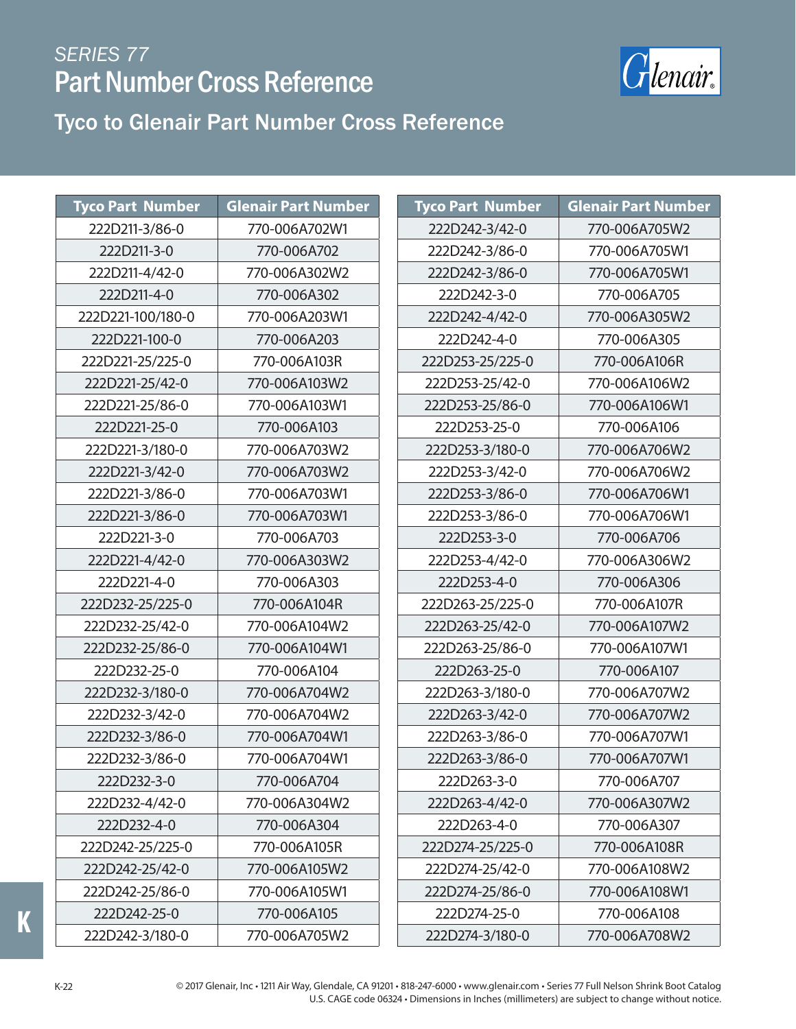

#### Tyco to Glenair Part Number Cross Reference

| <b>Tyco Part Number</b> | <b>Glenair Part Number</b> | <b>Tyco Part Number</b> | <b>Glenair Part Number</b> |
|-------------------------|----------------------------|-------------------------|----------------------------|
| 222D211-3/86-0          | 770-006A702W1              | 222D242-3/42-0          | 770-006A705W2              |
| 222D211-3-0             | 770-006A702                | 222D242-3/86-0          | 770-006A705W1              |
| 222D211-4/42-0          | 770-006A302W2              | 222D242-3/86-0          | 770-006A705W1              |
| 222D211-4-0             | 770-006A302                | 222D242-3-0             | 770-006A705                |
| 222D221-100/180-0       | 770-006A203W1              | 222D242-4/42-0          | 770-006A305W2              |
| 222D221-100-0           | 770-006A203                | 222D242-4-0             | 770-006A305                |
| 222D221-25/225-0        | 770-006A103R               | 222D253-25/225-0        | 770-006A106R               |
| 222D221-25/42-0         | 770-006A103W2              | 222D253-25/42-0         | 770-006A106W2              |
| 222D221-25/86-0         | 770-006A103W1              | 222D253-25/86-0         | 770-006A106W1              |
| 222D221-25-0            | 770-006A103                | 222D253-25-0            | 770-006A106                |
| 222D221-3/180-0         | 770-006A703W2              | 222D253-3/180-0         | 770-006A706W2              |
| 222D221-3/42-0          | 770-006A703W2              | 222D253-3/42-0          | 770-006A706W2              |
| 222D221-3/86-0          | 770-006A703W1              | 222D253-3/86-0          | 770-006A706W1              |
| 222D221-3/86-0          | 770-006A703W1              | 222D253-3/86-0          | 770-006A706W1              |
| 222D221-3-0             | 770-006A703                | 222D253-3-0             | 770-006A706                |
| 222D221-4/42-0          | 770-006A303W2              | 222D253-4/42-0          | 770-006A306W2              |
| 222D221-4-0             | 770-006A303                | 222D253-4-0             | 770-006A306                |
| 222D232-25/225-0        | 770-006A104R               | 222D263-25/225-0        | 770-006A107R               |
| 222D232-25/42-0         | 770-006A104W2              | 222D263-25/42-0         | 770-006A107W2              |
| 222D232-25/86-0         | 770-006A104W1              | 222D263-25/86-0         | 770-006A107W1              |
| 222D232-25-0            | 770-006A104                | 222D263-25-0            | 770-006A107                |
| 222D232-3/180-0         | 770-006A704W2              | 222D263-3/180-0         | 770-006A707W2              |
| 222D232-3/42-0          | 770-006A704W2              | 222D263-3/42-0          | 770-006A707W2              |
| 222D232-3/86-0          | 770-006A704W1              | 222D263-3/86-0          | 770-006A707W1              |
| 222D232-3/86-0          | 770-006A704W1              | 222D263-3/86-0          | 770-006A707W1              |
| 222D232-3-0             | 770-006A704                | 222D263-3-0             | 770-006A707                |
| 222D232-4/42-0          | 770-006A304W2              | 222D263-4/42-0          | 770-006A307W2              |
| 222D232-4-0             | 770-006A304                | 222D263-4-0             | 770-006A307                |
| 222D242-25/225-0        | 770-006A105R               | 222D274-25/225-0        | 770-006A108R               |
| 222D242-25/42-0         | 770-006A105W2              | 222D274-25/42-0         | 770-006A108W2              |
| 222D242-25/86-0         | 770-006A105W1              | 222D274-25/86-0         | 770-006A108W1              |
| 222D242-25-0            | 770-006A105                | 222D274-25-0            | 770-006A108                |
| 222D242-3/180-0         | 770-006A705W2              | 222D274-3/180-0         | 770-006A708W2              |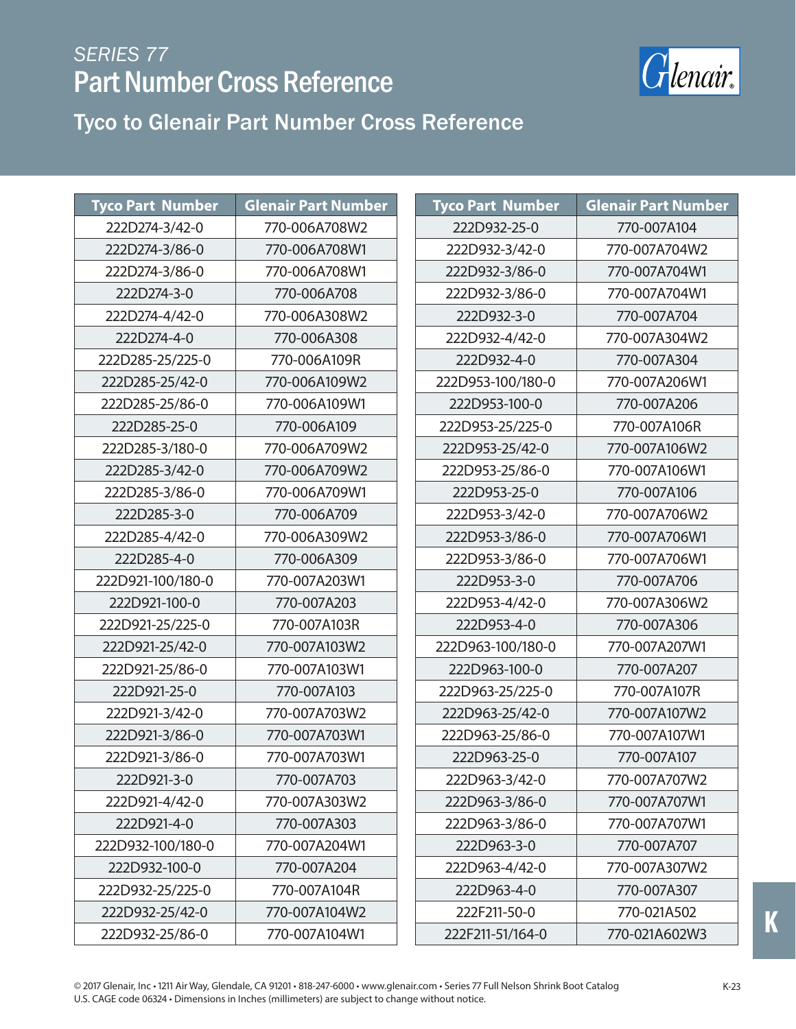

| <b>Tyco Part Number</b> | <b>Glenair Part Number</b> |  | <b>Tyco Part Number</b> | <b>Glenair Part Number</b> |
|-------------------------|----------------------------|--|-------------------------|----------------------------|
| 222D274-3/42-0          | 770-006A708W2              |  | 222D932-25-0            | 770-007A104                |
| 222D274-3/86-0          | 770-006A708W1              |  | 222D932-3/42-0          | 770-007A704W2              |
| 222D274-3/86-0          | 770-006A708W1              |  | 222D932-3/86-0          | 770-007A704W1              |
| 222D274-3-0             | 770-006A708                |  | 222D932-3/86-0          | 770-007A704W1              |
| 222D274-4/42-0          | 770-006A308W2              |  | 222D932-3-0             | 770-007A704                |
| 222D274-4-0             | 770-006A308                |  | 222D932-4/42-0          | 770-007A304W2              |
| 222D285-25/225-0        | 770-006A109R               |  | 222D932-4-0             | 770-007A304                |
| 222D285-25/42-0         | 770-006A109W2              |  | 222D953-100/180-0       | 770-007A206W1              |
| 222D285-25/86-0         | 770-006A109W1              |  | 222D953-100-0           | 770-007A206                |
| 222D285-25-0            | 770-006A109                |  | 222D953-25/225-0        | 770-007A106R               |
| 222D285-3/180-0         | 770-006A709W2              |  | 222D953-25/42-0         | 770-007A106W2              |
| 222D285-3/42-0          | 770-006A709W2              |  | 222D953-25/86-0         | 770-007A106W1              |
| 222D285-3/86-0          | 770-006A709W1              |  | 222D953-25-0            | 770-007A106                |
| 222D285-3-0             | 770-006A709                |  | 222D953-3/42-0          | 770-007A706W2              |
| 222D285-4/42-0          | 770-006A309W2              |  | 222D953-3/86-0          | 770-007A706W1              |
| 222D285-4-0             | 770-006A309                |  | 222D953-3/86-0          | 770-007A706W1              |
| 222D921-100/180-0       | 770-007A203W1              |  | 222D953-3-0             | 770-007A706                |
| 222D921-100-0           | 770-007A203                |  | 222D953-4/42-0          | 770-007A306W2              |
| 222D921-25/225-0        | 770-007A103R               |  | 222D953-4-0             | 770-007A306                |
| 222D921-25/42-0         | 770-007A103W2              |  | 222D963-100/180-0       | 770-007A207W1              |
| 222D921-25/86-0         | 770-007A103W1              |  | 222D963-100-0           | 770-007A207                |
| 222D921-25-0            | 770-007A103                |  | 222D963-25/225-0        | 770-007A107R               |
| 222D921-3/42-0          | 770-007A703W2              |  | 222D963-25/42-0         | 770-007A107W2              |
| 222D921-3/86-0          | 770-007A703W1              |  | 222D963-25/86-0         | 770-007A107W1              |
| 222D921-3/86-0          | 770-007A703W1              |  | 222D963-25-0            | 770-007A107                |
| 222D921-3-0             | 770-007A703                |  | 222D963-3/42-0          | 770-007A707W2              |
| 222D921-4/42-0          | 770-007A303W2              |  | 222D963-3/86-0          | 770-007A707W1              |
| 222D921-4-0             | 770-007A303                |  | 222D963-3/86-0          | 770-007A707W1              |
| 222D932-100/180-0       | 770-007A204W1              |  | 222D963-3-0             | 770-007A707                |
| 222D932-100-0           | 770-007A204                |  | 222D963-4/42-0          | 770-007A307W2              |
| 222D932-25/225-0        | 770-007A104R               |  | 222D963-4-0             | 770-007A307                |
| 222D932-25/42-0         | 770-007A104W2              |  | 222F211-50-0            | 770-021A502                |
| 222D932-25/86-0         | 770-007A104W1              |  | 222F211-51/164-0        | 770-021A602W3              |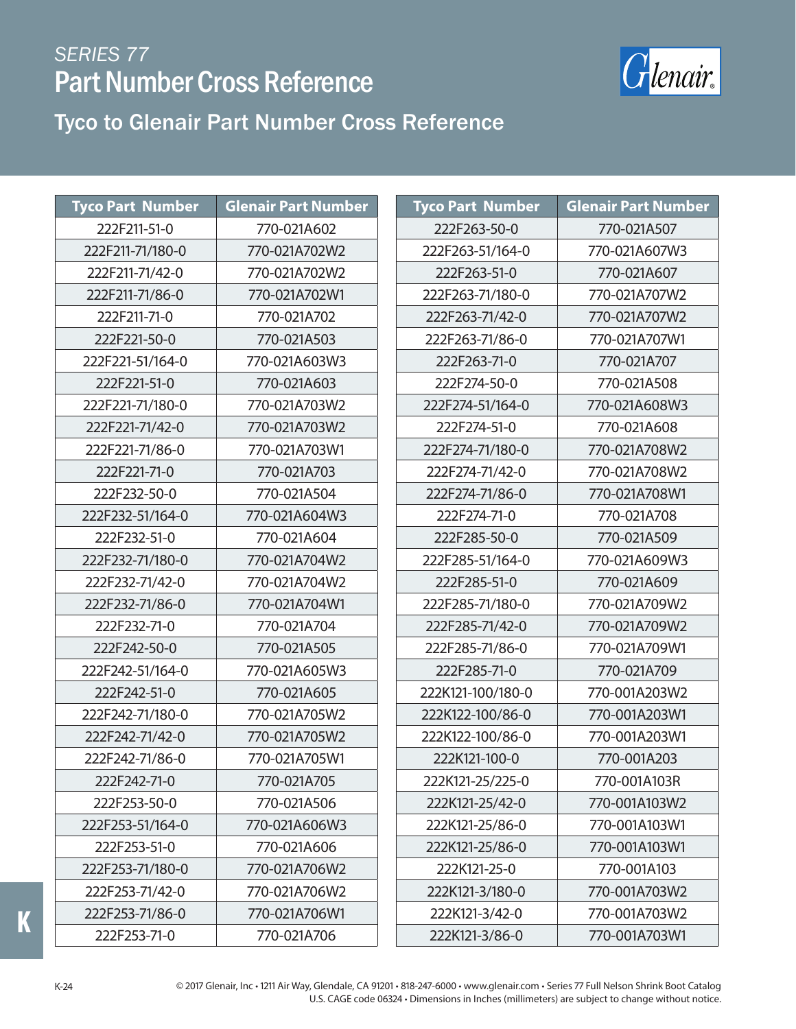

#### Tyco to Glenair Part Number Cross Reference

| <b>Tyco Part Number</b> | <b>Glenair Part Number</b> | <b>Tyco</b>     |
|-------------------------|----------------------------|-----------------|
| 222F211-51-0            | 770-021A602                | 22              |
| 222F211-71/180-0        | 770-021A702W2              | 222             |
| 222F211-71/42-0         | 770-021A702W2              | $2^{\cdot}$     |
| 222F211-71/86-0         | 770-021A702W1              | 222             |
| 222F211-71-0            | 770-021A702                | 222             |
| 222F221-50-0            | 770-021A503                | 222             |
| 222F221-51/164-0        | 770-021A603W3              | 2 <sup>2</sup>  |
| 222F221-51-0            | 770-021A603                | 2 <sup>2</sup>  |
| 222F221-71/180-0        | 770-021A703W2              | 222             |
| 222F221-71/42-0         | 770-021A703W2              | $2^{\cdot}$     |
| 222F221-71/86-0         | 770-021A703W1              | 222             |
| 222F221-71-0            | 770-021A703                | 222             |
| 222F232-50-0            | 770-021A504                | 222             |
| 222F232-51/164-0        | 770-021A604W3              | $2^{\circ}$     |
| 222F232-51-0            | 770-021A604                | 22              |
| 222F232-71/180-0        | 770-021A704W2              | 222             |
| 222F232-71/42-0         | 770-021A704W2              | 2 <sup>2</sup>  |
| 222F232-71/86-0         | 770-021A704W1              | 222             |
| 222F232-71-0            | 770-021A704                | 222             |
| 222F242-50-0            | 770-021A505                | 222             |
| 222F242-51/164-0        | 770-021A605W3              | 22              |
| 222F242-51-0            | 770-021A605                | 222             |
| 222F242-71/180-0        | 770-021A705W2              | 2221            |
| 222F242-71/42-0         | 770-021A705W2              | 2221            |
| 222F242-71/86-0         | 770-021A705W1              | 22              |
| 222F242-71-0            | 770-021A705                | 222             |
| 222F253-50-0            | 770-021A506                | 222             |
| 222F253-51/164-0        | 770-021A606W3              | 222             |
| 222F253-51-0            | 770-021A606                | 222             |
| 222F253-71/180-0        | 770-021A706W2              | $2^{\cdot}$     |
| 222F253-71/42-0         | 770-021A706W2              | 222             |
| 222F253-71/86-0         | 770-021A706W1              | 22              |
| 222F253-71-0            | 770-021A706                | 22 <sub>i</sub> |

| <b>Tyco Part Number</b> | <b>Glenair Part Number</b> |
|-------------------------|----------------------------|
| 222F263-50-0            | 770-021A507                |
| 222F263-51/164-0        | 770-021A607W3              |
| 222F263-51-0            | 770-021A607                |
| 222F263-71/180-0        | 770-021A707W2              |
| 222F263-71/42-0         | 770-021A707W2              |
| 222F263-71/86-0         | 770-021A707W1              |
| 222F263-71-0            | 770-021A707                |
| 222F274-50-0            | 770-021A508                |
| 222F274-51/164-0        | 770-021A608W3              |
| 222F274-51-0            | 770-021A608                |
| 222F274-71/180-0        | 770-021A708W2              |
| 222F274-71/42-0         | 770-021A708W2              |
| 222F274-71/86-0         | 770-021A708W1              |
| 222F274-71-0            | 770-021A708                |
| 222F285-50-0            | 770-021A509                |
| 222F285-51/164-0        | 770-021A609W3              |
| 222F285-51-0            | 770-021A609                |
| 222F285-71/180-0        | 770-021A709W2              |
| 222F285-71/42-0         | 770-021A709W2              |
| 222F285-71/86-0         | 770-021A709W1              |
| 222F285-71-0            | 770-021A709                |
| 222K121-100/180-0       | 770-001A203W2              |
| 222K122-100/86-0        | 770-001A203W1              |
| 222K122-100/86-0        | 770-001A203W1              |
| 222K121-100-0           | 770-001A203                |
| 222K121-25/225-0        | 770-001A103R               |
| 222K121-25/42-0         | 770-001A103W2              |
| 222K121-25/86-0         | 770-001A103W1              |
| 222K121-25/86-0         | 770-001A103W1              |
| 222K121-25-0            | 770-001A103                |
| 222K121-3/180-0         | 770-001A703W2              |
| 222K121-3/42-0          | 770-001A703W2              |
| 222K121-3/86-0          | 770-001A703W1              |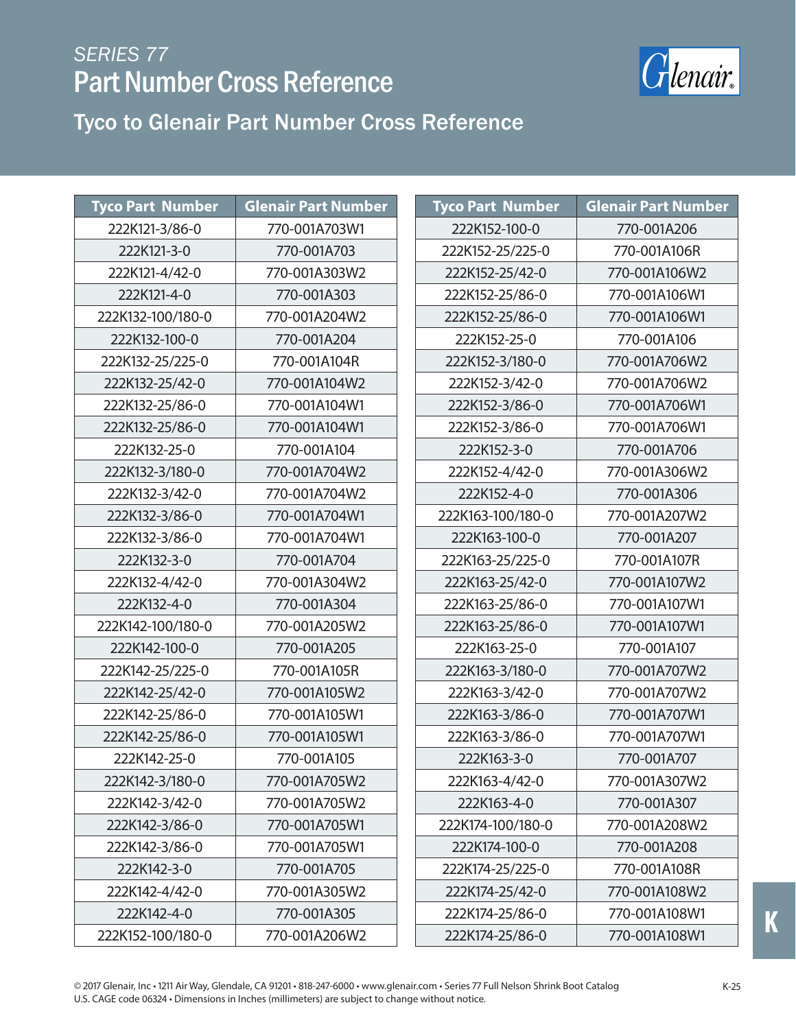

Tyco to Glenair Part Number Cross Reference

| <b>Tyco Part Number</b> | <b>Glenair Part Number</b> | <b>Tyco Part Number</b> | <b>Glenair Part Number</b> |
|-------------------------|----------------------------|-------------------------|----------------------------|
| 222K121-3/86-0          | 770-001A703W1              | 222K152-100-0           | 770-001A206                |
| 222K121-3-0             | 770-001A703                | 222K152-25/225-0        | 770-001A106R               |
| 222K121-4/42-0          | 770-001A303W2              | 222K152-25/42-0         | 770-001A106W2              |
| 222K121-4-0             | 770-001A303                | 222K152-25/86-0         | 770-001A106W1              |
| 222K132-100/180-0       | 770-001A204W2              | 222K152-25/86-0         | 770-001A106W1              |
| 222K132-100-0           | 770-001A204                | 222K152-25-0            | 770-001A106                |
| 222K132-25/225-0        | 770-001A104R               | 222K152-3/180-0         | 770-001A706W2              |
| 222K132-25/42-0         | 770-001A104W2              | 222K152-3/42-0          | 770-001A706W2              |
| 222K132-25/86-0         | 770-001A104W1              | 222K152-3/86-0          | 770-001A706W1              |
| 222K132-25/86-0         | 770-001A104W1              | 222K152-3/86-0          | 770-001A706W1              |
| 222K132-25-0            | 770-001A104                | 222K152-3-0             | 770-001A706                |
| 222K132-3/180-0         | 770-001A704W2              | 222K152-4/42-0          | 770-001A306W2              |
| 222K132-3/42-0          | 770-001A704W2              | 222K152-4-0             | 770-001A306                |
| 222K132-3/86-0          | 770-001A704W1              | 222K163-100/180-0       | 770-001A207W2              |
| 222K132-3/86-0          | 770-001A704W1              | 222K163-100-0           | 770-001A207                |
| 222K132-3-0             | 770-001A704                | 222K163-25/225-0        | 770-001A107R               |
| 222K132-4/42-0          | 770-001A304W2              | 222K163-25/42-0         | 770-001A107W2              |
| 222K132-4-0             | 770-001A304                | 222K163-25/86-0         | 770-001A107W1              |
| 222K142-100/180-0       | 770-001A205W2              | 222K163-25/86-0         | 770-001A107W1              |
| 222K142-100-0           | 770-001A205                | 222K163-25-0            | 770-001A107                |
| 222K142-25/225-0        | 770-001A105R               | 222K163-3/180-0         | 770-001A707W2              |
| 222K142-25/42-0         | 770-001A105W2              | 222K163-3/42-0          | 770-001A707W2              |
| 222K142-25/86-0         | 770-001A105W1              | 222K163-3/86-0          | 770-001A707W1              |
| 222K142-25/86-0         | 770-001A105W1              | 222K163-3/86-0          | 770-001A707W1              |
| 222K142-25-0            | 770-001A105                | 222K163-3-0             | 770-001A707                |
| 222K142-3/180-0         | 770-001A705W2              | 222K163-4/42-0          | 770-001A307W2              |
| 222K142-3/42-0          | 770-001A705W2              | 222K163-4-0             | 770-001A307                |
| 222K142-3/86-0          | 770-001A705W1              | 222K174-100/180-0       | 770-001A208W2              |
| 222K142-3/86-0          | 770-001A705W1              | 222K174-100-0           | 770-001A208                |
| 222K142-3-0             | 770-001A705                | 222K174-25/225-0        | 770-001A108R               |
| 222K142-4/42-0          | 770-001A305W2              | 222K174-25/42-0         | 770-001A108W2              |
| 222K142-4-0             | 770-001A305                | 222K174-25/86-0         | 770-001A108W1              |
| 222K152-100/180-0       | 770-001A206W2              | 222K174-25/86-0         | 770-001A108W1              |

K-25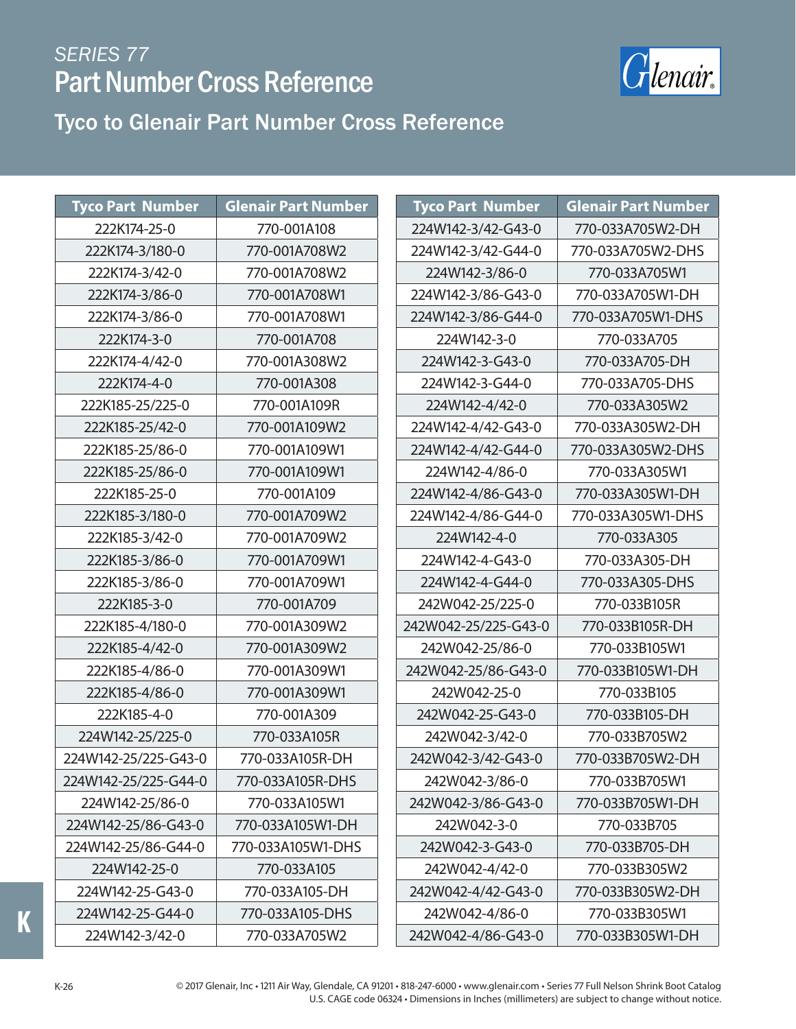

#### Tyco to Glenair Part Number Cross Reference

| <b>Tyco Part Number</b> | <b>Glenair Part Number</b> | <b>Tyco Part Number</b> | <b>Glenair Part Number</b> |
|-------------------------|----------------------------|-------------------------|----------------------------|
| 222K174-25-0            | 770-001A108                | 224W142-3/42-G43-0      | 770-033A705W2-DH           |
| 222K174-3/180-0         | 770-001A708W2              | 224W142-3/42-G44-0      | 770-033A705W2-DHS          |
| 222K174-3/42-0          | 770-001A708W2              | 224W142-3/86-0          | 770-033A705W1              |
| 222K174-3/86-0          | 770-001A708W1              | 224W142-3/86-G43-0      | 770-033A705W1-DH           |
| 222K174-3/86-0          | 770-001A708W1              | 224W142-3/86-G44-0      | 770-033A705W1-DHS          |
| 222K174-3-0             | 770-001A708                | 224W142-3-0             | 770-033A705                |
| 222K174-4/42-0          | 770-001A308W2              | 224W142-3-G43-0         | 770-033A705-DH             |
| 222K174-4-0             | 770-001A308                | 224W142-3-G44-0         | 770-033A705-DHS            |
| 222K185-25/225-0        | 770-001A109R               | 224W142-4/42-0          | 770-033A305W2              |
| 222K185-25/42-0         | 770-001A109W2              | 224W142-4/42-G43-0      | 770-033A305W2-DH           |
| 222K185-25/86-0         | 770-001A109W1              | 224W142-4/42-G44-0      | 770-033A305W2-DHS          |
| 222K185-25/86-0         | 770-001A109W1              | 224W142-4/86-0          | 770-033A305W1              |
| 222K185-25-0            | 770-001A109                | 224W142-4/86-G43-0      | 770-033A305W1-DH           |
| 222K185-3/180-0         | 770-001A709W2              | 224W142-4/86-G44-0      | 770-033A305W1-DHS          |
| 222K185-3/42-0          | 770-001A709W2              | 224W142-4-0             | 770-033A305                |
| 222K185-3/86-0          | 770-001A709W1              | 224W142-4-G43-0         | 770-033A305-DH             |
| 222K185-3/86-0          | 770-001A709W1              | 224W142-4-G44-0         | 770-033A305-DHS            |
| 222K185-3-0             | 770-001A709                | 242W042-25/225-0        | 770-033B105R               |
| 222K185-4/180-0         | 770-001A309W2              | 242W042-25/225-G43-0    | 770-033B105R-DH            |
| 222K185-4/42-0          | 770-001A309W2              | 242W042-25/86-0         | 770-033B105W1              |
| 222K185-4/86-0          | 770-001A309W1              | 242W042-25/86-G43-0     | 770-033B105W1-DH           |
| 222K185-4/86-0          | 770-001A309W1              | 242W042-25-0            | 770-033B105                |
| 222K185-4-0             | 770-001A309                | 242W042-25-G43-0        | 770-033B105-DH             |
| 224W142-25/225-0        | 770-033A105R               | 242W042-3/42-0          | 770-033B705W2              |
| 224W142-25/225-G43-0    | 770-033A105R-DH            | 242W042-3/42-G43-0      | 770-033B705W2-DH           |
| 224W142-25/225-G44-0    | 770-033A105R-DHS           | 242W042-3/86-0          | 770-033B705W1              |
| 224W142-25/86-0         | 770-033A105W1              | 242W042-3/86-G43-0      | 770-033B705W1-DH           |
| 224W142-25/86-G43-0     | 770-033A105W1-DH           | 242W042-3-0             | 770-033B705                |
| 224W142-25/86-G44-0     | 770-033A105W1-DHS          | 242W042-3-G43-0         | 770-033B705-DH             |
| 224W142-25-0            | 770-033A105                | 242W042-4/42-0          | 770-033B305W2              |
| 224W142-25-G43-0        | 770-033A105-DH             | 242W042-4/42-G43-0      | 770-033B305W2-DH           |
| 224W142-25-G44-0        | 770-033A105-DHS            | 242W042-4/86-0          | 770-033B305W1              |
| 224W142-3/42-0          | 770-033A705W2              | 242W042-4/86-G43-0      | 770-033B305W1-DH           |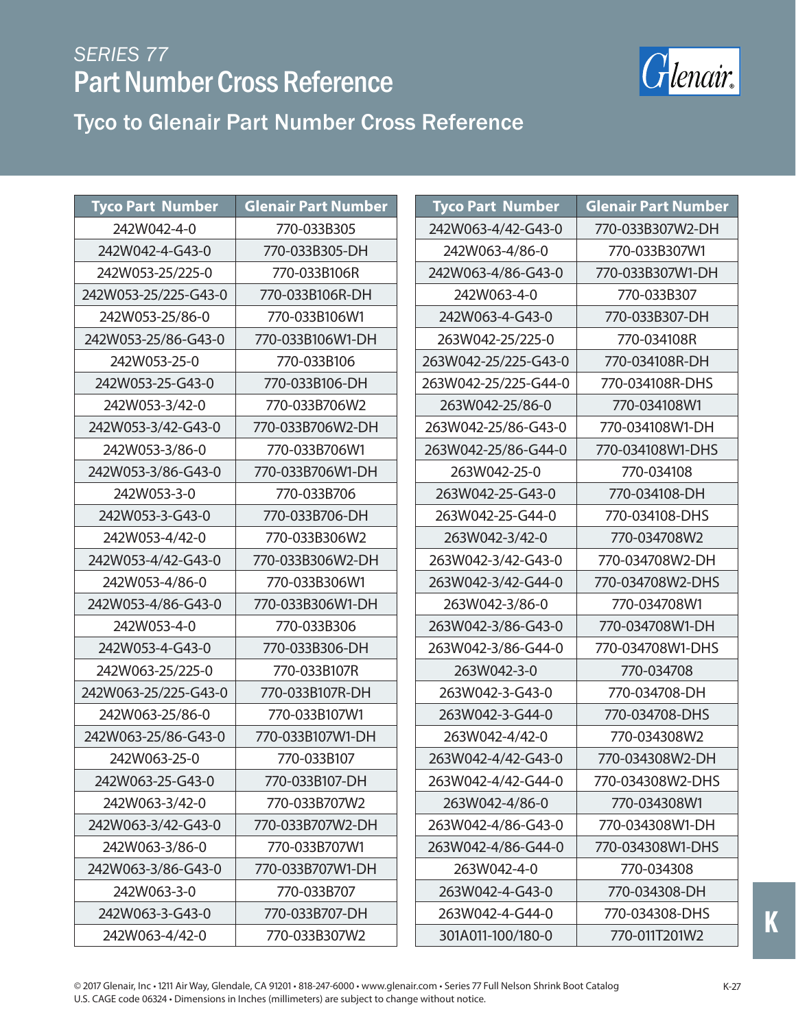

Tyco to Glenair Part Number Cross Reference

| <b>Tyco Part Number</b> | <b>Glenair Part Number</b> | <b>Tyco Part Number</b> | <b>Glenair Part Number</b> |
|-------------------------|----------------------------|-------------------------|----------------------------|
| 242W042-4-0             | 770-033B305                | 242W063-4/42-G43-0      | 770-033B307W2-DH           |
| 242W042-4-G43-0         | 770-033B305-DH             | 242W063-4/86-0          | 770-033B307W1              |
| 242W053-25/225-0        | 770-033B106R               | 242W063-4/86-G43-0      | 770-033B307W1-DH           |
| 242W053-25/225-G43-0    | 770-033B106R-DH            | 242W063-4-0             | 770-033B307                |
| 242W053-25/86-0         | 770-033B106W1              | 242W063-4-G43-0         | 770-033B307-DH             |
| 242W053-25/86-G43-0     | 770-033B106W1-DH           | 263W042-25/225-0        | 770-034108R                |
| 242W053-25-0            | 770-033B106                | 263W042-25/225-G43-0    | 770-034108R-DH             |
| 242W053-25-G43-0        | 770-033B106-DH             | 263W042-25/225-G44-0    | 770-034108R-DHS            |
| 242W053-3/42-0          | 770-033B706W2              | 263W042-25/86-0         | 770-034108W1               |
| 242W053-3/42-G43-0      | 770-033B706W2-DH           | 263W042-25/86-G43-0     | 770-034108W1-DH            |
| 242W053-3/86-0          | 770-033B706W1              | 263W042-25/86-G44-0     | 770-034108W1-DHS           |
| 242W053-3/86-G43-0      | 770-033B706W1-DH           | 263W042-25-0            | 770-034108                 |
| 242W053-3-0             | 770-033B706                | 263W042-25-G43-0        | 770-034108-DH              |
| 242W053-3-G43-0         | 770-033B706-DH             | 263W042-25-G44-0        | 770-034108-DHS             |
| 242W053-4/42-0          | 770-033B306W2              | 263W042-3/42-0          | 770-034708W2               |
| 242W053-4/42-G43-0      | 770-033B306W2-DH           | 263W042-3/42-G43-0      | 770-034708W2-DH            |
| 242W053-4/86-0          | 770-033B306W1              | 263W042-3/42-G44-0      | 770-034708W2-DHS           |
| 242W053-4/86-G43-0      | 770-033B306W1-DH           | 263W042-3/86-0          | 770-034708W1               |
| 242W053-4-0             | 770-033B306                | 263W042-3/86-G43-0      | 770-034708W1-DH            |
| 242W053-4-G43-0         | 770-033B306-DH             | 263W042-3/86-G44-0      | 770-034708W1-DHS           |
| 242W063-25/225-0        | 770-033B107R               | 263W042-3-0             | 770-034708                 |
| 242W063-25/225-G43-0    | 770-033B107R-DH            | 263W042-3-G43-0         | 770-034708-DH              |
| 242W063-25/86-0         | 770-033B107W1              | 263W042-3-G44-0         | 770-034708-DHS             |
| 242W063-25/86-G43-0     | 770-033B107W1-DH           | 263W042-4/42-0          | 770-034308W2               |
| 242W063-25-0            | 770-033B107                | 263W042-4/42-G43-0      | 770-034308W2-DH            |
| 242W063-25-G43-0        | 770-033B107-DH             | 263W042-4/42-G44-0      | 770-034308W2-DHS           |
| 242W063-3/42-0          | 770-033B707W2              | 263W042-4/86-0          | 770-034308W1               |
| 242W063-3/42-G43-0      | 770-033B707W2-DH           | 263W042-4/86-G43-0      | 770-034308W1-DH            |
| 242W063-3/86-0          | 770-033B707W1              | 263W042-4/86-G44-0      | 770-034308W1-DHS           |
| 242W063-3/86-G43-0      | 770-033B707W1-DH           | 263W042-4-0             | 770-034308                 |
| 242W063-3-0             | 770-033B707                | 263W042-4-G43-0         | 770-034308-DH              |
| 242W063-3-G43-0         | 770-033B707-DH             | 263W042-4-G44-0         | 770-034308-DHS             |
| 242W063-4/42-0          | 770-033B307W2              | 301A011-100/180-0       | 770-011T201W2              |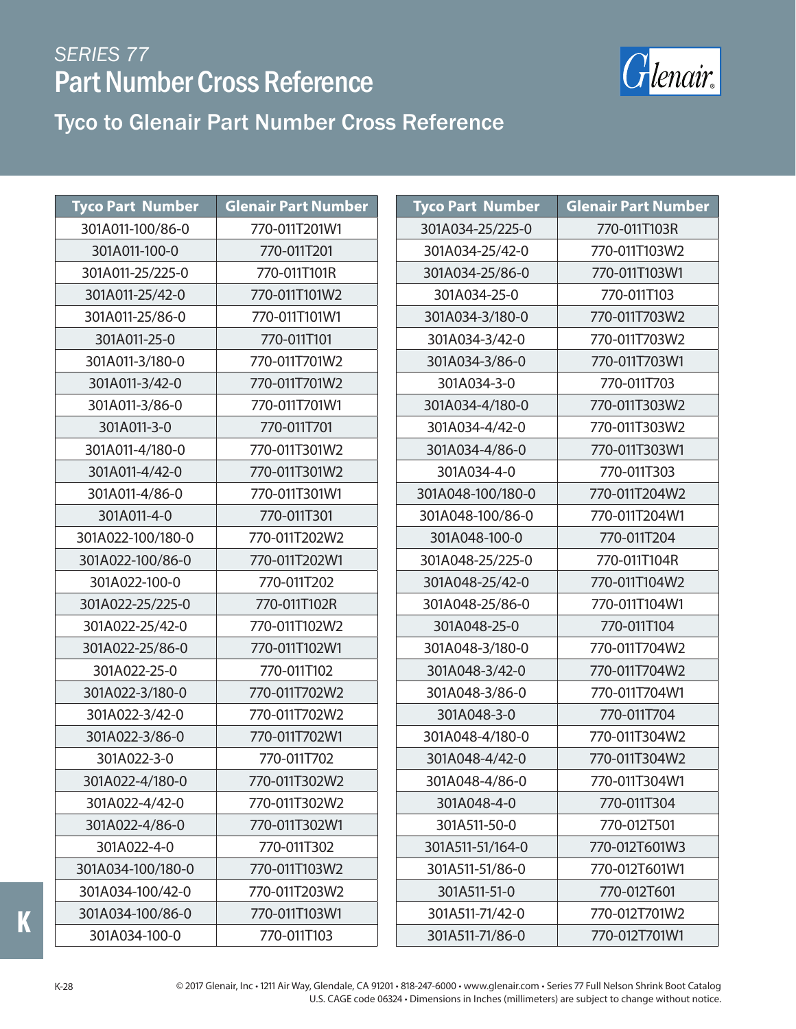

**Tyco Part Number Glenair Part Number**

#### Tyco to Glenair Part Number Cross Reference

| <b>Tyco Part Number</b> | <b>Glenair Part Number</b> | <b>Tyco Part Number</b> |
|-------------------------|----------------------------|-------------------------|
| 301A011-100/86-0        | 770-011T201W1              | 301A034-25/225-0        |
| 301A011-100-0           | 770-011T201                | 301A034-25/42-0         |
| 301A011-25/225-0        | 770-011T101R               | 301A034-25/86-0         |
| 301A011-25/42-0         | 770-011T101W2              | 301A034-25-0            |
| 301A011-25/86-0         | 770-011T101W1              | 301A034-3/180-0         |
| 301A011-25-0            | 770-011T101                | 301A034-3/42-0          |
| 301A011-3/180-0         | 770-011T701W2              | 301A034-3/86-0          |
| 301A011-3/42-0          | 770-011T701W2              | 301A034-3-0             |
| 301A011-3/86-0          | 770-011T701W1              | 301A034-4/180-0         |
| 301A011-3-0             | 770-011T701                | 301A034-4/42-0          |
| 301A011-4/180-0         | 770-011T301W2              | 301A034-4/86-0          |
| 301A011-4/42-0          | 770-011T301W2              | 301A034-4-0             |
| 301A011-4/86-0          | 770-011T301W1              | 301A048-100/180-0       |
| 301A011-4-0             | 770-011T301                | 301A048-100/86-0        |
| 301A022-100/180-0       | 770-011T202W2              | 301A048-100-0           |
| 301A022-100/86-0        | 770-011T202W1              | 301A048-25/225-0        |
| 301A022-100-0           | 770-011T202                | 301A048-25/42-0         |
| 301A022-25/225-0        | 770-011T102R               | 301A048-25/86-0         |
| 301A022-25/42-0         | 770-011T102W2              | 301A048-25-0            |
| 301A022-25/86-0         | 770-011T102W1              | 301A048-3/180-0         |
| 301A022-25-0            | 770-011T102                | 301A048-3/42-0          |
| 301A022-3/180-0         | 770-011T702W2              | 301A048-3/86-0          |
| 301A022-3/42-0          | 770-011T702W2              | 301A048-3-0             |
| 301A022-3/86-0          | 770-011T702W1              | 301A048-4/180-0         |
| 301A022-3-0             | 770-011T702                | 301A048-4/42-0          |
| 301A022-4/180-0         | 770-011T302W2              | 301A048-4/86-0          |
| 301A022-4/42-0          | 770-011T302W2              | 301A048-4-0             |
| 301A022-4/86-0          | 770-011T302W1              | 301A511-50-0            |
| 301A022-4-0             | 770-011T302                | 301A511-51/164-0        |
| 301A034-100/180-0       | 770-011T103W2              | 301A511-51/86-0         |
| 301A034-100/42-0        | 770-011T203W2              | 301A511-51-0            |
| 301A034-100/86-0        | 770-011T103W1              | 301A511-71/42-0         |
| 301A034-100-0           | 770-011T103                | 301A511-71/86-0         |

| 301A034-25/225-0  | 770-011T103R  |
|-------------------|---------------|
| 301A034-25/42-0   | 770-011T103W2 |
| 301A034-25/86-0   | 770-011T103W1 |
| 301A034-25-0      | 770-011T103   |
| 301A034-3/180-0   | 770-011T703W2 |
| 301A034-3/42-0    | 770-011T703W2 |
| 301A034-3/86-0    | 770-011T703W1 |
| 301A034-3-0       | 770-011T703   |
| 301A034-4/180-0   | 770-011T303W2 |
| 301A034-4/42-0    | 770-011T303W2 |
| 301A034-4/86-0    | 770-011T303W1 |
| 301A034-4-0       | 770-011T303   |
| 301A048-100/180-0 | 770-011T204W2 |
| 301A048-100/86-0  | 770-011T204W1 |
| 301A048-100-0     | 770-011T204   |
| 301A048-25/225-0  | 770-011T104R  |
| 301A048-25/42-0   | 770-011T104W2 |
| 301A048-25/86-0   | 770-011T104W1 |
| 301A048-25-0      | 770-011T104   |
| 301A048-3/180-0   | 770-011T704W2 |
| 301A048-3/42-0    | 770-011T704W2 |
| 301A048-3/86-0    | 770-011T704W1 |
| 301A048-3-0       | 770-011T704   |
| 301A048-4/180-0   | 770-011T304W2 |
| 301A048-4/42-0    | 770-011T304W2 |
| 301A048-4/86-0    | 770-011T304W1 |
| 301A048-4-0       | 770-011T304   |
| 301A511-50-0      | 770-012T501   |
| 301A511-51/164-0  | 770-012T601W3 |
| 301A511-51/86-0   | 770-012T601W1 |
| 301A511-51-0      | 770-012T601   |
| 301A511-71/42-0   | 770-012T701W2 |
| 301A511-71/86-0   | 770-012T701W1 |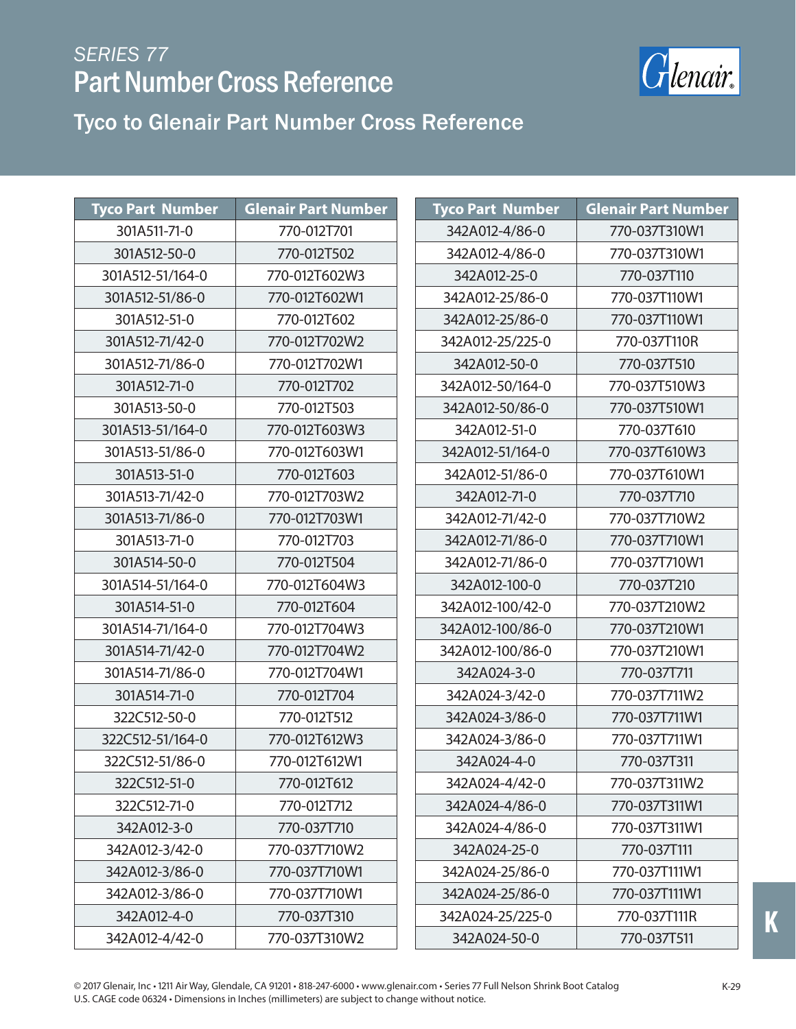

Tyco to Glenair Part Number Cross Reference

| <b>Tyco Part Number</b> | <b>Glenair Part Number</b> | <b>Tyco Part Number</b> | <b>Glenair Part Number</b> |
|-------------------------|----------------------------|-------------------------|----------------------------|
| 301A511-71-0            | 770-012T701                | 342A012-4/86-0          | 770-037T310W1              |
| 301A512-50-0            | 770-012T502                | 342A012-4/86-0          | 770-037T310W1              |
| 301A512-51/164-0        | 770-012T602W3              | 342A012-25-0            | 770-037T110                |
| 301A512-51/86-0         | 770-012T602W1              | 342A012-25/86-0         | 770-037T110W1              |
| 301A512-51-0            | 770-012T602                | 342A012-25/86-0         | 770-037T110W1              |
| 301A512-71/42-0         | 770-012T702W2              | 342A012-25/225-0        | 770-037T110R               |
| 301A512-71/86-0         | 770-012T702W1              | 342A012-50-0            | 770-037T510                |
| 301A512-71-0            | 770-012T702                | 342A012-50/164-0        | 770-037T510W3              |
| 301A513-50-0            | 770-012T503                | 342A012-50/86-0         | 770-037T510W1              |
| 301A513-51/164-0        | 770-012T603W3              | 342A012-51-0            | 770-037T610                |
| 301A513-51/86-0         | 770-012T603W1              | 342A012-51/164-0        | 770-037T610W3              |
| 301A513-51-0            | 770-012T603                | 342A012-51/86-0         | 770-037T610W1              |
| 301A513-71/42-0         | 770-012T703W2              | 342A012-71-0            | 770-037T710                |
| 301A513-71/86-0         | 770-012T703W1              | 342A012-71/42-0         | 770-037T710W2              |
| 301A513-71-0            | 770-012T703                | 342A012-71/86-0         | 770-037T710W1              |
| 301A514-50-0            | 770-012T504                | 342A012-71/86-0         | 770-037T710W1              |
| 301A514-51/164-0        | 770-012T604W3              | 342A012-100-0           | 770-037T210                |
| 301A514-51-0            | 770-012T604                | 342A012-100/42-0        | 770-037T210W2              |
| 301A514-71/164-0        | 770-012T704W3              | 342A012-100/86-0        | 770-037T210W1              |
| 301A514-71/42-0         | 770-012T704W2              | 342A012-100/86-0        | 770-037T210W1              |
| 301A514-71/86-0         | 770-012T704W1              | 342A024-3-0             | 770-037T711                |
| 301A514-71-0            | 770-012T704                | 342A024-3/42-0          | 770-037T711W2              |
| 322C512-50-0            | 770-012T512                | 342A024-3/86-0          | 770-037T711W1              |
| 322C512-51/164-0        | 770-012T612W3              | 342A024-3/86-0          | 770-037T711W1              |
| 322C512-51/86-0         | 770-012T612W1              | 342A024-4-0             | 770-037T311                |
| 322C512-51-0            | 770-012T612                | 342A024-4/42-0          | 770-037T311W2              |
| 322C512-71-0            | 770-012T712                | 342A024-4/86-0          | 770-037T311W1              |
| 342A012-3-0             | 770-037T710                | 342A024-4/86-0          | 770-037T311W1              |
| 342A012-3/42-0          | 770-037T710W2              | 342A024-25-0            | 770-037T111                |
| 342A012-3/86-0          | 770-037T710W1              | 342A024-25/86-0         | 770-037T111W1              |
| 342A012-3/86-0          | 770-037T710W1              | 342A024-25/86-0         | 770-037T111W1              |
| 342A012-4-0             | 770-037T310                | 342A024-25/225-0        | 770-037T111R               |
| 342A012-4/42-0          | 770-037T310W2              | 342A024-50-0            | 770-037T511                |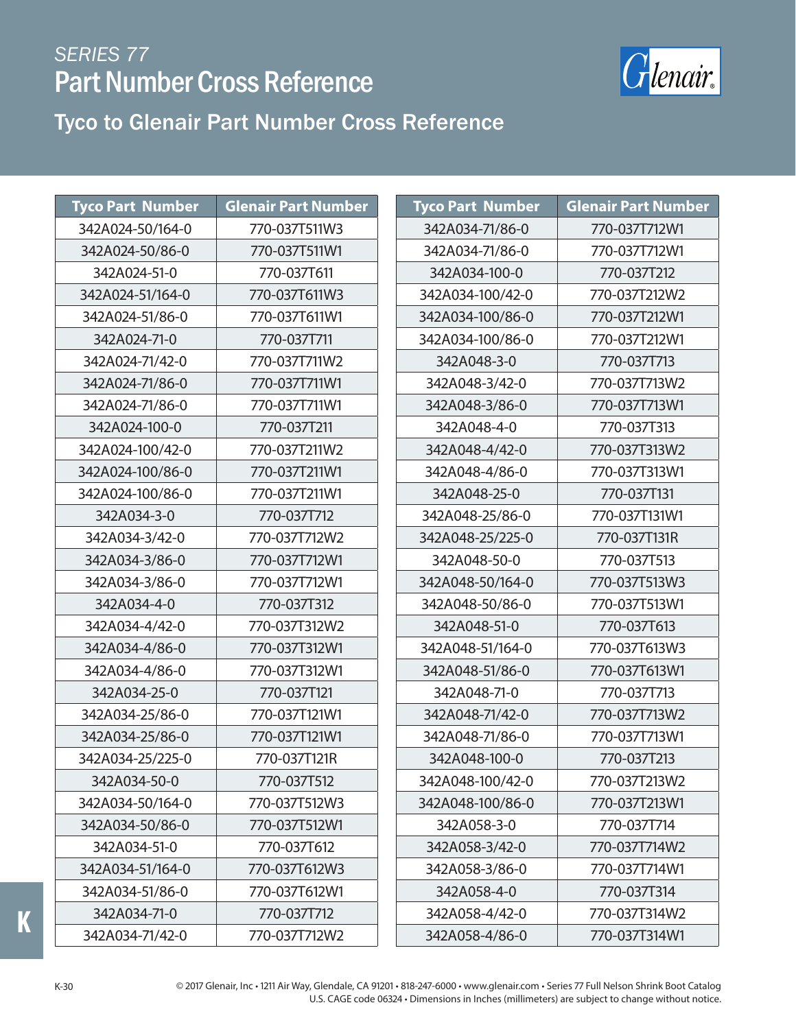

#### Tyco to Glenair Part Number Cross Reference

| <b>Tyco Part Number</b> | <b>Glenair Part Number</b> | <b>Tyco Part Number</b> | <b>Glenair Part Number</b> |
|-------------------------|----------------------------|-------------------------|----------------------------|
| 342A024-50/164-0        | 770-037T511W3              | 342A034-71/86-0         | 770-037T712W1              |
| 342A024-50/86-0         | 770-037T511W1              | 342A034-71/86-0         | 770-037T712W1              |
| 342A024-51-0            | 770-037T611                | 342A034-100-0           | 770-037T212                |
| 342A024-51/164-0        | 770-037T611W3              | 342A034-100/42-0        | 770-037T212W2              |
| 342A024-51/86-0         | 770-037T611W1              | 342A034-100/86-0        | 770-037T212W1              |
| 342A024-71-0            | 770-037T711                | 342A034-100/86-0        | 770-037T212W1              |
| 342A024-71/42-0         | 770-037T711W2              | 342A048-3-0             | 770-037T713                |
| 342A024-71/86-0         | 770-037T711W1              | 342A048-3/42-0          | 770-037T713W2              |
| 342A024-71/86-0         | 770-037T711W1              | 342A048-3/86-0          | 770-037T713W1              |
| 342A024-100-0           | 770-037T211                | 342A048-4-0             | 770-037T313                |
| 342A024-100/42-0        | 770-037T211W2              | 342A048-4/42-0          | 770-037T313W2              |
| 342A024-100/86-0        | 770-037T211W1              | 342A048-4/86-0          | 770-037T313W1              |
| 342A024-100/86-0        | 770-037T211W1              | 342A048-25-0            | 770-037T131                |
| 342A034-3-0             | 770-037T712                | 342A048-25/86-0         | 770-037T131W1              |
| 342A034-3/42-0          | 770-037T712W2              | 342A048-25/225-0        | 770-037T131R               |
| 342A034-3/86-0          | 770-037T712W1              | 342A048-50-0            | 770-037T513                |
| 342A034-3/86-0          | 770-037T712W1              | 342A048-50/164-0        | 770-037T513W3              |
| 342A034-4-0             | 770-037T312                | 342A048-50/86-0         | 770-037T513W1              |
| 342A034-4/42-0          | 770-037T312W2              | 342A048-51-0            | 770-037T613                |
| 342A034-4/86-0          | 770-037T312W1              | 342A048-51/164-0        | 770-037T613W3              |
| 342A034-4/86-0          | 770-037T312W1              | 342A048-51/86-0         | 770-037T613W1              |
| 342A034-25-0            | 770-037T121                | 342A048-71-0            | 770-037T713                |
| 342A034-25/86-0         | 770-037T121W1              | 342A048-71/42-0         | 770-037T713W2              |
| 342A034-25/86-0         | 770-037T121W1              | 342A048-71/86-0         | 770-037T713W1              |
| 342A034-25/225-0        | 770-037T121R               | 342A048-100-0           | 770-037T213                |
| 342A034-50-0            | 770-037T512                | 342A048-100/42-0        | 770-037T213W2              |
| 342A034-50/164-0        | 770-037T512W3              | 342A048-100/86-0        | 770-037T213W1              |
| 342A034-50/86-0         | 770-037T512W1              | 342A058-3-0             | 770-037T714                |
| 342A034-51-0            | 770-037T612                | 342A058-3/42-0          | 770-037T714W2              |
| 342A034-51/164-0        | 770-037T612W3              | 342A058-3/86-0          | 770-037T714W1              |
| 342A034-51/86-0         | 770-037T612W1              | 342A058-4-0             | 770-037T314                |
| 342A034-71-0            | 770-037T712                | 342A058-4/42-0          | 770-037T314W2              |
| 342A034-71/42-0         | 770-037T712W2              | 342A058-4/86-0          | 770-037T314W1              |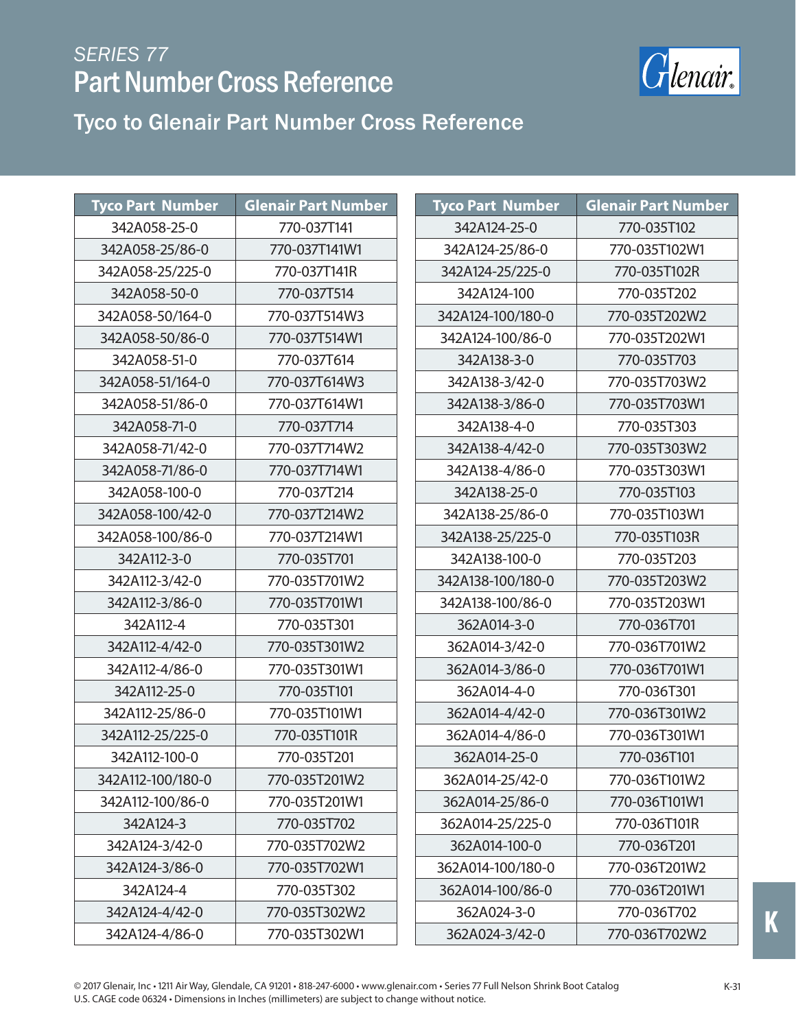

Tyco to Glenair Part Number Cross Reference

| <b>Tyco Part Number</b> | <b>Glenair Part Number</b> | <b>Tyco Part Number</b> | <b>Glenair Part Number</b> |
|-------------------------|----------------------------|-------------------------|----------------------------|
| 342A058-25-0            | 770-037T141                | 342A124-25-0            | 770-035T102                |
| 342A058-25/86-0         | 770-037T141W1              | 342A124-25/86-0         | 770-035T102W1              |
| 342A058-25/225-0        | 770-037T141R               | 342A124-25/225-0        | 770-035T102R               |
| 342A058-50-0            | 770-037T514                | 342A124-100             | 770-035T202                |
| 342A058-50/164-0        | 770-037T514W3              | 342A124-100/180-0       | 770-035T202W2              |
| 342A058-50/86-0         | 770-037T514W1              | 342A124-100/86-0        | 770-035T202W1              |
| 342A058-51-0            | 770-037T614                | 342A138-3-0             | 770-035T703                |
| 342A058-51/164-0        | 770-037T614W3              | 342A138-3/42-0          | 770-035T703W2              |
| 342A058-51/86-0         | 770-037T614W1              | 342A138-3/86-0          | 770-035T703W1              |
| 342A058-71-0            | 770-037T714                | 342A138-4-0             | 770-035T303                |
| 342A058-71/42-0         | 770-037T714W2              | 342A138-4/42-0          | 770-035T303W2              |
| 342A058-71/86-0         | 770-037T714W1              | 342A138-4/86-0          | 770-035T303W1              |
| 342A058-100-0           | 770-037T214                | 342A138-25-0            | 770-035T103                |
| 342A058-100/42-0        | 770-037T214W2              | 342A138-25/86-0         | 770-035T103W1              |
| 342A058-100/86-0        | 770-037T214W1              | 342A138-25/225-0        | 770-035T103R               |
| 342A112-3-0             | 770-035T701                | 342A138-100-0           | 770-035T203                |
| 342A112-3/42-0          | 770-035T701W2              | 342A138-100/180-0       | 770-035T203W2              |
| 342A112-3/86-0          | 770-035T701W1              | 342A138-100/86-0        | 770-035T203W1              |
| 342A112-4               | 770-035T301                | 362A014-3-0             | 770-036T701                |
| 342A112-4/42-0          | 770-035T301W2              | 362A014-3/42-0          | 770-036T701W2              |
| 342A112-4/86-0          | 770-035T301W1              | 362A014-3/86-0          | 770-036T701W1              |
| 342A112-25-0            | 770-035T101                | 362A014-4-0             | 770-036T301                |
| 342A112-25/86-0         | 770-035T101W1              | 362A014-4/42-0          | 770-036T301W2              |
| 342A112-25/225-0        | 770-035T101R               | 362A014-4/86-0          | 770-036T301W1              |
| 342A112-100-0           | 770-035T201                | 362A014-25-0            | 770-036T101                |
| 342A112-100/180-0       | 770-035T201W2              | 362A014-25/42-0         | 770-036T101W2              |
| 342A112-100/86-0        | 770-035T201W1              | 362A014-25/86-0         | 770-036T101W1              |
| 342A124-3               | 770-035T702                | 362A014-25/225-0        | 770-036T101R               |
| 342A124-3/42-0          | 770-035T702W2              | 362A014-100-0           | 770-036T201                |
| 342A124-3/86-0          | 770-035T702W1              | 362A014-100/180-0       | 770-036T201W2              |
| 342A124-4               | 770-035T302                | 362A014-100/86-0        | 770-036T201W1              |
| 342A124-4/42-0          | 770-035T302W2              | 362A024-3-0             | 770-036T702                |
| 342A124-4/86-0          | 770-035T302W1              | 362A024-3/42-0          | 770-036T702W2              |

**K**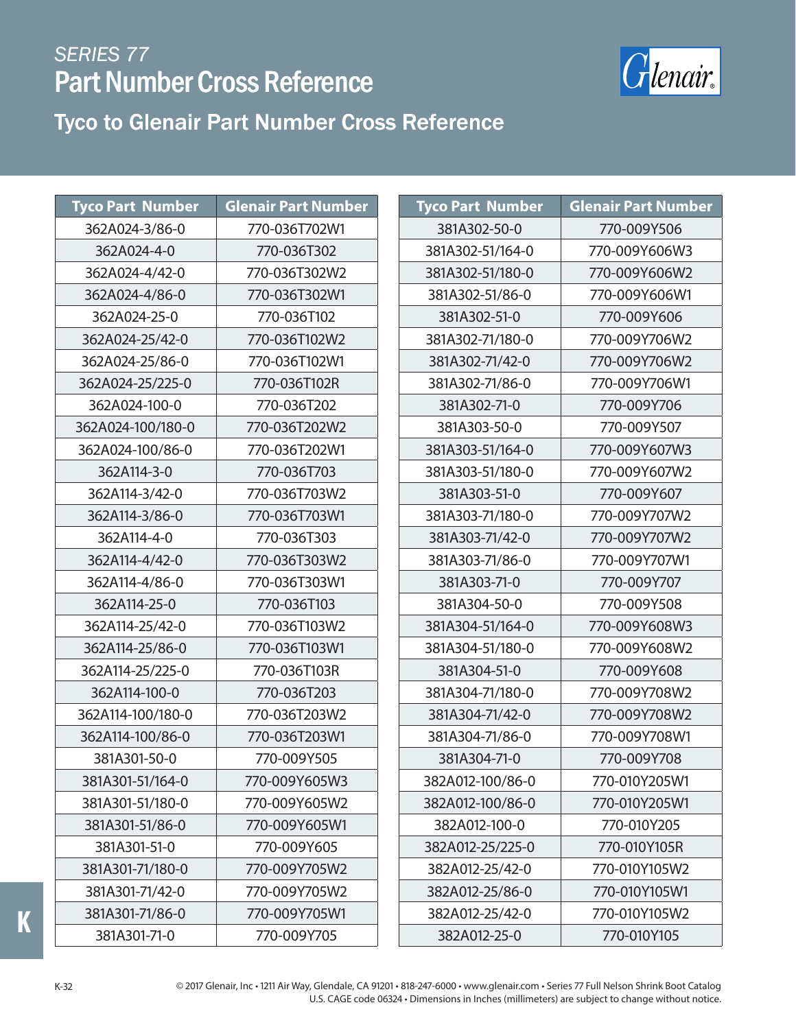

#### Tyco to Glenair Part Number Cross Reference Tyco to Glenair Part Number Cross Reference

| <b>Tyco Part Number</b> | <b>Glenair Part Number</b> | <b>Tyco Part</b> |
|-------------------------|----------------------------|------------------|
| 362A024-3/86-0          | 770-036T702W1              | 381A3            |
| 362A024-4-0             | 770-036T302                | 381A302          |
| 362A024-4/42-0          | 770-036T302W2              | 381A302          |
| 362A024-4/86-0          | 770-036T302W1              | 381A302          |
| 362A024-25-0            | 770-036T102                | 381A3            |
| 362A024-25/42-0         | 770-036T102W2              | 381A302          |
| 362A024-25/86-0         | 770-036T102W1              | 381A302          |
| 362A024-25/225-0        | 770-036T102R               | 381A302          |
| 362A024-100-0           | 770-036T202                | 381A3            |
| 362A024-100/180-0       | 770-036T202W2              | 381A3            |
| 362A024-100/86-0        | 770-036T202W1              | 381A303          |
| 362A114-3-0             | 770-036T703                | 381A303          |
| 362A114-3/42-0          | 770-036T703W2              | 381A3            |
| 362A114-3/86-0          | 770-036T703W1              | 381A303          |
| 362A114-4-0             | 770-036T303                | 381A303          |
| 362A114-4/42-0          | 770-036T303W2              | 381A303          |
| 362A114-4/86-0          | 770-036T303W1              | 381A3            |
| 362A114-25-0            | 770-036T103                | 381A3            |
| 362A114-25/42-0         | 770-036T103W2              | 381A304          |
| 362A114-25/86-0         | 770-036T103W1              | 381A304          |
| 362A114-25/225-0        | 770-036T103R               | 381A3            |
| 362A114-100-0           | 770-036T203                | 381A304          |
| 362A114-100/180-0       | 770-036T203W2              | 381A304          |
| 362A114-100/86-0        | 770-036T203W1              | 381A304          |
| 381A301-50-0            | 770-009Y505                | 381A3            |
| 381A301-51/164-0        | 770-009Y605W3              | 382A012          |
| 381A301-51/180-0        | 770-009Y605W2              | 382A012          |
| 381A301-51/86-0         | 770-009Y605W1              | 382A0            |
| 381A301-51-0            | 770-009Y605                | 382A012          |
| 381A301-71/180-0        | 770-009Y705W2              | 382A012          |
| 381A301-71/42-0         | 770-009Y705W2              | 382A012          |
| 381A301-71/86-0         | 770-009Y705W1              | 382A012          |
| 381A301-71-0            | 770-009Y705                | 382A0            |

| <b>Tyco Part Number</b> | <b>Glenair Part Number</b> |
|-------------------------|----------------------------|
| 381A302-50-0            | 770-009Y506                |
| 381A302-51/164-0        | 770-009Y606W3              |
| 381A302-51/180-0        | 770-009Y606W2              |
| 381A302-51/86-0         | 770-009Y606W1              |
| 381A302-51-0            | 770-009Y606                |
| 381A302-71/180-0        | 770-009Y706W2              |
| 381A302-71/42-0         | 770-009Y706W2              |
| 381A302-71/86-0         | 770-009Y706W1              |
| 381A302-71-0            | 770-009Y706                |
| 381A303-50-0            | 770-009Y507                |
| 381A303-51/164-0        | 770-009Y607W3              |
| 381A303-51/180-0        | 770-009Y607W2              |
| 381A303-51-0            | 770-009Y607                |
| 381A303-71/180-0        | 770-009Y707W2              |
| 381A303-71/42-0         | 770-009Y707W2              |
| 381A303-71/86-0         | 770-009Y707W1              |
| 381A303-71-0            | 770-009Y707                |
| 381A304-50-0            | 770-009Y508                |
| 381A304-51/164-0        | 770-009Y608W3              |
| 381A304-51/180-0        | 770-009Y608W2              |
| 381A304-51-0            | 770-009Y608                |
| 381A304-71/180-0        | 770-009Y708W2              |
| 381A304-71/42-0         | 770-009Y708W2              |
| 381A304-71/86-0         | 770-009Y708W1              |
| 381A304-71-0            | 770-009Y708                |
| 382A012-100/86-0        | 770-010Y205W1              |
| 382A012-100/86-0        | 770-010Y205W1              |
| 382A012-100-0           | 770-010Y205                |
| 382A012-25/225-0        | 770-010Y105R               |
| 382A012-25/42-0         | 770-010Y105W2              |
| 382A012-25/86-0         | 770-010Y105W1              |
| 382A012-25/42-0         | 770-010Y105W2              |
| 382A012-25-0            | 770-010Y105                |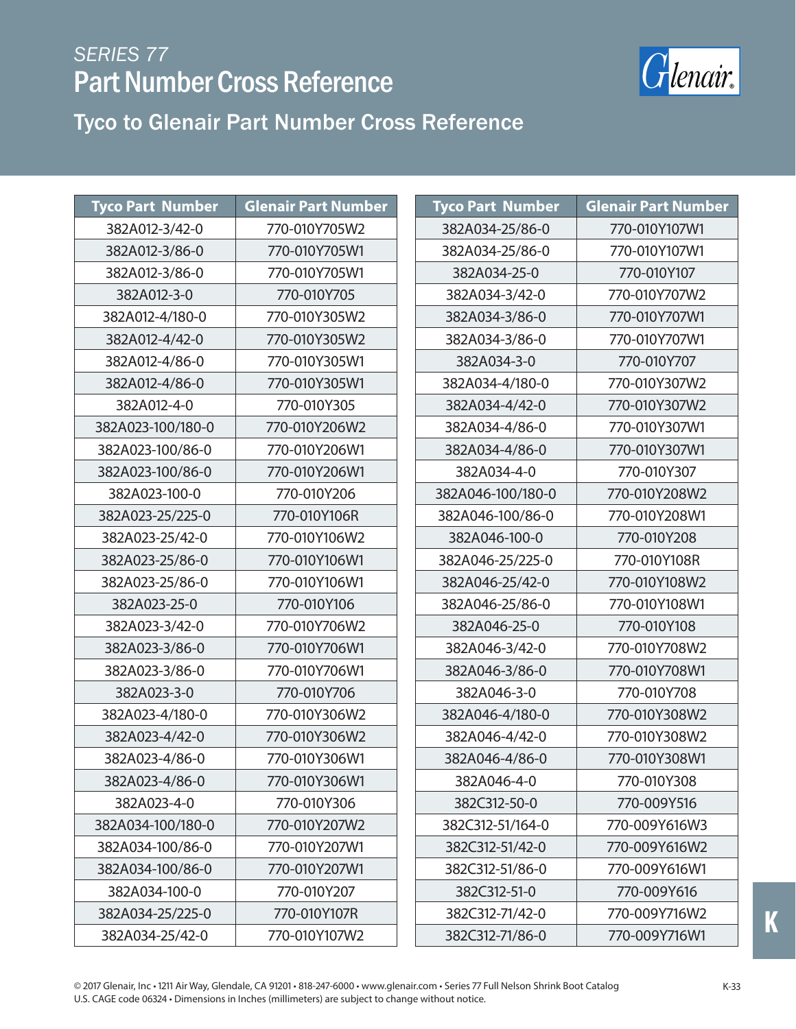

| <b>Tyco Part Number</b> | <b>Glenair Part Number</b> | <b>Tyco Part Number</b> | <b>Glenair Part Number</b> |
|-------------------------|----------------------------|-------------------------|----------------------------|
| 382A012-3/42-0          | 770-010Y705W2              | 382A034-25/86-0         | 770-010Y107W1              |
| 382A012-3/86-0          | 770-010Y705W1              | 382A034-25/86-0         | 770-010Y107W1              |
| 382A012-3/86-0          | 770-010Y705W1              | 382A034-25-0            | 770-010Y107                |
| 382A012-3-0             | 770-010Y705                | 382A034-3/42-0          | 770-010Y707W2              |
| 382A012-4/180-0         | 770-010Y305W2              | 382A034-3/86-0          | 770-010Y707W1              |
| 382A012-4/42-0          | 770-010Y305W2              | 382A034-3/86-0          | 770-010Y707W1              |
| 382A012-4/86-0          | 770-010Y305W1              | 382A034-3-0             | 770-010Y707                |
| 382A012-4/86-0          | 770-010Y305W1              | 382A034-4/180-0         | 770-010Y307W2              |
| 382A012-4-0             | 770-010Y305                | 382A034-4/42-0          | 770-010Y307W2              |
| 382A023-100/180-0       | 770-010Y206W2              | 382A034-4/86-0          | 770-010Y307W1              |
| 382A023-100/86-0        | 770-010Y206W1              | 382A034-4/86-0          | 770-010Y307W1              |
| 382A023-100/86-0        | 770-010Y206W1              | 382A034-4-0             | 770-010Y307                |
| 382A023-100-0           | 770-010Y206                | 382A046-100/180-0       | 770-010Y208W2              |
| 382A023-25/225-0        | 770-010Y106R               | 382A046-100/86-0        | 770-010Y208W1              |
| 382A023-25/42-0         | 770-010Y106W2              | 382A046-100-0           | 770-010Y208                |
| 382A023-25/86-0         | 770-010Y106W1              | 382A046-25/225-0        | 770-010Y108R               |
| 382A023-25/86-0         | 770-010Y106W1              | 382A046-25/42-0         | 770-010Y108W2              |
| 382A023-25-0            | 770-010Y106                | 382A046-25/86-0         | 770-010Y108W1              |
| 382A023-3/42-0          | 770-010Y706W2              | 382A046-25-0            | 770-010Y108                |
| 382A023-3/86-0          | 770-010Y706W1              | 382A046-3/42-0          | 770-010Y708W2              |
| 382A023-3/86-0          | 770-010Y706W1              | 382A046-3/86-0          | 770-010Y708W1              |
| 382A023-3-0             | 770-010Y706                | 382A046-3-0             | 770-010Y708                |
| 382A023-4/180-0         | 770-010Y306W2              | 382A046-4/180-0         | 770-010Y308W2              |
| 382A023-4/42-0          | 770-010Y306W2              | 382A046-4/42-0          | 770-010Y308W2              |
| 382A023-4/86-0          | 770-010Y306W1              | 382A046-4/86-0          | 770-010Y308W1              |
| 382A023-4/86-0          | 770-010Y306W1              | 382A046-4-0             | 770-010Y308                |
| 382A023-4-0             | 770-010Y306                | 382C312-50-0            | 770-009Y516                |
| 382A034-100/180-0       | 770-010Y207W2              | 382C312-51/164-0        | 770-009Y616W3              |
| 382A034-100/86-0        | 770-010Y207W1              | 382C312-51/42-0         | 770-009Y616W2              |
| 382A034-100/86-0        | 770-010Y207W1              | 382C312-51/86-0         | 770-009Y616W1              |
| 382A034-100-0           | 770-010Y207                | 382C312-51-0            | 770-009Y616                |
| 382A034-25/225-0        | 770-010Y107R               | 382C312-71/42-0         | 770-009Y716W2              |
| 382A034-25/42-0         | 770-010Y107W2              | 382C312-71/86-0         | 770-009Y716W1              |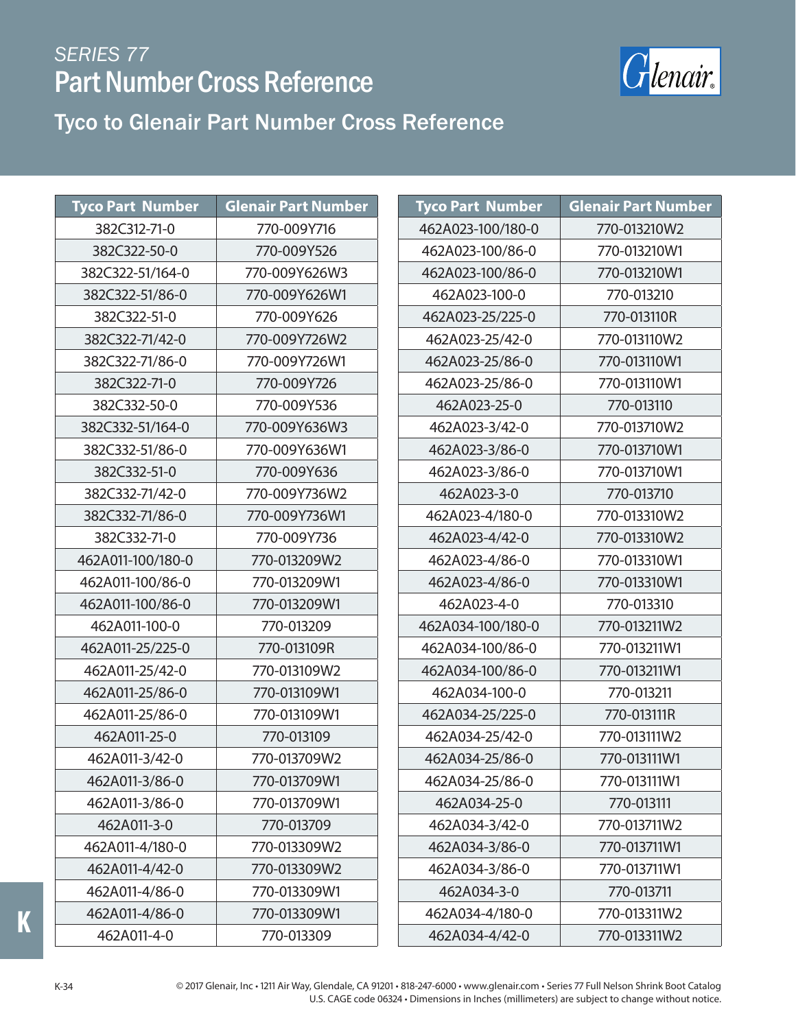

#### Tyco to Glenair Part Number Cross Reference

| <b>Tyco Part Number</b> | <b>Glenair Part Number</b> | <b>Tyco Part Number</b> | <b>Glenair Part Number</b> |
|-------------------------|----------------------------|-------------------------|----------------------------|
| 382C312-71-0            | 770-009Y716                | 462A023-100/180-0       | 770-013210W2               |
|                         |                            |                         |                            |
| 382C322-50-0            | 770-009Y526                | 462A023-100/86-0        | 770-013210W1               |
| 382C322-51/164-0        | 770-009Y626W3              | 462A023-100/86-0        | 770-013210W1               |
| 382C322-51/86-0         | 770-009Y626W1              | 462A023-100-0           | 770-013210                 |
| 382C322-51-0            | 770-009Y626                | 462A023-25/225-0        | 770-013110R                |
| 382C322-71/42-0         | 770-009Y726W2              | 462A023-25/42-0         | 770-013110W2               |
| 382C322-71/86-0         | 770-009Y726W1              | 462A023-25/86-0         | 770-013110W1               |
| 382C322-71-0            | 770-009Y726                | 462A023-25/86-0         | 770-013110W1               |
| 382C332-50-0            | 770-009Y536                | 462A023-25-0            | 770-013110                 |
| 382C332-51/164-0        | 770-009Y636W3              | 462A023-3/42-0          | 770-013710W2               |
| 382C332-51/86-0         | 770-009Y636W1              | 462A023-3/86-0          | 770-013710W1               |
| 382C332-51-0            | 770-009Y636                | 462A023-3/86-0          | 770-013710W1               |
| 382C332-71/42-0         | 770-009Y736W2              | 462A023-3-0             | 770-013710                 |
| 382C332-71/86-0         | 770-009Y736W1              | 462A023-4/180-0         | 770-013310W2               |
| 382C332-71-0            | 770-009Y736                | 462A023-4/42-0          | 770-013310W2               |
| 462A011-100/180-0       | 770-013209W2               | 462A023-4/86-0          | 770-013310W1               |
| 462A011-100/86-0        | 770-013209W1               | 462A023-4/86-0          | 770-013310W1               |
| 462A011-100/86-0        | 770-013209W1               | 462A023-4-0             | 770-013310                 |
| 462A011-100-0           | 770-013209                 | 462A034-100/180-0       | 770-013211W2               |
| 462A011-25/225-0        | 770-013109R                | 462A034-100/86-0        | 770-013211W1               |
| 462A011-25/42-0         | 770-013109W2               | 462A034-100/86-0        | 770-013211W1               |
| 462A011-25/86-0         | 770-013109W1               | 462A034-100-0           | 770-013211                 |
| 462A011-25/86-0         | 770-013109W1               | 462A034-25/225-0        | 770-013111R                |
| 462A011-25-0            | 770-013109                 | 462A034-25/42-0         | 770-013111W2               |
| 462A011-3/42-0          | 770-013709W2               | 462A034-25/86-0         | 770-013111W1               |
| 462A011-3/86-0          | 770-013709W1               | 462A034-25/86-0         | 770-013111W1               |
| 462A011-3/86-0          | 770-013709W1               | 462A034-25-0            | 770-013111                 |
| 462A011-3-0             | 770-013709                 | 462A034-3/42-0          | 770-013711W2               |
| 462A011-4/180-0         | 770-013309W2               | 462A034-3/86-0          | 770-013711W1               |
| 462A011-4/42-0          | 770-013309W2               | 462A034-3/86-0          | 770-013711W1               |
| 462A011-4/86-0          | 770-013309W1               | 462A034-3-0             | 770-013711                 |
| 462A011-4/86-0          | 770-013309W1               | 462A034-4/180-0         | 770-013311W2               |
| 462A011-4-0             | 770-013309                 | 462A034-4/42-0          | 770-013311W2               |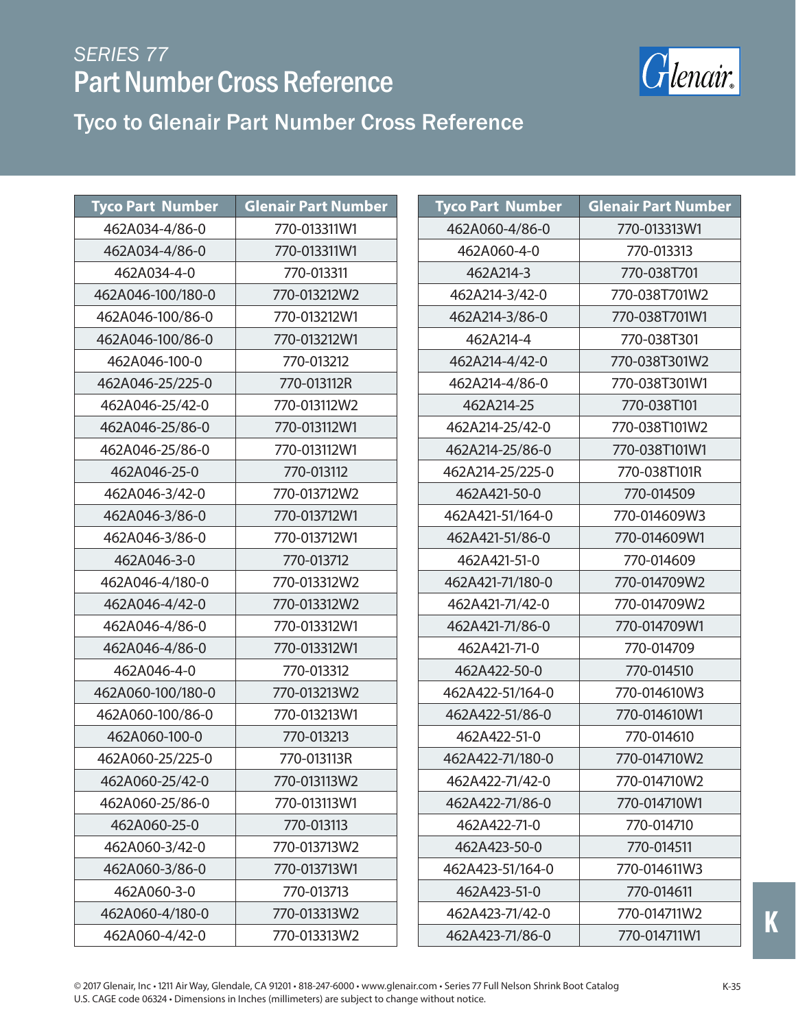

| <b>Tyco Part Number</b> | <b>Glenair Part Number</b> | <b>Tyco Part Number</b> | <b>Glenair Part Number</b> |
|-------------------------|----------------------------|-------------------------|----------------------------|
| 462A034-4/86-0          | 770-013311W1               | 462A060-4/86-0          | 770-013313W1               |
| 462A034-4/86-0          | 770-013311W1               | 462A060-4-0             | 770-013313                 |
| 462A034-4-0             | 770-013311                 | 462A214-3               | 770-038T701                |
| 462A046-100/180-0       | 770-013212W2               | 462A214-3/42-0          | 770-038T701W2              |
| 462A046-100/86-0        | 770-013212W1               | 462A214-3/86-0          | 770-038T701W1              |
| 462A046-100/86-0        | 770-013212W1               | 462A214-4               | 770-038T301                |
| 462A046-100-0           | 770-013212                 | 462A214-4/42-0          | 770-038T301W2              |
| 462A046-25/225-0        | 770-013112R                | 462A214-4/86-0          | 770-038T301W1              |
| 462A046-25/42-0         | 770-013112W2               | 462A214-25              | 770-038T101                |
| 462A046-25/86-0         | 770-013112W1               | 462A214-25/42-0         | 770-038T101W2              |
| 462A046-25/86-0         | 770-013112W1               | 462A214-25/86-0         | 770-038T101W1              |
| 462A046-25-0            | 770-013112                 | 462A214-25/225-0        | 770-038T101R               |
| 462A046-3/42-0          | 770-013712W2               | 462A421-50-0            | 770-014509                 |
| 462A046-3/86-0          | 770-013712W1               | 462A421-51/164-0        | 770-014609W3               |
| 462A046-3/86-0          | 770-013712W1               | 462A421-51/86-0         | 770-014609W1               |
| 462A046-3-0             | 770-013712                 | 462A421-51-0            | 770-014609                 |
| 462A046-4/180-0         | 770-013312W2               | 462A421-71/180-0        | 770-014709W2               |
| 462A046-4/42-0          | 770-013312W2               | 462A421-71/42-0         | 770-014709W2               |
| 462A046-4/86-0          | 770-013312W1               | 462A421-71/86-0         | 770-014709W1               |
| 462A046-4/86-0          | 770-013312W1               | 462A421-71-0            | 770-014709                 |
| 462A046-4-0             | 770-013312                 | 462A422-50-0            | 770-014510                 |
| 462A060-100/180-0       | 770-013213W2               | 462A422-51/164-0        | 770-014610W3               |
| 462A060-100/86-0        | 770-013213W1               | 462A422-51/86-0         | 770-014610W1               |
| 462A060-100-0           | 770-013213                 | 462A422-51-0            | 770-014610                 |
| 462A060-25/225-0        | 770-013113R                | 462A422-71/180-0        | 770-014710W2               |
| 462A060-25/42-0         | 770-013113W2               | 462A422-71/42-0         | 770-014710W2               |
| 462A060-25/86-0         | 770-013113W1               | 462A422-71/86-0         | 770-014710W1               |
| 462A060-25-0            | 770-013113                 | 462A422-71-0            | 770-014710                 |
| 462A060-3/42-0          | 770-013713W2               | 462A423-50-0            | 770-014511                 |
| 462A060-3/86-0          | 770-013713W1               | 462A423-51/164-0        | 770-014611W3               |
| 462A060-3-0             | 770-013713                 | 462A423-51-0            | 770-014611                 |
| 462A060-4/180-0         | 770-013313W2               | 462A423-71/42-0         | 770-014711W2               |
| 462A060-4/42-0          | 770-013313W2               | 462A423-71/86-0         | 770-014711W1               |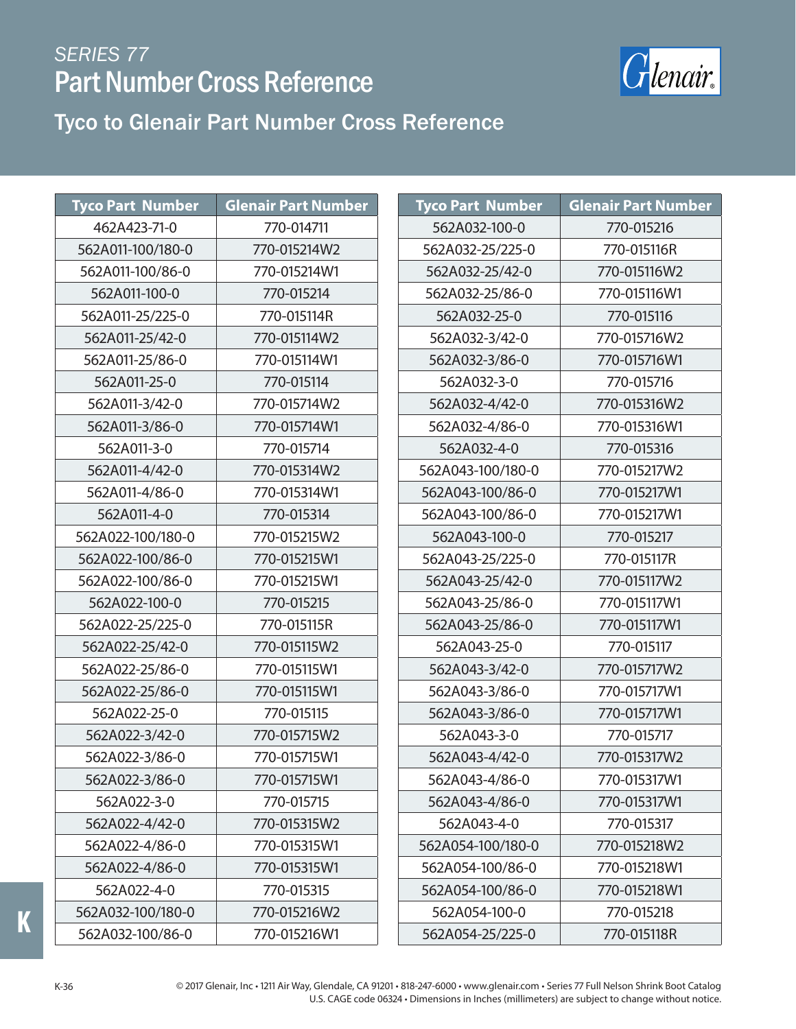

#### Tyco to Glenair Part Number Cross Reference

| <b>Tyco Part Number</b> | <b>Glenair Part Number</b> |
|-------------------------|----------------------------|
| 462A423-71-0            | 770-014711                 |
| 562A011-100/180-0       | 770-015214W2               |
| 562A011-100/86-0        | 770-015214W1               |
| 562A011-100-0           | 770-015214                 |
| 562A011-25/225-0        | 770-015114R                |
| 562A011-25/42-0         | 770-015114W2               |
| 562A011-25/86-0         | 770-015114W1               |
| 562A011-25-0            | 770-015114                 |
| 562A011-3/42-0          | 770-015714W2               |
| 562A011-3/86-0          | 770-015714W1               |
| 562A011-3-0             | 770-015714                 |
| 562A011-4/42-0          | 770-015314W2               |
| 562A011-4/86-0          | 770-015314W1               |
| 562A011-4-0             | 770-015314                 |
| 562A022-100/180-0       | 770-015215W2               |
| 562A022-100/86-0        | 770-015215W1               |
| 562A022-100/86-0        | 770-015215W1               |
| 562A022-100-0           | 770-015215                 |
| 562A022-25/225-0        | 770-015115R                |
| 562A022-25/42-0         | 770-015115W2               |
| 562A022-25/86-0         | 770-015115W1               |
| 562A022-25/86-0         | 770-015115W1               |
| 562A022-25-0            | 770-015115                 |
| 562A022-3/42-0          | 770-015715W2               |
| 562A022-3/86-0          | 770-015715W1               |
| 562A022-3/86-0          | 770-015715W1               |
| 562A022-3-0             | 770-015715                 |
| 562A022-4/42-0          | 770-015315W2               |
| 562A022-4/86-0          | 770-015315W1               |
| 562A022-4/86-0          | 770-015315W1               |
| 562A022-4-0             | 770-015315                 |
| 562A032-100/180-0       | 770-015216W2               |
| 562A032-100/86-0        | 770-015216W1               |

| <b>Tyco Part Number</b> | <b>Glenair Part Number</b> |
|-------------------------|----------------------------|
| 562A032-100-0           | 770-015216                 |
| 562A032-25/225-0        | 770-015116R                |
| 562A032-25/42-0         | 770-015116W2               |
| 562A032-25/86-0         | 770-015116W1               |
| 562A032-25-0            | 770-015116                 |
| 562A032-3/42-0          | 770-015716W2               |
| 562A032-3/86-0          | 770-015716W1               |
| 562A032-3-0             | 770-015716                 |
| 562A032-4/42-0          | 770-015316W2               |
| 562A032-4/86-0          | 770-015316W1               |
| 562A032-4-0             | 770-015316                 |
| 562A043-100/180-0       | 770-015217W2               |
| 562A043-100/86-0        | 770-015217W1               |
| 562A043-100/86-0        | 770-015217W1               |
| 562A043-100-0           | 770-015217                 |
| 562A043-25/225-0        | 770-015117R                |
| 562A043-25/42-0         | 770-015117W2               |
| 562A043-25/86-0         | 770-015117W1               |
| 562A043-25/86-0         | 770-015117W1               |
| 562A043-25-0            | 770-015117                 |
| 562A043-3/42-0          | 770-015717W2               |
| 562A043-3/86-0          | 770-015717W1               |
| 562A043-3/86-0          | 770-015717W1               |
| 562A043-3-0             | 770-015717                 |
| 562A043-4/42-0          | 770-015317W2               |
| 562A043-4/86-0          | 770-015317W1               |
| 562A043-4/86-0          | 770-015317W1               |
| 562A043-4-0             | 770-015317                 |
| 562A054-100/180-0       | 770-015218W2               |
| 562A054-100/86-0        | 770-015218W1               |
| 562A054-100/86-0        | 770-015218W1               |
| 562A054-100-0           | 770-015218                 |
| 562A054-25/225-0        | 770-015118R                |